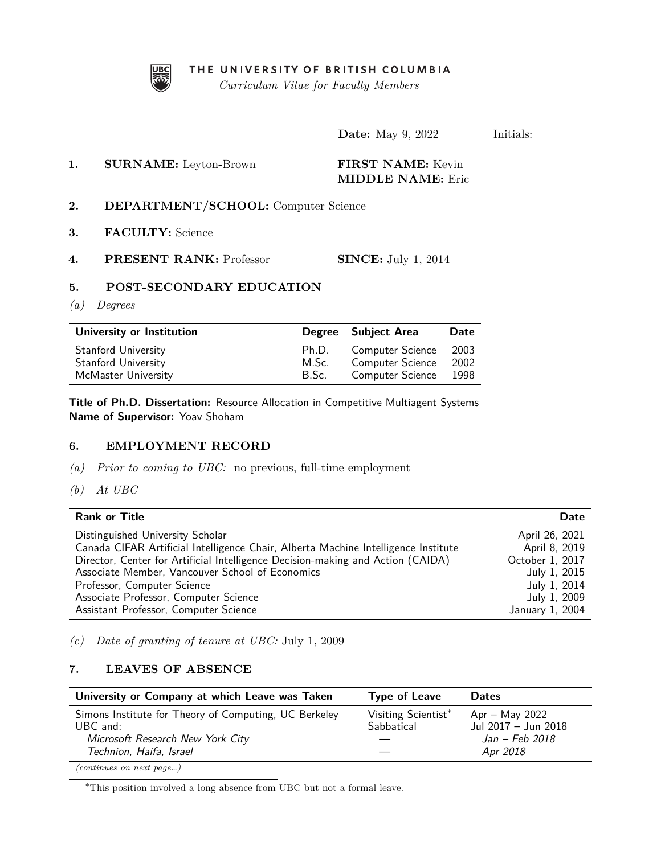

THE UNIVERSITY OF BRITISH COLUMBIA

*Curriculum Vitae for Faculty Members*

**Date:** May 9, 2022 Initials:

**1. SURNAME:** Leyton-Brown **FIRST NAME:** Kevin **MIDDLE NAME:** Eric

- **2. DEPARTMENT/SCHOOL:** Computer Science
- **3. FACULTY:** Science
- **4. PRESENT RANK:** Professor **SINCE:** July 1, 2014

# **5. POST-SECONDARY EDUCATION**

*(a) Degrees*

| University or Institution |       | Degree Subject Area     | Date |
|---------------------------|-------|-------------------------|------|
| Stanford University       | Ph.D. | <b>Computer Science</b> | 2003 |
| Stanford University       | M.Sc. | <b>Computer Science</b> | 2002 |
| McMaster University       | B.Sc. | Computer Science        | 1998 |

**Title of Ph.D. Dissertation:** Resource Allocation in Competitive Multiagent Systems **Name of Supervisor:** Yoav Shoham

## **6. EMPLOYMENT RECORD**

- *(a) Prior to coming to UBC:* no previous, full-time employment
- *(b) At UBC*

| <b>Rank or Title</b>                                                               | Date             |
|------------------------------------------------------------------------------------|------------------|
| Distinguished University Scholar                                                   | April 26, 2021   |
| Canada CIFAR Artificial Intelligence Chair, Alberta Machine Intelligence Institute | April 8, 2019    |
| Director, Center for Artificial Intelligence Decision-making and Action (CAIDA)    | October 1, 2017  |
| Associate Member, Vancouver School of Economics                                    | July 1, 2015     |
| Professor, Computer Science                                                        | $July$ $1, 2014$ |
| Associate Professor, Computer Science                                              | July 1, 2009     |
| Assistant Professor, Computer Science                                              | January 1, 2004  |

*(c) Date of granting of tenure at UBC:* July 1, 2009

### <span id="page-0-1"></span>**7. LEAVES OF ABSENCE**

| University or Company at which Leave was Taken                      | <b>Type of Leave</b>              | <b>Dates</b>                            |
|---------------------------------------------------------------------|-----------------------------------|-----------------------------------------|
| Simons Institute for Theory of Computing, UC Berkeley<br>$UBC$ and: | Visiting Scientist*<br>Sabbatical | $Apr - May 2022$<br>Jul 2017 - Jun 2018 |
| Microsoft Research New York City<br>Technion, Haifa, Israel         |                                   | Jan – Feb 2018<br>Apr 2018              |
|                                                                     |                                   |                                         |

*(continues on next page…)*

<span id="page-0-0"></span><sup>∗</sup>This position involved a long absence from UBC but not a formal leave.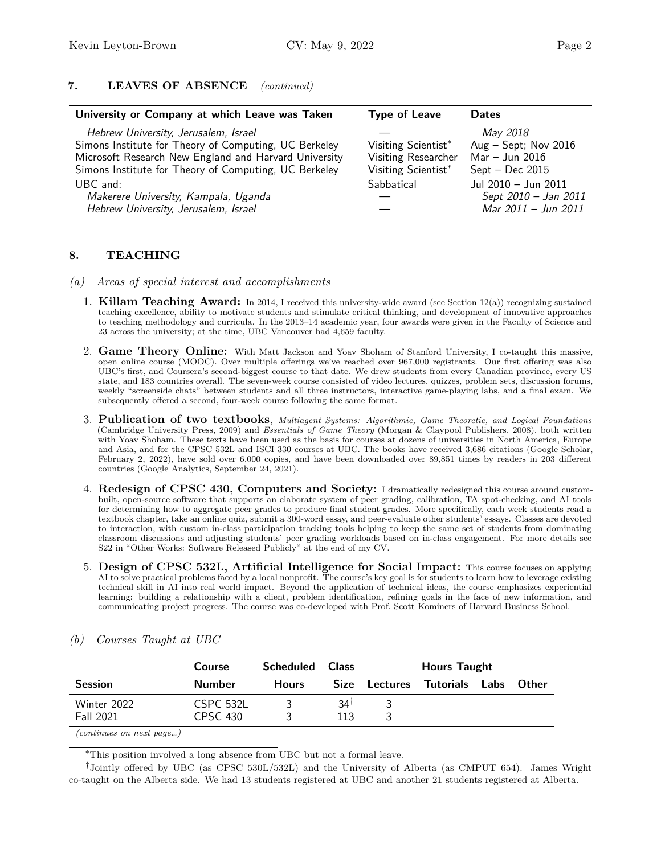# **7. LEAVES OF ABSENCE** *(continued)*

| University or Company at which Leave was Taken        | <b>Type of Leave</b> | <b>Dates</b>           |
|-------------------------------------------------------|----------------------|------------------------|
| Hebrew University, Jerusalem, Israel                  |                      | May 2018               |
| Simons Institute for Theory of Computing, UC Berkeley | Visiting Scientist*  | Aug $-$ Sept; Nov 2016 |
| Microsoft Research New England and Harvard University | Visiting Researcher  | Mar - Jun 2016         |
| Simons Institute for Theory of Computing, UC Berkeley | Visiting Scientist*  | $Sept - Dec 2015$      |
| UBC and:                                              | Sabbatical           | Jul 2010 - Jun 2011    |
| Makerere University, Kampala, Uganda                  |                      | Sept 2010 - Jan 2011   |
| Hebrew University, Jerusalem, Israel                  |                      | Mar 2011 - Jun 2011    |

## **8. TEACHING**

- *(a) Areas of special interest and accomplishments*
	- 1. **Killam Teaching Award:** In 2014, I received this university-wide award (see Section 12(a)) recognizing sustained teaching excellence, ability to motivate students and stimulate critical thinking, and development of innovative approaches to teaching methodology and curricula. In the 2013–14 academic year, four awards were given in the Faculty of Science and 23 across the university; at the time, UBC Vancouver had 4,659 faculty.
	- 2. **Game Theory Online:** With Matt Jackson and Yoav Shoham of Stanford University, I co-taught this massive, open online course (MOOC). Over multiple offerings we've reached over 967,000 registrants. Our first offering was also UBC's first, and Coursera's second-biggest course to that date. We drew students from every Canadian province, every US state, and 183 countries overall. The seven-week course consisted of video lectures, quizzes, problem sets, discussion forums, weekly "screenside chats" between students and all three instructors, interactive game-playing labs, and a final exam. We subsequently offered a second, four-week course following the same format.
	- 3. **Publication of two textbooks**, *Multiagent Systems: Algorithmic, Game Theoretic, and Logical Foundations* (Cambridge University Press, 2009) and *Essentials of Game Theory* (Morgan & Claypool Publishers, 2008), both written with Yoav Shoham. These texts have been used as the basis for courses at dozens of universities in North America, Europe and Asia, and for the CPSC 532L and ISCI 330 courses at UBC. The books have received 3,686 citations (Google Scholar, February 2, 2022), have sold over 6,000 copies, and have been downloaded over 89,851 times by readers in 203 different countries (Google Analytics, September 24, 2021).
	- 4. **Redesign of CPSC 430, Computers and Society:** I dramatically redesigned this course around custombuilt, open-source software that supports an elaborate system of peer grading, calibration, TA spot-checking, and AI tools for determining how to aggregate peer grades to produce final student grades. More specifically, each week students read a textbook chapter, take an online quiz, submit a 300-word essay, and peer-evaluate other students' essays. Classes are devoted to interaction, with custom in-class participation tracking tools helping to keep the same set of students from dominating classroom discussions and adjusting students' peer grading workloads based on in-class engagement. For more details see [S22](#page-0-1) in "Other Works: Software Released Publicly" at the end of my CV.
	- 5. **Design of CPSC 532L, Artificial Intelligence for Social Impact:** This course focuses on applying AI to solve practical problems faced by a local nonprofit. The course's key goal is for students to learn how to leverage existing technical skill in AI into real world impact. Beyond the application of technical ideas, the course emphasizes experiential learning: building a relationship with a client, problem identification, refining goals in the face of new information, and communicating project progress. The course was co-developed with Prof. Scott Kominers of Harvard Business School.

|                                 | <b>Course</b>                | Scheduled    | <b>Class</b> | <b>Hours Taught</b>                  |  |
|---------------------------------|------------------------------|--------------|--------------|--------------------------------------|--|
| <b>Session</b>                  | <b>Number</b>                | <b>Hours</b> | Size         | <b>Lectures Tutorials Labs Other</b> |  |
| Winter 2022<br><b>Fall 2021</b> | CSPC 532L<br><b>CPSC 430</b> |              | 341<br>113   |                                      |  |

*(b) Courses Taught at UBC*

*(continues on next page…)*

<span id="page-1-1"></span><span id="page-1-0"></span><sup>∗</sup>This position involved a long absence from UBC but not a formal leave.

† Jointly offered by UBC (as CPSC 530L/532L) and the University of Alberta (as CMPUT 654). James Wright co-taught on the Alberta side. We had 13 students registered at UBC and another 21 students registered at Alberta.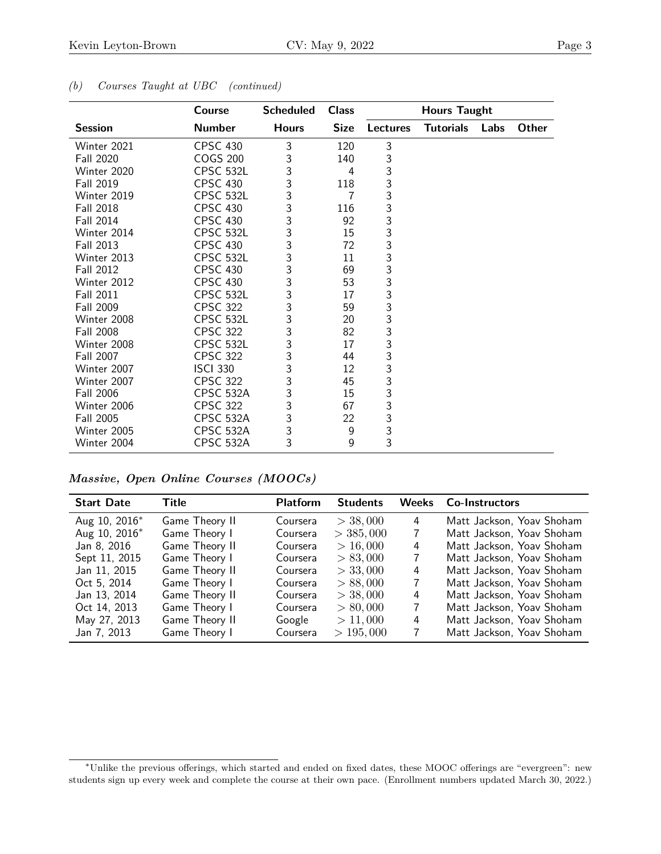|                  | <b>Course</b>    | <b>Scheduled</b> | <b>Class</b>   |                           | <b>Hours Taught</b> |      |              |
|------------------|------------------|------------------|----------------|---------------------------|---------------------|------|--------------|
| <b>Session</b>   | <b>Number</b>    | <b>Hours</b>     | <b>Size</b>    | <b>Lectures</b>           | <b>Tutorials</b>    | Labs | <b>Other</b> |
| Winter 2021      | <b>CPSC 430</b>  | 3                | 120            | 3                         |                     |      |              |
| Fall 2020        | <b>COGS 200</b>  | 3                | 140            | $\ensuremath{\mathsf{3}}$ |                     |      |              |
| Winter 2020      | <b>CPSC 532L</b> | 3                | 4              | 3                         |                     |      |              |
| Fall 2019        | <b>CPSC 430</b>  | 3                | 118            | 3                         |                     |      |              |
| Winter 2019      | CPSC 532L        | 3                | $\overline{7}$ | $\mathfrak{Z}$            |                     |      |              |
| Fall 2018        | <b>CPSC 430</b>  | 3                | 116            | 3                         |                     |      |              |
| Fall 2014        | <b>CPSC 430</b>  | 3                | 92             | 3                         |                     |      |              |
| Winter 2014      | CPSC 532L        | 3                | 15             | $\mathfrak{Z}$            |                     |      |              |
| <b>Fall 2013</b> | <b>CPSC 430</b>  | 3                | 72             | 3                         |                     |      |              |
| Winter 2013      | CPSC 532L        | 3                | 11             | 3                         |                     |      |              |
| <b>Fall 2012</b> | <b>CPSC 430</b>  | 3                | 69             | 3                         |                     |      |              |
| Winter 2012      | <b>CPSC 430</b>  | 3                | 53             | 3                         |                     |      |              |
| <b>Fall 2011</b> | CPSC 532L        | 3                | 17             | $\mathfrak{Z}$            |                     |      |              |
| Fall 2009        | <b>CPSC 322</b>  | 3                | 59             | 3                         |                     |      |              |
| Winter 2008      | CPSC 532L        | 3                | 20             | 3                         |                     |      |              |
| <b>Fall 2008</b> | <b>CPSC 322</b>  | 3                | 82             | 3                         |                     |      |              |
| Winter 2008      | <b>CPSC 532L</b> | 3                | 17             | 3                         |                     |      |              |
| <b>Fall 2007</b> | <b>CPSC 322</b>  | 3                | 44             | $\mathfrak{Z}$            |                     |      |              |
| Winter 2007      | <b>ISCI 330</b>  | 3                | 12             | 3                         |                     |      |              |
| Winter 2007      | <b>CPSC 322</b>  | 3                | 45             | 3                         |                     |      |              |
| Fall 2006        | <b>CPSC 532A</b> | 3                | 15             | $\mathfrak{Z}$            |                     |      |              |
| Winter 2006      | <b>CPSC 322</b>  | 3                | 67             | 3                         |                     |      |              |
| Fall 2005        | <b>CPSC 532A</b> | 3                | 22             | $\mathfrak{Z}$            |                     |      |              |
| Winter 2005      | CPSC 532A        | 3                | 9              | 3                         |                     |      |              |
| Winter 2004      | CPSC 532A        | 3                | 9              | 3                         |                     |      |              |

## *(b) Courses Taught at UBC (continued)*

*Massive, Open Online Courses (MOOCs)*

| <b>Start Date</b> | Title          | <b>Platform</b> | <b>Students</b> |   | Weeks Co-Instructors      |
|-------------------|----------------|-----------------|-----------------|---|---------------------------|
| Aug 10, 2016*     | Game Theory II | Coursera        | $>$ 38,000      | 4 | Matt Jackson, Yoav Shoham |
| Aug 10, 2016*     | Game Theory I  | Coursera        | $>$ 385, 000    | 7 | Matt Jackson, Yoav Shoham |
| Jan 8, 2016       | Game Theory II | Coursera        | > 16,000        | 4 | Matt Jackson, Yoav Shoham |
| Sept 11, 2015     | Game Theory I  | Coursera        | > 83,000        | 7 | Matt Jackson, Yoav Shoham |
| Jan 11, 2015      | Game Theory II | Coursera        | $>$ 33,000      | 4 | Matt Jackson, Yoav Shoham |
| Oct 5, 2014       | Game Theory I  | Coursera        | > 88,000        | 7 | Matt Jackson, Yoav Shoham |
| Jan 13, 2014      | Game Theory II | Coursera        | $>$ 38,000      | 4 | Matt Jackson, Yoav Shoham |
| Oct 14, 2013      | Game Theory I  | Coursera        | > 80,000        | 7 | Matt Jackson, Yoav Shoham |
| May 27, 2013      | Game Theory II | Google          | > 11,000        | 4 | Matt Jackson, Yoav Shoham |
| Jan 7, 2013       | Game Theory I  | Coursera        | > 195,000       | 7 | Matt Jackson, Yoav Shoham |

<span id="page-2-0"></span><sup>∗</sup>Unlike the previous offerings, which started and ended on fixed dates, these MOOC offerings are "evergreen": new students sign up every week and complete the course at their own pace. (Enrollment numbers updated March 30, 2022.)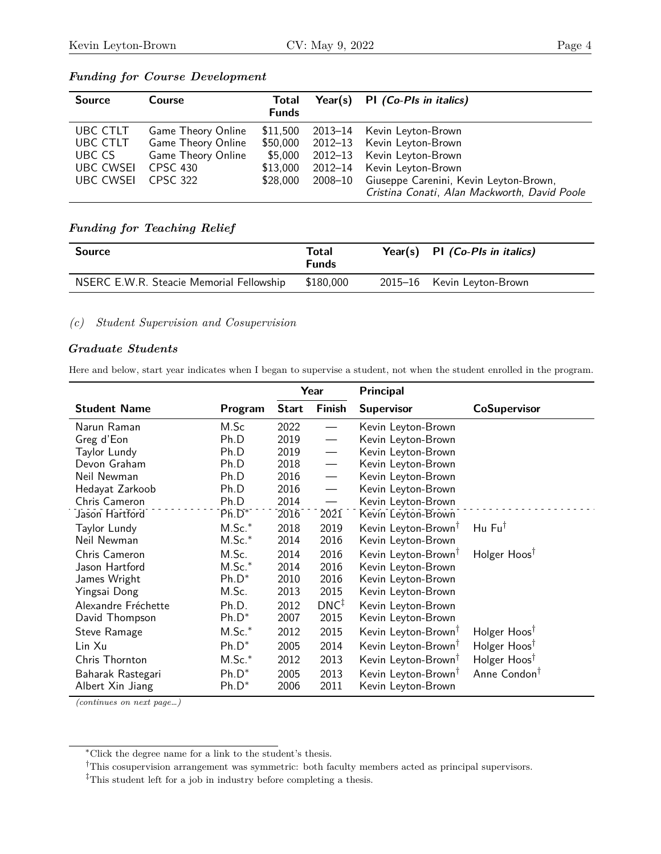| <b>Source</b>                                                          | Course                                                                                                      | Total<br><b>Funds</b>                                   | Year(s) | PI (Co-PIs in italics)                                                                                                                                                                                         |
|------------------------------------------------------------------------|-------------------------------------------------------------------------------------------------------------|---------------------------------------------------------|---------|----------------------------------------------------------------------------------------------------------------------------------------------------------------------------------------------------------------|
| UBC CTLT<br>UBC CTLT<br>UBC CS<br><b>UBC CWSEI</b><br><b>UBC CWSEI</b> | <b>Game Theory Online</b><br><b>Game Theory Online</b><br>Game Theory Online<br><b>CPSC 430</b><br>CPSC 322 | \$11,500<br>\$50,000<br>\$5,000<br>\$13,000<br>\$28,000 | 2008–10 | 2013-14 Kevin Leyton-Brown<br>2012-13 Kevin Leyton-Brown<br>2012-13 Kevin Leyton-Brown<br>2012-14 Kevin Leyton-Brown<br>Giuseppe Carenini, Kevin Leyton-Brown,<br>Cristina Conati, Alan Mackworth, David Poole |

### *Funding for Course Development*

## *Funding for Teaching Relief*

| <b>Source</b>                            | Total<br><b>Funds</b> | Year(s) PI $(Co-PIs \text{ in } italics)$ |
|------------------------------------------|-----------------------|-------------------------------------------|
| NSERC E.W.R. Steacie Memorial Fellowship | \$180,000             | 2015-16 Kevin Leyton-Brown                |

*(c) Student Supervision and Cosupervision*

#### *Graduate Students*

Here and below, start year indicates when I began to supervise a student, not when the student enrolled in the program.

|                     |          | Year         |                          | Principal                       |                          |
|---------------------|----------|--------------|--------------------------|---------------------------------|--------------------------|
| <b>Student Name</b> | Program  | <b>Start</b> | <b>Finish</b>            | <b>Supervisor</b>               | CoSupervisor             |
| Narun Raman         | M.Sc     | 2022         |                          | Kevin Leyton-Brown              |                          |
| Greg d'Eon          | Ph.D     | 2019         |                          | Kevin Leyton-Brown              |                          |
| Taylor Lundy        | Ph.D     | 2019         |                          | Kevin Leyton-Brown              |                          |
| Devon Graham        | Ph.D     | 2018         | $\overline{\phantom{0}}$ | Kevin Leyton-Brown              |                          |
| Neil Newman         | Ph.D     | 2016         |                          | Kevin Leyton-Brown              |                          |
| Hedayat Zarkoob     | Ph.D     | 2016         |                          | Kevin Leyton-Brown              |                          |
| Chris Cameron       | Ph.D     | 2014         |                          | Kevin Leyton-Brown              |                          |
| Jason Hartford      | $Ph.D^*$ | 2016         | 2021                     | Kevin Leyton-Brown              |                          |
| Taylor Lundy        | $M.Sc.*$ | 2018         | 2019                     | Kevin Leyton-Brown <sup>†</sup> | Hu Fu <sup>†</sup>       |
| Neil Newman         | $M.Sc.*$ | 2014         | 2016                     | Kevin Leyton-Brown              |                          |
| Chris Cameron       | M.Sc.    | 2014         | 2016                     | Kevin Leyton-Brown <sup>†</sup> | Holger Hoos <sup>†</sup> |
| Jason Hartford      | $M.Sc.*$ | 2014         | 2016                     | Kevin Leyton-Brown              |                          |
| James Wright        | $Ph.D^*$ | 2010         | 2016                     | Kevin Leyton-Brown              |                          |
| Yingsai Dong        | M.Sc.    | 2013         | 2015                     | Kevin Leyton-Brown              |                          |
| Alexandre Fréchette | Ph.D.    | 2012         | $DNC^{\ddagger}$         | Kevin Leyton-Brown              |                          |
| David Thompson      | $Ph.D^*$ | 2007         | 2015                     | Kevin Leyton-Brown              |                          |
| Steve Ramage        | $M.Sc.*$ | 2012         | 2015                     | Kevin Leyton-Brown <sup>†</sup> | Holger Hoos <sup>†</sup> |
| Lin Xu              | $Ph.D^*$ | 2005         | 2014                     | Kevin Leyton-Brown <sup>T</sup> | Holger Hoos <sup>†</sup> |
| Chris Thornton      | $M.Sc.*$ | 2012         | 2013                     | Kevin Leyton-Brown <sup>†</sup> | Holger Hoos <sup>†</sup> |
| Baharak Rastegari   | $Ph.D^*$ | 2005         | 2013                     | Kevin Leyton-Brown <sup>†</sup> | Anne Condon <sup>†</sup> |
| Albert Xin Jiang    | $Ph.D^*$ | 2006         | 2011                     | Kevin Leyton-Brown              |                          |

<span id="page-3-0"></span><sup>∗</sup>Click the degree name for a link to the student's thesis.

<span id="page-3-1"></span> $^\dagger$ This cosupervision arrangement was symmetric: both faculty members acted as principal supervisors.

<span id="page-3-2"></span><sup>‡</sup>This student left for a job in industry before completing a thesis.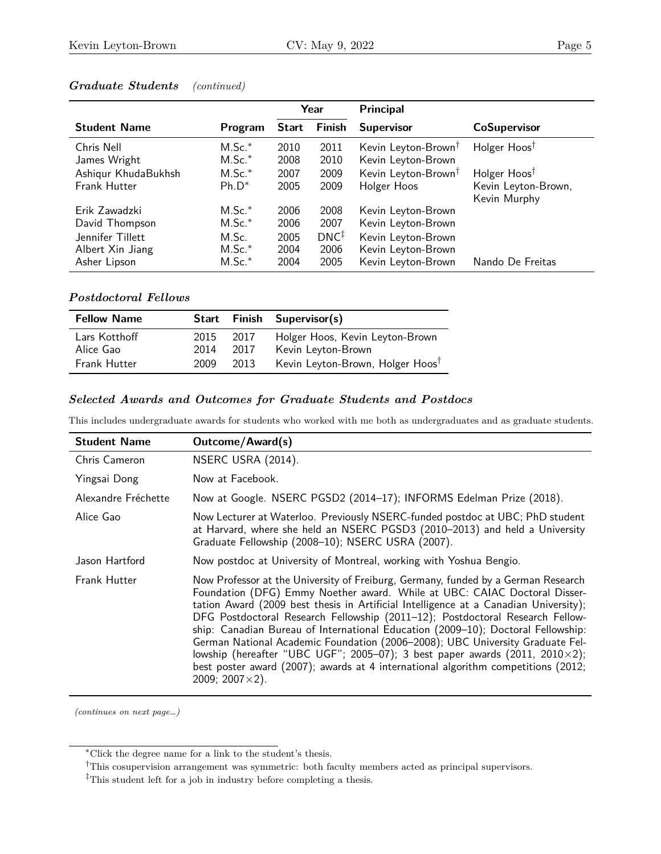|                                     |                      | Year         |                  | <b>Principal</b>                                      |                                                 |
|-------------------------------------|----------------------|--------------|------------------|-------------------------------------------------------|-------------------------------------------------|
| <b>Student Name</b>                 | Program              | <b>Start</b> | <b>Finish</b>    | <b>Supervisor</b>                                     | <b>CoSupervisor</b>                             |
| Chris Nell<br>James Wright          | $M.Sc.*$<br>$M.Sc.*$ | 2010<br>2008 | 2011<br>2010     | Kevin Leyton-Brown <sup>†</sup><br>Kevin Leyton-Brown | Holger Hoos <sup>†</sup>                        |
| Ashiqur KhudaBukhsh<br>Frank Hutter | $M.Sc.*$<br>$Ph.D^*$ | 2007<br>2005 | 2009<br>2009     | Kevin Leyton-Brown <sup>†</sup><br>Holger Hoos        | Holger Hoos <sup>†</sup><br>Kevin Leyton-Brown, |
|                                     |                      |              |                  |                                                       | Kevin Murphy                                    |
| Erik Zawadzki                       | $M.Sc.*$             | 2006         | 2008             | Kevin Leyton-Brown                                    |                                                 |
| David Thompson                      | $M.Sc.*$             | 2006         | 2007             | Kevin Leyton-Brown                                    |                                                 |
| Jennifer Tillett                    | M.Sc.                | 2005         | $DNC^{\ddagger}$ | Kevin Leyton-Brown                                    |                                                 |
| Albert Xin Jiang                    | $M.Sc.*$             | 2004         | 2006             | Kevin Leyton-Brown                                    |                                                 |
| Asher Lipson                        | $M.Sc.*$             | 2004         | 2005             | Kevin Leyton-Brown                                    | Nando De Freitas                                |

# *Graduate Students (continued)*

### *Postdoctoral Fellows*

| <b>Fellow Name</b> |      |      | Start Finish Supervisor(s)                   |
|--------------------|------|------|----------------------------------------------|
| Lars Kotthoff      | 2015 | 2017 | Holger Hoos, Kevin Leyton-Brown              |
| Alice Gao          | 2014 | 2017 | Kevin Leyton-Brown                           |
| Frank Hutter       | 2009 | 2013 | Kevin Leyton-Brown, Holger Hoos <sup>†</sup> |

## *Selected Awards and Outcomes for Graduate Students and Postdocs*

This includes undergraduate awards for students who worked with me both as undergraduates and as graduate students.

| <b>Student Name</b> | <b>Outcome/Award(s)</b>                                                                                                                                                                                                                                                                                                                                                                                                                                                                                                                                                                                                                                                                                              |
|---------------------|----------------------------------------------------------------------------------------------------------------------------------------------------------------------------------------------------------------------------------------------------------------------------------------------------------------------------------------------------------------------------------------------------------------------------------------------------------------------------------------------------------------------------------------------------------------------------------------------------------------------------------------------------------------------------------------------------------------------|
| Chris Cameron       | NSERC USRA (2014).                                                                                                                                                                                                                                                                                                                                                                                                                                                                                                                                                                                                                                                                                                   |
| Yingsai Dong        | Now at Facebook.                                                                                                                                                                                                                                                                                                                                                                                                                                                                                                                                                                                                                                                                                                     |
| Alexandre Fréchette | Now at Google. NSERC PGSD2 (2014-17); INFORMS Edelman Prize (2018).                                                                                                                                                                                                                                                                                                                                                                                                                                                                                                                                                                                                                                                  |
| Alice Gao           | Now Lecturer at Waterloo. Previously NSERC-funded postdoc at UBC; PhD student<br>at Harvard, where she held an NSERC PGSD3 (2010-2013) and held a University<br>Graduate Fellowship (2008-10); NSERC USRA (2007).                                                                                                                                                                                                                                                                                                                                                                                                                                                                                                    |
| Jason Hartford      | Now postdoc at University of Montreal, working with Yoshua Bengio.                                                                                                                                                                                                                                                                                                                                                                                                                                                                                                                                                                                                                                                   |
| <b>Frank Hutter</b> | Now Professor at the University of Freiburg, Germany, funded by a German Research<br>Foundation (DFG) Emmy Noether award. While at UBC: CAIAC Doctoral Disser-<br>tation Award (2009 best thesis in Artificial Intelligence at a Canadian University);<br>DFG Postdoctoral Research Fellowship (2011-12); Postdoctoral Research Fellow-<br>ship: Canadian Bureau of International Education (2009-10); Doctoral Fellowship:<br>German National Academic Foundation (2006-2008); UBC University Graduate Fel-<br>lowship (hereafter "UBC UGF"; 2005-07); 3 best paper awards (2011, 2010 $\times$ 2);<br>best poster award (2007); awards at 4 international algorithm competitions (2012;<br>2009; 2007 $\times$ 2). |

<span id="page-4-0"></span><sup>∗</sup>Click the degree name for a link to the student's thesis.

<span id="page-4-1"></span><sup>†</sup>This cosupervision arrangement was symmetric: both faculty members acted as principal supervisors.

<span id="page-4-2"></span><sup>‡</sup>This student left for a job in industry before completing a thesis.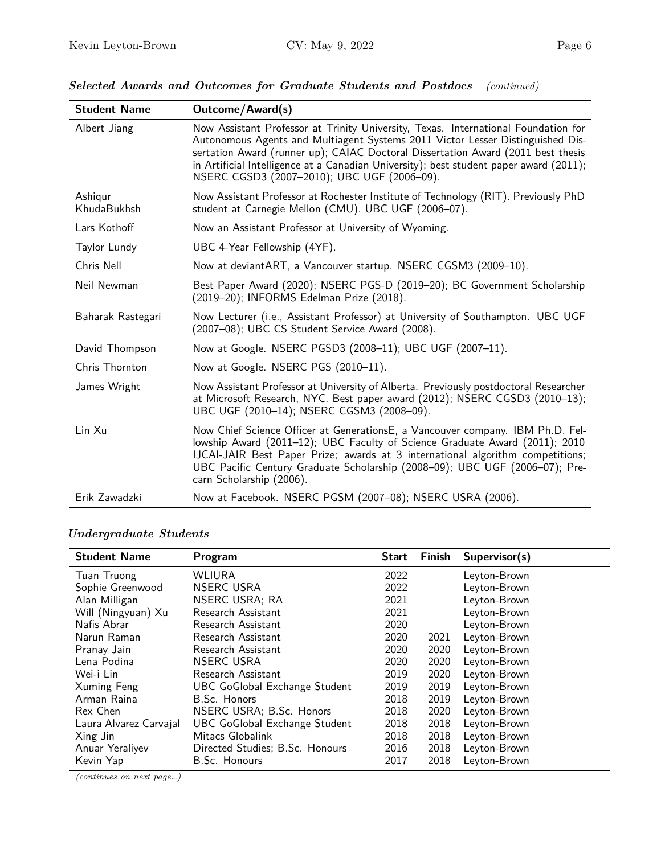| <b>Student Name</b>    | <b>Outcome/Award(s)</b>                                                                                                                                                                                                                                                                                                                                                                           |
|------------------------|---------------------------------------------------------------------------------------------------------------------------------------------------------------------------------------------------------------------------------------------------------------------------------------------------------------------------------------------------------------------------------------------------|
| Albert Jiang           | Now Assistant Professor at Trinity University, Texas. International Foundation for<br>Autonomous Agents and Multiagent Systems 2011 Victor Lesser Distinguished Dis-<br>sertation Award (runner up); CAIAC Doctoral Dissertation Award (2011 best thesis<br>in Artificial Intelligence at a Canadian University); best student paper award (2011);<br>NSERC CGSD3 (2007-2010); UBC UGF (2006-09). |
| Ashigur<br>KhudaBukhsh | Now Assistant Professor at Rochester Institute of Technology (RIT). Previously PhD<br>student at Carnegie Mellon (CMU). UBC UGF (2006-07).                                                                                                                                                                                                                                                        |
| Lars Kothoff           | Now an Assistant Professor at University of Wyoming.                                                                                                                                                                                                                                                                                                                                              |
| Taylor Lundy           | UBC 4-Year Fellowship (4YF).                                                                                                                                                                                                                                                                                                                                                                      |
| Chris Nell             | Now at deviantART, a Vancouver startup. NSERC CGSM3 (2009-10).                                                                                                                                                                                                                                                                                                                                    |
| Neil Newman            | Best Paper Award (2020); NSERC PGS-D (2019-20); BC Government Scholarship<br>(2019-20); INFORMS Edelman Prize (2018).                                                                                                                                                                                                                                                                             |
| Baharak Rastegari      | Now Lecturer (i.e., Assistant Professor) at University of Southampton. UBC UGF<br>(2007-08); UBC CS Student Service Award (2008).                                                                                                                                                                                                                                                                 |
| David Thompson         | Now at Google. NSERC PGSD3 (2008-11); UBC UGF (2007-11).                                                                                                                                                                                                                                                                                                                                          |
| Chris Thornton         | Now at Google. NSERC PGS (2010-11).                                                                                                                                                                                                                                                                                                                                                               |
| James Wright           | Now Assistant Professor at University of Alberta. Previously postdoctoral Researcher<br>at Microsoft Research, NYC. Best paper award (2012); NSERC CGSD3 (2010-13);<br>UBC UGF (2010-14); NSERC CGSM3 (2008-09).                                                                                                                                                                                  |
| Lin Xu                 | Now Chief Science Officer at GenerationsE, a Vancouver company. IBM Ph.D. Fel-<br>lowship Award (2011-12); UBC Faculty of Science Graduate Award (2011); 2010<br>IJCAI-JAIR Best Paper Prize; awards at 3 international algorithm competitions;<br>UBC Pacific Century Graduate Scholarship (2008-09); UBC UGF (2006-07); Pre-<br>carn Scholarship (2006).                                        |
| Erik Zawadzki          | Now at Facebook. NSERC PGSM (2007-08); NSERC USRA (2006).                                                                                                                                                                                                                                                                                                                                         |

# *Selected Awards and Outcomes for Graduate Students and Postdocs (continued)*

# *Undergraduate Students*

| <b>Student Name</b>    | Program                              | <b>Start</b> | <b>Finish</b> | Supervisor(s) |
|------------------------|--------------------------------------|--------------|---------------|---------------|
| Tuan Truong            | <b>WLIURA</b>                        | 2022         |               | Leyton-Brown  |
| Sophie Greenwood       | <b>NSERC USRA</b>                    | 2022         |               | Leyton-Brown  |
| Alan Milligan          | <b>NSERC USRA; RA</b>                | 2021         |               | Leyton-Brown  |
| Will (Ningyuan) Xu     | Research Assistant                   | 2021         |               | Leyton-Brown  |
| Nafis Abrar            | Research Assistant                   | 2020         |               | Leyton-Brown  |
| Narun Raman            | Research Assistant                   | 2020         | 2021          | Leyton-Brown  |
| Pranay Jain            | Research Assistant                   | 2020         | 2020          | Leyton-Brown  |
| Lena Podina            | NSERC USRA                           | 2020         | 2020          | Leyton-Brown  |
| Wei-i Lin              | Research Assistant                   | 2019         | 2020          | Leyton-Brown  |
| Xuming Feng            | <b>UBC GoGlobal Exchange Student</b> | 2019         | 2019          | Leyton-Brown  |
| Arman Raina            | B.Sc. Honors                         | 2018         | 2019          | Leyton-Brown  |
| Rex Chen               | NSERC USRA; B.Sc. Honors             | 2018         | 2020          | Leyton-Brown  |
| Laura Alvarez Carvajal | <b>UBC GoGlobal Exchange Student</b> | 2018         | 2018          | Leyton-Brown  |
| Xing Jin               | Mitacs Globalink                     | 2018         | 2018          | Leyton-Brown  |
| Anuar Yeraliyev        | Directed Studies; B.Sc. Honours      | 2016         | 2018          | Leyton-Brown  |
| Kevin Yap              | B.Sc. Honours                        | 2017         | 2018          | Leyton-Brown  |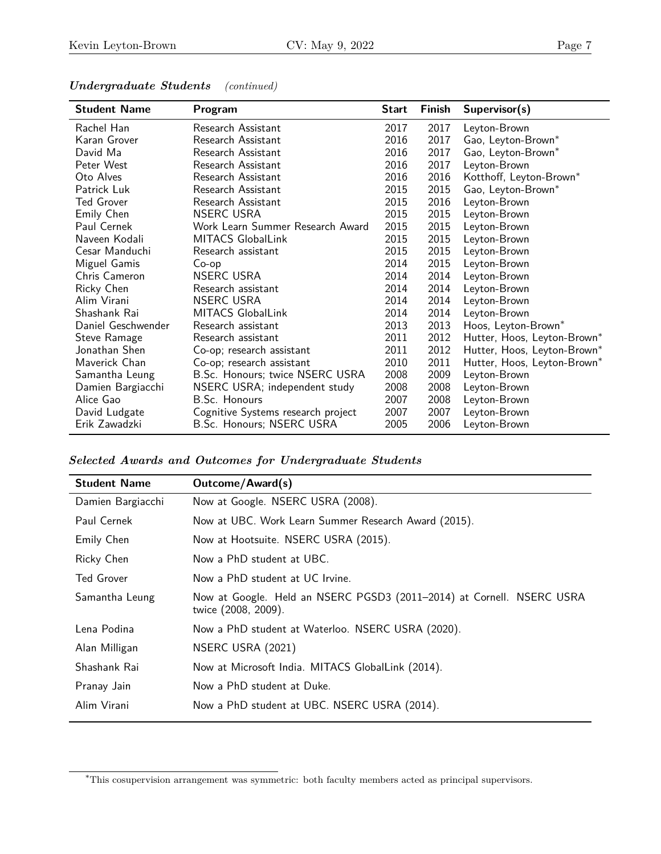| <b>Student Name</b> | Program                            | <b>Start</b> | Finish | Supervisor(s)               |
|---------------------|------------------------------------|--------------|--------|-----------------------------|
| Rachel Han          | Research Assistant                 | 2017         | 2017   | Leyton-Brown                |
| Karan Grover        | Research Assistant                 | 2016         | 2017   | Gao, Leyton-Brown*          |
| David Ma            | Research Assistant                 | 2016         | 2017   | Gao, Leyton-Brown*          |
| Peter West          | Research Assistant                 | 2016         | 2017   | Leyton-Brown                |
| Oto Alves           | Research Assistant                 | 2016         | 2016   | Kotthoff, Leyton-Brown*     |
| Patrick Luk         | Research Assistant                 | 2015         | 2015   | Gao, Leyton-Brown*          |
| Ted Grover          | Research Assistant                 | 2015         | 2016   | Leyton-Brown                |
| Emily Chen          | <b>NSERC USRA</b>                  | 2015         | 2015   | Leyton-Brown                |
| Paul Cernek         | Work Learn Summer Research Award   | 2015         | 2015   | Leyton-Brown                |
| Naveen Kodali       | <b>MITACS GlobalLink</b>           | 2015         | 2015   | Leyton-Brown                |
| Cesar Manduchi      | Research assistant                 | 2015         | 2015   | Leyton-Brown                |
| Miguel Gamis        | Co-op                              | 2014         | 2015   | Leyton-Brown                |
| Chris Cameron       | <b>NSERC USRA</b>                  | 2014         | 2014   | Leyton-Brown                |
| Ricky Chen          | Research assistant                 | 2014         | 2014   | Leyton-Brown                |
| Alim Virani         | <b>NSERC USRA</b>                  | 2014         | 2014   | Leyton-Brown                |
| Shashank Rai        | <b>MITACS GlobalLink</b>           | 2014         | 2014   | Leyton-Brown                |
| Daniel Geschwender  | Research assistant                 | 2013         | 2013   | Hoos, Leyton-Brown*         |
| Steve Ramage        | Research assistant                 | 2011         | 2012   | Hutter, Hoos, Leyton-Brown* |
| Jonathan Shen       | Co-op; research assistant          | 2011         | 2012   | Hutter, Hoos, Leyton-Brown* |
| Maverick Chan       | Co-op; research assistant          | 2010         | 2011   | Hutter, Hoos, Leyton-Brown* |
| Samantha Leung      | B.Sc. Honours; twice NSERC USRA    | 2008         | 2009   | Leyton-Brown                |
| Damien Bargiacchi   | NSERC USRA; independent study      | 2008         | 2008   | Leyton-Brown                |
| Alice Gao           | B.Sc. Honours                      | 2007         | 2008   | Leyton-Brown                |
| David Ludgate       | Cognitive Systems research project | 2007         | 2007   | Leyton-Brown                |
| Erik Zawadzki       | B.Sc. Honours; NSERC USRA          | 2005         | 2006   | Leyton-Brown                |

#### *Undergraduate Students (continued)*

*Selected Awards and Outcomes for Undergraduate Students*

| <b>Student Name</b> | Outcome/Award(s)                                                                             |
|---------------------|----------------------------------------------------------------------------------------------|
| Damien Bargiacchi   | Now at Google. NSERC USRA (2008).                                                            |
| Paul Cernek         | Now at UBC. Work Learn Summer Research Award (2015).                                         |
| Emily Chen          | Now at Hootsuite. NSERC USRA (2015).                                                         |
| Ricky Chen          | Now a PhD student at UBC.                                                                    |
| <b>Ted Grover</b>   | Now a PhD student at UC Irvine.                                                              |
| Samantha Leung      | Now at Google. Held an NSERC PGSD3 (2011-2014) at Cornell. NSERC USRA<br>twice (2008, 2009). |
| Lena Podina         | Now a PhD student at Waterloo. NSERC USRA (2020).                                            |
| Alan Milligan       | NSERC USRA (2021)                                                                            |
| Shashank Rai        | Now at Microsoft India. MITACS GlobalLink (2014).                                            |
| Pranay Jain         | Now a PhD student at Duke.                                                                   |
| Alim Virani         | Now a PhD student at UBC. NSERC USRA (2014).                                                 |
|                     |                                                                                              |

<span id="page-6-0"></span><sup>∗</sup>This cosupervision arrangement was symmetric: both faculty members acted as principal supervisors.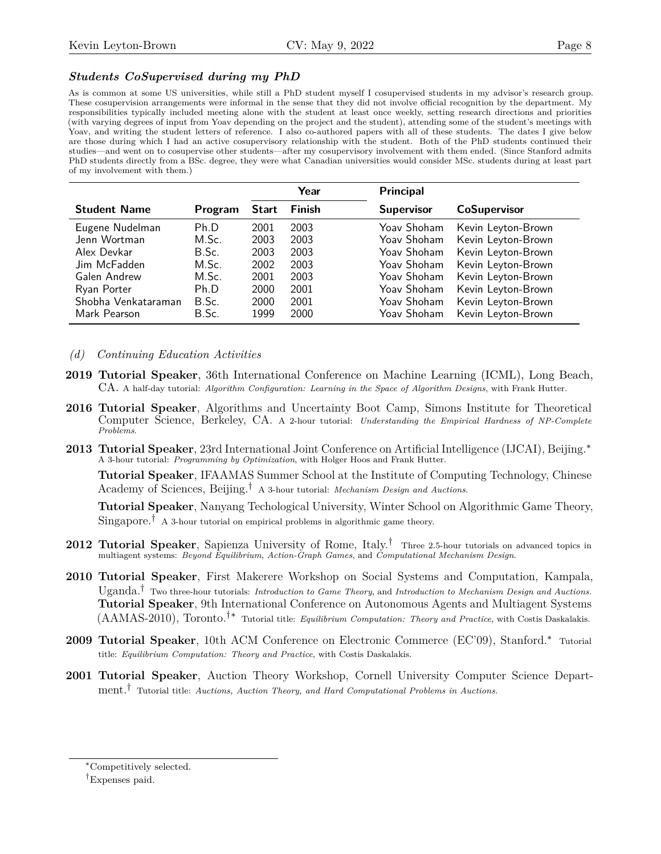#### *Students CoSupervised during my PhD*

As is common at some US universities, while still a PhD student myself I cosupervised students in my advisor's research group. These cosupervision arrangements were informal in the sense that they did not involve official recognition by the department. My responsibilities typically included meeting alone with the student at least once weekly, setting research directions and priorities (with varying degrees of input from Yoav depending on the project and the student), attending some of the student's meetings with Yoav, and writing the student letters of reference. I also co-authored papers with all of these students. The dates I give below are those during which I had an active cosupervisory relationship with the student. Both of the PhD students continued their studies—and went on to cosupervise other students—after my cosupervisory involvement with them ended. (Since Stanford admits PhD students directly from a BSc. degree, they were what Canadian universities would consider MSc. students during at least part of my involvement with them.)

|                     |         |              | Year   | <b>Principal</b>  |                     |
|---------------------|---------|--------------|--------|-------------------|---------------------|
| <b>Student Name</b> | Program | <b>Start</b> | Finish | <b>Supervisor</b> | <b>CoSupervisor</b> |
| Eugene Nudelman     | Ph.D    | 2001         | 2003   | Yoav Shoham       | Kevin Leyton-Brown  |
| Jenn Wortman        | M.Sc.   | 2003         | 2003   | Yoav Shoham       | Kevin Leyton-Brown  |
| Alex Devkar         | B.Sc.   | 2003         | 2003   | Yoav Shoham       | Kevin Leyton-Brown  |
| Jim McFadden        | M.Sc.   | 2002         | 2003   | Yoav Shoham       | Kevin Leyton-Brown  |
| Galen Andrew        | M.Sc.   | 2001         | 2003   | Yoav Shoham       | Kevin Leyton-Brown  |
| Ryan Porter         | Ph.D    | 2000         | 2001   | Yoav Shoham       | Kevin Leyton-Brown  |
| Shobha Venkataraman | B.Sc.   | 2000         | 2001   | Yoav Shoham       | Kevin Leyton-Brown  |
| Mark Pearson        | B.Sc.   | 1999         | 2000   | Yoav Shoham       | Kevin Leyton-Brown  |

#### *(d) Continuing Education Activities*

- **2019 Tutorial Speaker**, 36th International Conference on Machine Learning (ICML), Long Beach, CA. A half-day tutorial: *[Algorithm Configuration: Learning in the Space of Algorithm Designs](https://www.facebook.com/icml.imls/videos/2044426569187107/UzpfSTYzNjk2MTU4NzoxMDE1NjM5NjM4NTUyNjU4OA)*, with Frank Hutter.
- **2016 Tutorial Speaker**, Algorithms and Uncertainty Boot Camp, Simons Institute for Theoretical Computer Science, Berkeley, CA. A 2-hour tutorial: *Understanding the Empirical Hardness of NP-Complete Problems*.
- **2013 Tutorial Speaker**, 23rd International Joint Conference on Artificial Intelligence (IJCAI), Beijing.[∗](#page-7-0) A 3-hour tutorial: *Programming by Optimization*, with Holger Hoos and Frank Hutter.

**Tutorial Speaker**, IFAAMAS Summer School at the Institute of Computing Technology, Chinese Academy of Sciences, Beijing.[†](#page-7-1) A 3-hour tutorial: *Mechanism Design and Auctions*.

**Tutorial Speaker**, Nanyang Techological University, Winter School on Algorithmic Game Theory,  $Singapore.<sup>†</sup>$  A 3-hour tutorial on empirical problems in algorithmic game theory.

- **2012 Tutorial Speaker**, Sapienza University of Rome, Italy.† Three 2.5-hour tutorials on advanced topics in multiagent systems: *Beyond Equilibrium*, *Action-Graph Games*, and *Computational Mechanism Design*.
- **2010 Tutorial Speaker**, First Makerere Workshop on Social Systems and Computation, Kampala, Uganda.† Two three-hour tutorials: *Introduction to Game Theory*, and *Introduction to Mechanism Design and Auctions*. **Tutorial Speaker**, 9th International Conference on Autonomous Agents and Multiagent Systems (AAMAS-2010), Toronto.†∗ Tutorial title: *Equilibrium Computation: Theory and Practice*, with Costis Daskalakis.
- **2009 Tutorial Speaker**, 10th ACM Conference on Electronic Commerce (EC'09), Stanford.∗ Tutorial title: *Equilibrium Computation: Theory and Practice*, with Costis Daskalakis.
- **2001 Tutorial Speaker**, Auction Theory Workshop, Cornell University Computer Science Department.† Tutorial title: *Auctions, Auction Theory, and Hard Computational Problems in Auctions.*

<span id="page-7-0"></span><sup>∗</sup>Competitively selected.

<span id="page-7-1"></span><sup>†</sup>Expenses paid.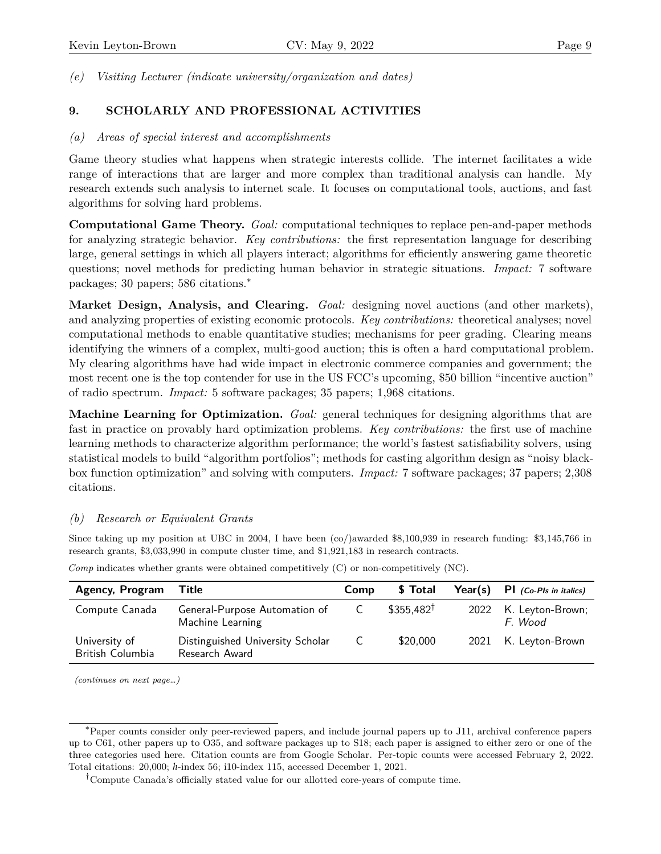*(e) Visiting Lecturer (indicate university/organization and dates)*

# **9. SCHOLARLY AND PROFESSIONAL ACTIVITIES**

## *(a) Areas of special interest and accomplishments*

Game theory studies what happens when strategic interests collide. The internet facilitates a wide range of interactions that are larger and more complex than traditional analysis can handle. My research extends such analysis to internet scale. It focuses on computational tools, auctions, and fast algorithms for solving hard problems.

**Computational Game Theory.** *Goal:* computational techniques to replace pen-and-paper methods for analyzing strategic behavior. *Key contributions:* the first representation language for describing large, general settings in which all players interact; algorithms for efficiently answering game theoretic questions; novel methods for predicting human behavior in strategic situations. *Impact:* 7 software packages; 30 papers; 586 citations.[∗](#page-8-0)

**Market Design, Analysis, and Clearing.** *Goal:* designing novel auctions (and other markets), and analyzing properties of existing economic protocols. *Key contributions:* theoretical analyses; novel computational methods to enable quantitative studies; mechanisms for peer grading. Clearing means identifying the winners of a complex, multi-good auction; this is often a hard computational problem. My clearing algorithms have had wide impact in electronic commerce companies and government; the most recent one is the top contender for use in the US FCC's upcoming, \$50 billion "incentive auction" of radio spectrum. *Impact:* 5 software packages; 35 papers; 1,968 citations.

**Machine Learning for Optimization.** *Goal:* general techniques for designing algorithms that are fast in practice on provably hard optimization problems. *Key contributions:* the first use of machine learning methods to characterize algorithm performance; the world's fastest satisfiability solvers, using statistical models to build "algorithm portfolios"; methods for casting algorithm design as "noisy blackbox function optimization" and solving with computers. *Impact:* 7 software packages; 37 papers; 2,308 citations.

# *(b) Research or Equivalent Grants*

Since taking up my position at UBC in 2004, I have been (co/)awarded \$8,100,939 in research funding: \$3,145,766 in research grants, \$3,033,990 in compute cluster time, and \$1,921,183 in research contracts.

| Agency, Program Title             |                                                    | <b>Comp</b>    | \$ Total             | Year(s) $PI$ (Co-PIs in italics) |
|-----------------------------------|----------------------------------------------------|----------------|----------------------|----------------------------------|
| Compute Canada                    | General-Purpose Automation of<br>Machine Learning  | $\overline{C}$ | $$355.482^{\dagger}$ | 2022 K. Leyton-Brown;<br>F. Wood |
| University of<br>British Columbia | Distinguished University Scholar<br>Research Award | $\mathsf{C}$   | \$20,000             | 2021 K. Leyton-Brown             |

*Comp* indicates whether grants were obtained competitively (C) or non-competitively (NC).

<span id="page-8-0"></span><sup>∗</sup>Paper counts consider only peer-reviewed papers, and include journal papers up to J11, archival conference papers up to C61, other papers up to O35, and software packages up to S18; each paper is assigned to either zero or one of the three categories used here. Citation counts are from Google Scholar. Per-topic counts were accessed February 2, 2022. Total citations: 20,000; *h*-index 56; i10-index 115, accessed December 1, 2021.

<span id="page-8-1"></span><sup>†</sup>Compute Canada's officially stated value for our allotted core-years of compute time.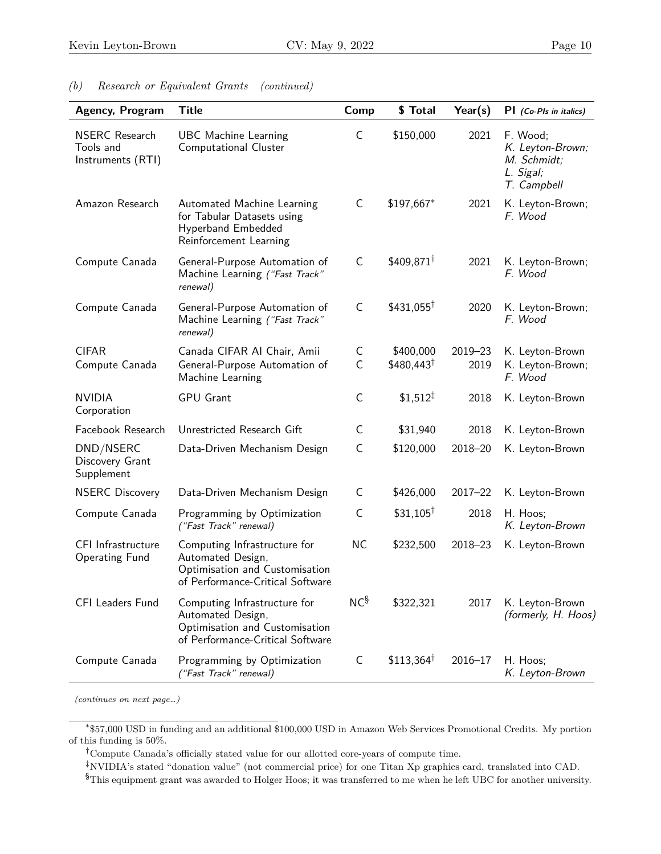| <b>Agency, Program</b>                                  | <b>Title</b>                                                                                                            | Comp            | \$ Total             | Year(s)     | $PI$ (Co-PIs in italics)                                                |
|---------------------------------------------------------|-------------------------------------------------------------------------------------------------------------------------|-----------------|----------------------|-------------|-------------------------------------------------------------------------|
| <b>NSERC</b> Research<br>Tools and<br>Instruments (RTI) | <b>UBC Machine Learning</b><br>Computational Cluster                                                                    | С               | \$150,000            | 2021        | F. Wood;<br>K. Leyton-Brown;<br>M. Schmidt;<br>L. Sigal;<br>T. Campbell |
| Amazon Research                                         | Automated Machine Learning<br>for Tabular Datasets using<br>Hyperband Embedded<br>Reinforcement Learning                | C               | \$197,667*           | 2021        | K. Leyton-Brown;<br>F. Wood                                             |
| Compute Canada                                          | General-Purpose Automation of<br>Machine Learning ("Fast Track"<br>renewal)                                             | C               | $$409,871^{\dagger}$ | 2021        | K. Leyton-Brown;<br>F. Wood                                             |
| Compute Canada                                          | General-Purpose Automation of<br>Machine Learning ("Fast Track"<br>renewal)                                             | C               | $$431,055^{\dagger}$ | 2020        | K. Leyton-Brown;<br>F. Wood                                             |
| <b>CIFAR</b>                                            | Canada CIFAR AI Chair, Amii                                                                                             | C               | \$400,000            | $2019 - 23$ | K. Leyton-Brown                                                         |
| Compute Canada                                          | General-Purpose Automation of<br>Machine Learning                                                                       | $\mathsf{C}$    | $$480,443^{\dagger}$ | 2019        | K. Leyton-Brown;<br>F. Wood                                             |
| <b>NVIDIA</b><br>Corporation                            | <b>GPU Grant</b>                                                                                                        | C               | $$1,512^{\ddagger}$  | 2018        | K. Leyton-Brown                                                         |
| Facebook Research                                       | Unrestricted Research Gift                                                                                              | C               | \$31,940             | 2018        | K. Leyton-Brown                                                         |
| DND/NSERC<br>Discovery Grant<br>Supplement              | Data-Driven Mechanism Design                                                                                            | C               | \$120,000            | 2018-20     | K. Leyton-Brown                                                         |
| <b>NSERC Discovery</b>                                  | Data-Driven Mechanism Design                                                                                            | C               | \$426,000            | $2017 - 22$ | K. Leyton-Brown                                                         |
| Compute Canada                                          | Programming by Optimization<br>("Fast Track" renewal)                                                                   | C               | $$31,105^{\dagger}$  | 2018        | H. Hoos;<br>K. Leyton-Brown                                             |
| <b>CFI</b> Infrastructure<br><b>Operating Fund</b>      | Computing Infrastructure for<br>Automated Design,<br>Optimisation and Customisation<br>of Performance-Critical Software | <b>NC</b>       | \$232,500            | $2018 - 23$ | K. Leyton-Brown                                                         |
| <b>CFI Leaders Fund</b>                                 | Computing Infrastructure for<br>Automated Design,<br>Optimisation and Customisation<br>of Performance-Critical Software | NC <sup>§</sup> | \$322,321            | 2017        | K. Leyton-Brown<br>(formerly, H. Hoos)                                  |
| Compute Canada                                          | Programming by Optimization<br>("Fast Track" renewal)                                                                   | C               | $$113,364^{\dagger}$ | $2016 - 17$ | H. Hoos;<br>K. Leyton-Brown                                             |

#### *(b) Research or Equivalent Grants (continued)*

*(continues on next page…)*

<span id="page-9-2"></span>‡NVIDIA's stated "donation value" (not commercial price) for one Titan Xp graphics card, translated into CAD.

<span id="page-9-0"></span><sup>∗</sup> \$57,000 USD in funding and an additional \$100,000 USD in Amazon Web Services Promotional Credits. My portion of this funding is 50%.

<span id="page-9-1"></span><sup>†</sup>Compute Canada's officially stated value for our allotted core-years of compute time.

<span id="page-9-3"></span><sup>§</sup>This equipment grant was awarded to Holger Hoos; it was transferred to me when he left UBC for another university.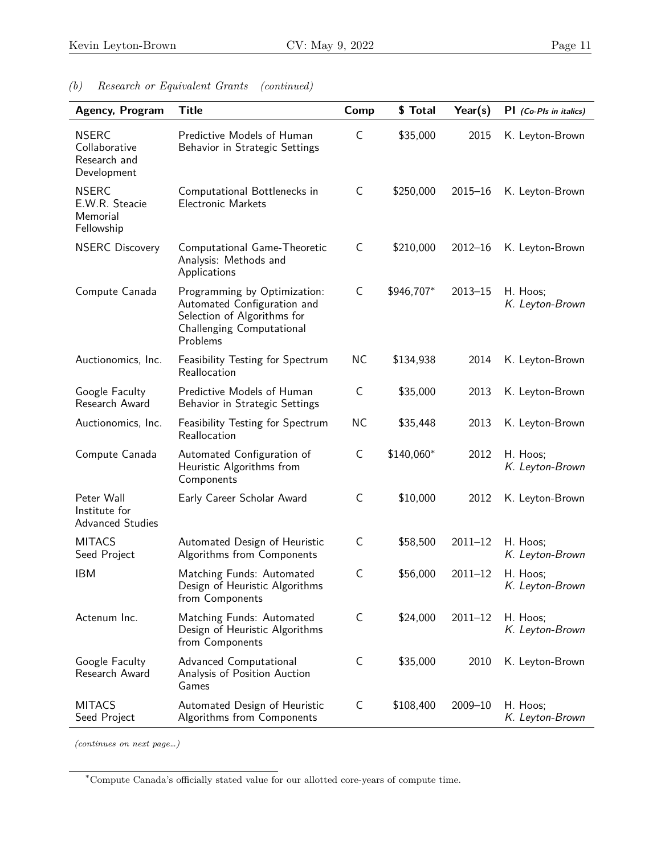| Agency, Program                                              | <b>Title</b>                                                                                                                        | Comp         | \$ Total   | Year(s)     | PI (Co-PIs in italics)      |
|--------------------------------------------------------------|-------------------------------------------------------------------------------------------------------------------------------------|--------------|------------|-------------|-----------------------------|
| <b>NSERC</b><br>Collaborative<br>Research and<br>Development | Predictive Models of Human<br>Behavior in Strategic Settings                                                                        | C            | \$35,000   | 2015        | K. Leyton-Brown             |
| <b>NSERC</b><br>E.W.R. Steacie<br>Memorial<br>Fellowship     | Computational Bottlenecks in<br><b>Electronic Markets</b>                                                                           | C            | \$250,000  | $2015 - 16$ | K. Leyton-Brown             |
| <b>NSERC Discovery</b>                                       | Computational Game-Theoretic<br>Analysis: Methods and<br>Applications                                                               | C            | \$210,000  | $2012 - 16$ | K. Leyton-Brown             |
| Compute Canada                                               | Programming by Optimization:<br>Automated Configuration and<br>Selection of Algorithms for<br>Challenging Computational<br>Problems | $\mathsf C$  | \$946,707* | $2013 - 15$ | H. Hoos;<br>K. Leyton-Brown |
| Auctionomics, Inc.                                           | Feasibility Testing for Spectrum<br>Reallocation                                                                                    | <b>NC</b>    | \$134,938  | 2014        | K. Leyton-Brown             |
| Google Faculty<br>Research Award                             | Predictive Models of Human<br>Behavior in Strategic Settings                                                                        | C            | \$35,000   | 2013        | K. Leyton-Brown             |
| Auctionomics, Inc.                                           | Feasibility Testing for Spectrum<br>Reallocation                                                                                    | <b>NC</b>    | \$35,448   | 2013        | K. Leyton-Brown             |
| Compute Canada                                               | Automated Configuration of<br>Heuristic Algorithms from<br>Components                                                               | $\mathsf{C}$ | \$140,060* | 2012        | H. Hoos;<br>K. Leyton-Brown |
| Peter Wall<br>Institute for<br><b>Advanced Studies</b>       | Early Career Scholar Award                                                                                                          | $\mathsf C$  | \$10,000   | 2012        | K. Leyton-Brown             |
| <b>MITACS</b><br>Seed Project                                | Automated Design of Heuristic<br>Algorithms from Components                                                                         | $\mathsf{C}$ | \$58,500   | $2011 - 12$ | H. Hoos;<br>K. Leyton-Brown |
| <b>IBM</b>                                                   | Matching Funds: Automated<br>Design of Heuristic Algorithms<br>from Components                                                      | C            | \$56,000   | $2011 - 12$ | H. Hoos;<br>K. Leyton-Brown |
| Actenum Inc.                                                 | Matching Funds: Automated<br>Design of Heuristic Algorithms<br>from Components                                                      | $\mathsf{C}$ | \$24,000   | $2011 - 12$ | H. Hoos;<br>K. Leyton-Brown |
| Google Faculty<br>Research Award                             | Advanced Computational<br>Analysis of Position Auction<br>Games                                                                     | C            | \$35,000   | 2010        | K. Leyton-Brown             |
| <b>MITACS</b><br>Seed Project                                | Automated Design of Heuristic<br>Algorithms from Components                                                                         | $\mathsf C$  | \$108,400  | $2009 - 10$ | H. Hoos;<br>K. Leyton-Brown |

# *(b) Research or Equivalent Grants (continued)*

*(continues on next page…)*

<span id="page-10-0"></span><sup>∗</sup>Compute Canada's officially stated value for our allotted core-years of compute time.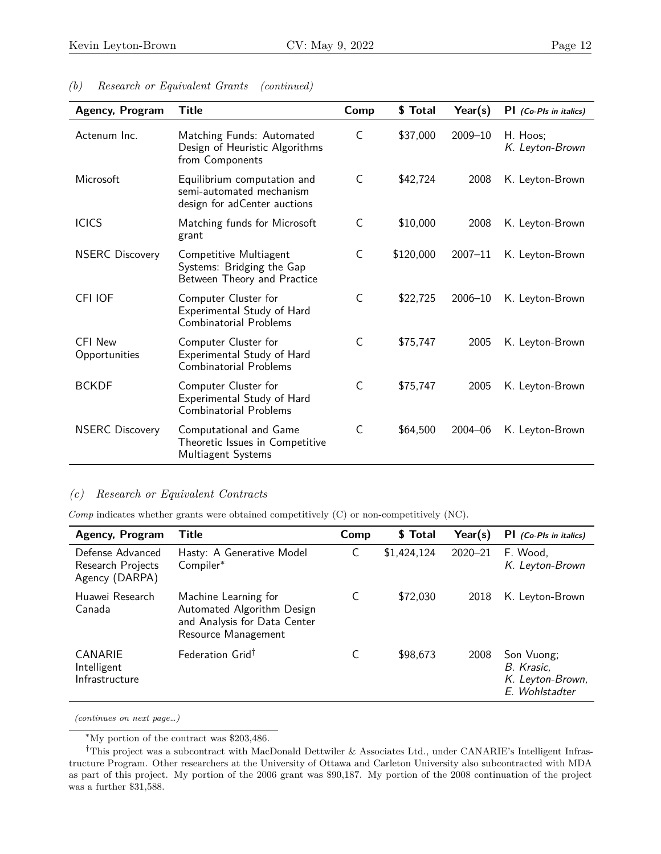| <b>Agency, Program</b>          | Title                                                                                   | Comp         | \$ Total  | Year(s)     | $PI$ (Co-PIs in italics)    |
|---------------------------------|-----------------------------------------------------------------------------------------|--------------|-----------|-------------|-----------------------------|
| Actenum Inc.                    | Matching Funds: Automated<br>Design of Heuristic Algorithms<br>from Components          | C            | \$37,000  | $2009 - 10$ | H. Hoos;<br>K. Leyton-Brown |
| Microsoft                       | Equilibrium computation and<br>semi-automated mechanism<br>design for adCenter auctions | $\mathsf C$  | \$42,724  | 2008        | K. Leyton-Brown             |
| <b>ICICS</b>                    | Matching funds for Microsoft<br>grant                                                   | $\mathsf{C}$ | \$10,000  | 2008        | K. Leyton-Brown             |
| <b>NSERC Discovery</b>          | Competitive Multiagent<br>Systems: Bridging the Gap<br>Between Theory and Practice      | C            | \$120,000 | $2007 - 11$ | K. Leyton-Brown             |
| CFI IOF                         | Computer Cluster for<br>Experimental Study of Hard<br>Combinatorial Problems            | $\mathsf C$  | \$22,725  | $2006 - 10$ | K. Leyton-Brown             |
| <b>CFI New</b><br>Opportunities | Computer Cluster for<br>Experimental Study of Hard<br><b>Combinatorial Problems</b>     | $\mathsf{C}$ | \$75,747  | 2005        | K. Leyton-Brown             |
| <b>BCKDF</b>                    | Computer Cluster for<br>Experimental Study of Hard<br><b>Combinatorial Problems</b>     | $\mathsf C$  | \$75,747  | 2005        | K. Leyton-Brown             |
| <b>NSERC Discovery</b>          | Computational and Game<br>Theoretic Issues in Competitive<br>Multiagent Systems         | $\mathsf{C}$ | \$64,500  | $2004 - 06$ | K. Leyton-Brown             |

# *(b) Research or Equivalent Grants (continued)*

## *(c) Research or Equivalent Contracts*

*Comp* indicates whether grants were obtained competitively (C) or non-competitively (NC).

| Agency, Program                                         | <b>Title</b>                                                                                              | Comp | \$ Total    | Year(s)     | $PI$ (Co-PIs in italics)                                       |
|---------------------------------------------------------|-----------------------------------------------------------------------------------------------------------|------|-------------|-------------|----------------------------------------------------------------|
| Defense Advanced<br>Research Projects<br>Agency (DARPA) | Hasty: A Generative Model<br>Compiler*                                                                    | C    | \$1,424,124 | $2020 - 21$ | F. Wood.<br>K. Leyton-Brown                                    |
| Huawei Research<br>Canada                               | Machine Learning for<br>Automated Algorithm Design<br>and Analysis for Data Center<br>Resource Management | C    | \$72,030    | 2018        | K. Leyton-Brown                                                |
| CANARIE<br>Intelligent<br>Infrastructure                | Federation Grid <sup>†</sup>                                                                              | C    | \$98,673    | 2008        | Son Vuong;<br>B. Krasic,<br>K. Leyton-Brown,<br>E. Wohlstadter |

<span id="page-11-1"></span><span id="page-11-0"></span><sup>∗</sup>My portion of the contract was \$203,486.

<sup>†</sup>This project was a subcontract with MacDonald Dettwiler & Associates Ltd., under CANARIE's Intelligent Infrastructure Program. Other researchers at the University of Ottawa and Carleton University also subcontracted with MDA as part of this project. My portion of the 2006 grant was \$90,187. My portion of the 2008 continuation of the project was a further \$31,588.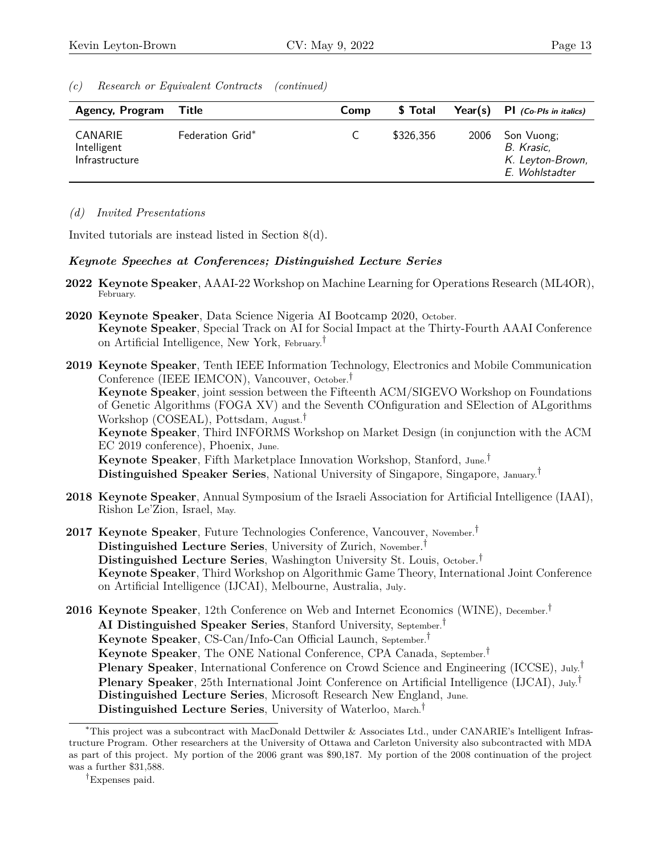*(c) Research or Equivalent Contracts (continued)*

| <b>Agency, Program Title</b>             |                         | Comp | \$ Total  |      | Year(s) $PI$ (Co-Pls in italics)                               |
|------------------------------------------|-------------------------|------|-----------|------|----------------------------------------------------------------|
| CANARIE<br>Intelligent<br>Infrastructure | <b>Federation Grid*</b> |      | \$326,356 | 2006 | Son Vuong;<br>B. Krasic,<br>K. Leyton-Brown,<br>E. Wohlstadter |

# <span id="page-12-2"></span>*(d) Invited Presentations*

Invited tutorials are instead listed in Section 8(d).

# *Keynote Speeches at Conferences; Distinguished Lecture Series*

- **2022 Keynote Speaker**, AAAI-22 Workshop on Machine Learning for Operations Research (ML4OR), February.
- **2020 Keynote Speaker**, Data Science Nigeria AI Bootcamp 2020, October. **Keynote Speaker**, Special Track on AI for Social Impact at the Thirty-Fourth AAAI Conference on Artificial Intelligence, New York, February.[†](#page-12-1)
- **2019 Keynote Speaker**, Tenth IEEE Information Technology, Electronics and Mobile Communication Conference (IEEE IEMCON), Vancouver, October.† **Keynote Speaker**, joint session between the Fifteenth ACM/SIGEVO Workshop on Foundations of Genetic Algorithms (FOGA XV) and the Seventh COnfiguration and SElection of ALgorithms Workshop (COSEAL), Pottsdam, August.† **Keynote Speaker**, Third INFORMS Workshop on Market Design (in conjunction with the ACM EC 2019 conference), Phoenix, June. **Keynote Speaker**, Fifth Marketplace Innovation Workshop, Stanford, June.† **Distinguished Speaker Series**, National University of Singapore, Singapore, January.†
- **2018 Keynote Speaker**, Annual Symposium of the Israeli Association for Artificial Intelligence (IAAI), Rishon Le'Zion, Israel, May.
- **2017 Keynote Speaker**, Future Technologies Conference, Vancouver, November.† **Distinguished Lecture Series**, University of Zurich, November. † **Distinguished Lecture Series**, Washington University St. Louis, October. † **Keynote Speaker**, Third Workshop on Algorithmic Game Theory, International Joint Conference on Artificial Intelligence (IJCAI), Melbourne, Australia, July.
- **2016 Keynote Speaker**, 12th Conference on Web and Internet Economics (WINE), December.† **AI Distinguished Speaker Series**, Stanford University, September.† **Keynote Speaker**, CS-Can/Info-Can Official Launch, September.† **Keynote Speaker**, The ONE National Conference, CPA Canada, September.† **Plenary Speaker**, International Conference on Crowd Science and Engineering (ICCSE), July.<sup>†</sup> **Plenary Speaker**, 25th International Joint Conference on Artificial Intelligence (IJCAI), July.<sup>†</sup> **Distinguished Lecture Series**, Microsoft Research New England, June. **Distinguished Lecture Series**, University of Waterloo, March.†

<span id="page-12-0"></span><sup>∗</sup>This project was a subcontract with MacDonald Dettwiler & Associates Ltd., under CANARIE's Intelligent Infrastructure Program. Other researchers at the University of Ottawa and Carleton University also subcontracted with MDA as part of this project. My portion of the 2006 grant was \$90,187. My portion of the 2008 continuation of the project was a further \$31,588.

<span id="page-12-1"></span><sup>†</sup>Expenses paid.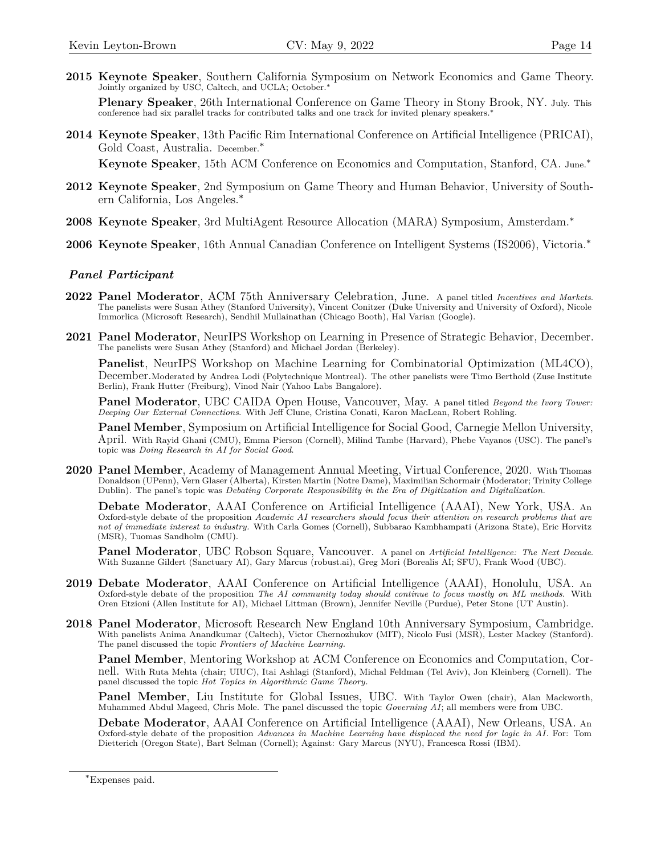**2015 Keynote Speaker**, Southern California Symposium on Network Economics and Game Theory. Jointly organized by USC, Caltech, and UCLA; October.[∗](#page-13-0)

**Plenary Speaker**, 26th International Conference on Game Theory in Stony Brook, NY. July. This conference had six parallel tracks for contributed talks and one track for invited plenary speakers.∗

**2014 Keynote Speaker**, 13th Pacific Rim International Conference on Artificial Intelligence (PRICAI), Gold Coast, Australia. December.∗

**Keynote Speaker**, 15th ACM Conference on Economics and Computation, Stanford, CA. June.∗

- **2012 Keynote Speaker**, 2nd Symposium on Game Theory and Human Behavior, University of Southern California, Los Angeles.∗
- **2008 Keynote Speaker**, 3rd MultiAgent Resource Allocation (MARA) Symposium, Amsterdam.∗
- **2006 Keynote Speaker**, 16th Annual Canadian Conference on Intelligent Systems (IS2006), Victoria.∗

#### *Panel Participant*

- **2022 Panel Moderator**, [ACM 75th Anniversary Celebration,](https://www.acm.org/75-celebration-event) June. A panel titled *Incentives and Markets*. The panelists were Susan Athey (Stanford University), Vincent Conitzer (Duke University and University of Oxford), Nicole Immorlica (Microsoft Research), Sendhil Mullainathan (Chicago Booth), Hal Varian (Google).
- **2021 Panel Moderator**, [NeurIPS Workshop on Learning in Presence of Strategic Behavior,](https://nips.cc/virtual/2021/workshop/21844) December. The panelists were Susan Athey (Stanford) and Michael Jordan (Berkeley).

**Panelist**, [NeurIPS Workshop on Machine Learning for Combinatorial Optimization \(ML4CO\),](https://www.ecole.ai/2021/ml4co-competition/) December.Moderated by Andrea Lodi (Polytechnique Montreal). The other panelists were Timo Berthold (Zuse Institute Berlin), Frank Hutter (Freiburg), Vinod Nair (Yahoo Labs Bangalore).

**Panel Moderator**, UBC CAIDA Open House, Vancouver, May. A panel titled *Beyond the Ivory Tower: Deeping Our External Connections*. With Jeff Clune, Cristina Conati, Karon MacLean, Robert Rohling.

**Panel Member**, [Symposium on Artificial Intelligence for Social Good,](https://sites.google.com/view/aiandsocialgood/aisoc21) Carnegie Mellon University, April. With Rayid Ghani (CMU), Emma Pierson (Cornell), Milind Tambe (Harvard), Phebe Vayanos (USC). The panel's topic was *Doing Research in AI for Social Good*.

**2020 Panel Member**, Academy of Management Annual Meeting, Virtual Conference, 2020. With Thomas Donaldson (UPenn), Vern Glaser (Alberta), Kirsten Martin (Notre Dame), Maximilian Schormair (Moderator; Trinity College Dublin). The panel's topic was *[Debating Corporate Responsibility in the Era of Digitization and Digitalization](https://doi.org/10.5465/AMBPP.2020.21319symposium)*.

**Debate Moderator**, AAAI Conference on Artificial Intelligence (AAAI), New York, USA. An Oxford-style debate of the proposition *Academic AI researchers should focus their attention on research problems that are not of immediate interest to industry.* With Carla Gomes (Cornell), Subbarao Kambhampati (Arizona State), Eric Horvitz (MSR), Tuomas Sandholm (CMU).

**Panel Moderator**, UBC Robson Square, Vancouver. A panel on *Artificial Intelligence: The Next Decade*. With Suzanne Gildert (Sanctuary AI), Gary Marcus (robust.ai), Greg Mori (Borealis AI; SFU), Frank Wood (UBC).

- **2019 Debate Moderator**, AAAI Conference on Artificial Intelligence (AAAI), Honolulu, USA. An Oxford-style debate of the proposition *[The AI community today should continue to focus mostly on ML methods.](https://aaai.org/Conferences/AAAI-19/oxford-style-debate-the-future-of-ai/)* With Oren Etzioni (Allen Institute for AI), Michael Littman (Brown), Jennifer Neville (Purdue), Peter Stone (UT Austin).
- **2018 Panel Moderator**, Microsoft Research New England 10th Anniversary Symposium, Cambridge. With panelists Anima Anandkumar (Caltech), Victor Chernozhukov (MIT), Nicolo Fusi (MSR), Lester Mackey (Stanford). The panel discussed the topic *Frontiers of Machine Learning.*

**Panel Member**, Mentoring Workshop at ACM Conference on Economics and Computation, Cornell. With Ruta Mehta (chair; UIUC), Itai Ashlagi (Stanford), Michal Feldman (Tel Aviv), Jon Kleinberg (Cornell). The panel discussed the topic *Hot Topics in Algorithmic Game Theory.*

**Panel Member**, Liu Institute for Global Issues, UBC. With Taylor Owen (chair), Alan Mackworth, Muhammed Abdul Mageed, Chris Mole. The panel discussed the topic *Governing AI*; all members were from UBC.

**Debate Moderator**, AAAI Conference on Artificial Intelligence (AAAI), New Orleans, USA. An Oxford-style debate of the proposition *[Advances in Machine Learning have displaced the need for logic in AI](https://www.youtube.com/watch?v=0zS2tXmrthI)*. For: Tom Dietterich (Oregon State), Bart Selman (Cornell); Against: Gary Marcus (NYU), Francesca Rossi (IBM).

<span id="page-13-0"></span><sup>∗</sup>Expenses paid.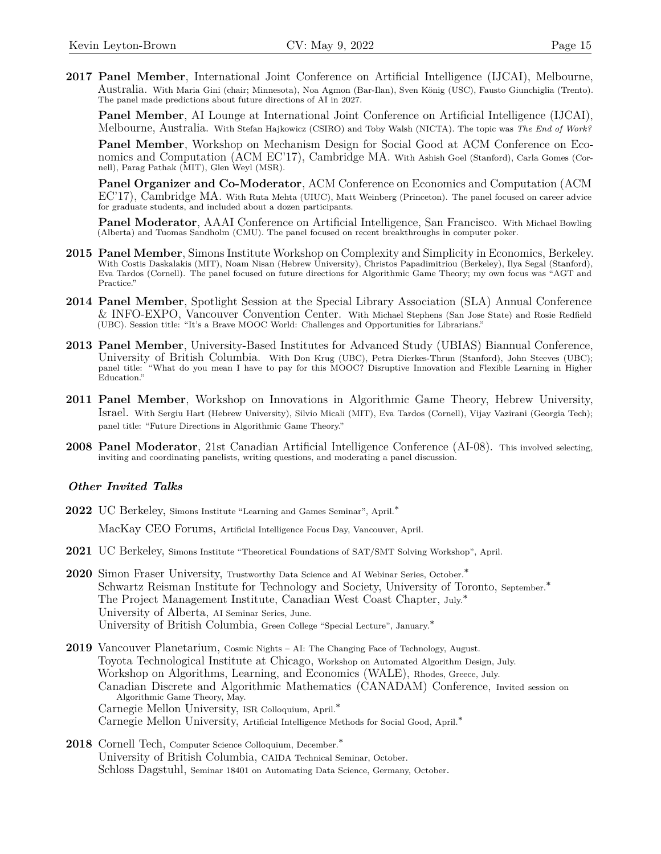**2017 Panel Member**, International Joint Conference on Artificial Intelligence (IJCAI), Melbourne, Australia. With Maria Gini (chair; Minnesota), Noa Agmon (Bar-Ilan), Sven König (USC), Fausto Giunchiglia (Trento). The panel made predictions about future directions of AI in 2027.

**Panel Member**, AI Lounge at International Joint Conference on Artificial Intelligence (IJCAI), Melbourne, Australia. With Stefan Hajkowicz (CSIRO) and Toby Walsh (NICTA). The topic was *The End of Work?*

**Panel Member**, Workshop on Mechanism Design for Social Good at ACM Conference on Economics and Computation (ACM EC'17), Cambridge MA. With Ashish Goel (Stanford), Carla Gomes (Cornell), Parag Pathak (MIT), Glen Weyl (MSR).

**Panel Organizer and Co-Moderator**, ACM Conference on Economics and Computation (ACM EC'17), Cambridge MA. With Ruta Mehta (UIUC), Matt Weinberg (Princeton). The panel focused on career advice for graduate students, and included about a dozen participants.

**Panel Moderator**, AAAI Conference on Artificial Intelligence, San Francisco. With Michael Bowling (Alberta) and Tuomas Sandholm (CMU). The panel focused on recent breakthroughs in computer poker.

- **2015 Panel Member**, Simons Institute Workshop on Complexity and Simplicity in Economics, Berkeley. With Costis Daskalakis (MIT), Noam Nisan (Hebrew University), Christos Papadimitriou (Berkeley), Ilya Segal (Stanford), Eva Tardos (Cornell). The panel focused on future directions for Algorithmic Game Theory; my own focus was "AGT and Practice."
- **2014 Panel Member**, Spotlight Session at the Special Library Association (SLA) Annual Conference & INFO-EXPO, Vancouver Convention Center. With Michael Stephens (San Jose State) and Rosie Redfield (UBC). Session title: "It's a Brave MOOC World: Challenges and Opportunities for Librarians."
- **2013 Panel Member**, University-Based Institutes for Advanced Study (UBIAS) Biannual Conference, University of British Columbia. With Don Krug (UBC), Petra Dierkes-Thrun (Stanford), John Steeves (UBC); panel title: "What do you mean I have to pay for this MOOC? Disruptive Innovation and Flexible Learning in Higher Education."
- **2011 Panel Member**, Workshop on Innovations in Algorithmic Game Theory, Hebrew University, Israel. With Sergiu Hart (Hebrew University), Silvio Micali (MIT), Eva Tardos (Cornell), Vijay Vazirani (Georgia Tech); panel title: "Future Directions in Algorithmic Game Theory."
- **2008 Panel Moderator**, 21st Canadian Artificial Intelligence Conference (AI-08). This involved selecting, inviting and coordinating panelists, writing questions, and moderating a panel discussion.

### *Other Invited Talks*

- 2022 UC Berkeley, Simons Institute "Learning and Games Seminar", April.<sup>\*</sup> MacKay CEO Forums, Artificial Intelligence Focus Day, Vancouver, April.
- **2021** UC Berkeley, Simons Institute "Theoretical Foundations of SAT/SMT Solving Workshop", April.
- **2020** Simon Fraser University, Trustworthy Data Science and AI Webinar Series, October.<sup>\*</sup> Schwartz Reisman Institute for Technology and Society, University of Toronto, September.∗ The Project Management Institute, Canadian West Coast Chapter, July.<sup>∗</sup> University of Alberta, AI Seminar Series, June. University of British Columbia, Green College "Special Lecture", January.∗
- **2019** Vancouver Planetarium, Cosmic Nights AI: The Changing Face of Technology, August. Toyota Technological Institute at Chicago, Workshop on Automated Algorithm Design, July. Workshop on Algorithms, Learning, and Economics (WALE), Rhodes, Greece, July. Canadian Discrete and Algorithmic Mathematics (CANADAM) Conference, Invited session on Algorithmic Game Theory, May. Carnegie Mellon University, ISR Colloquium, April.∗ Carnegie Mellon University, Artificial Intelligence Methods for Social Good, April.∗
- **2018** Cornell Tech, Computer Science Colloquium, December.∗ University of British Columbia, CAIDA Technical Seminar, October. Schloss Dagstuhl, Seminar 18401 on Automating Data Science, Germany, October.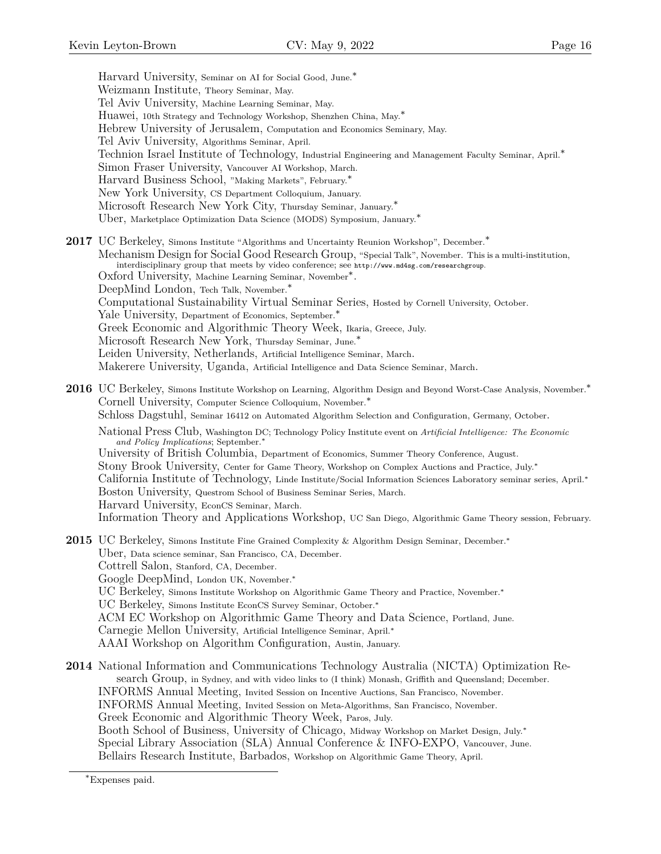Harvard University, Seminar on AI for Social Good, June.<sup>\*</sup> Weizmann Institute, Theory Seminar, May. Tel Aviv University, Machine Learning Seminar, May. Huawei, 10th Strategy and Technology Workshop, Shenzhen China, May.∗ Hebrew University of Jerusalem, Computation and Economics Seminary, May. Tel Aviv University, Algorithms Seminar, April. Technion Israel Institute of Technology, Industrial Engineering and Management Faculty Seminar, April.<sup>∗</sup> Simon Fraser University, Vancouver AI Workshop, March. Harvard Business School, "Making Markets", February.∗ New York University, CS Department Colloquium, January. Microsoft Research New York City, Thursday Seminar, January.<sup>\*</sup> Uber, Marketplace Optimization Data Science (MODS) Symposium, January.∗ **2017** UC Berkeley, Simons Institute "Algorithms and Uncertainty Reunion Workshop", December.<sup>\*</sup> Mechanism Design for Social Good Research Group, "Special Talk", November. This is a multi-institution, interdisciplinary group that meets by video conference; see <http://www.md4sg.com/researchgroup>. Oxford University, Machine Learning Seminar, November∗ . DeepMind London, Tech Talk, November.∗ Computational Sustainability Virtual Seminar Series, Hosted by Cornell University, October. Yale University, Department of Economics, September.∗ Greek Economic and Algorithmic Theory Week, Ikaria, Greece, July. Microsoft Research New York, Thursday Seminar, June.<sup>∗</sup> Leiden University, Netherlands, Artificial Intelligence Seminar, March. Makerere University, Uganda, Artificial Intelligence and Data Science Seminar, March. **2016** UC Berkeley, Simons Institute Workshop on Learning, Algorithm Design and Beyond Worst-Case Analysis, November.<sup>∗</sup> Cornell University, Computer Science Colloquium, November.∗ Schloss Dagstuhl, Seminar 16412 on Automated Algorithm Selection and Configuration, Germany, October. National Press Club, Washington DC; Technology Policy Institute event on *Artificial Intelligence: The Economic and Policy Implications*; September.∗ University of British Columbia, Department of Economics, Summer Theory Conference, August. Stony Brook University, Center for Game Theory, Workshop on Complex Auctions and Practice, July.∗ California Institute of Technology, Linde Institute/Social Information Sciences Laboratory seminar series, April.∗ Boston University, Questrom School of Business Seminar Series, March. Harvard University, EconCS Seminar, March. Information Theory and Applications Workshop, UC San Diego, Algorithmic Game Theory session, February. **2015** UC Berkeley, Simons Institute Fine Grained Complexity & Algorithm Design Seminar, December.∗ Uber, Data science seminar, San Francisco, CA, December. Cottrell Salon, Stanford, CA, December. Google DeepMind, London UK, November.∗ UC Berkeley, Simons Institute Workshop on Algorithmic Game Theory and Practice, November.∗ UC Berkeley, Simons Institute EconCS Survey Seminar, October.∗ ACM EC Workshop on Algorithmic Game Theory and Data Science, Portland, June. Carnegie Mellon University, Artificial Intelligence Seminar, April.∗ AAAI Workshop on Algorithm Configuration, Austin, January. **2014** National Information and Communications Technology Australia (NICTA) Optimization Research Group, in Sydney, and with video links to (I think) Monash, Griffith and Queensland; December. INFORMS Annual Meeting, Invited Session on Incentive Auctions, San Francisco, November. INFORMS Annual Meeting, Invited Session on Meta-Algorithms, San Francisco, November. Greek Economic and Algorithmic Theory Week, Paros, July. Booth School of Business, University of Chicago, Midway Workshop on Market Design, July.<sup>∗</sup>

Special Library Association (SLA) Annual Conference & INFO-EXPO, Vancouver, June. Bellairs Research Institute, Barbados, Workshop on Algorithmic Game Theory, April.

<span id="page-15-0"></span><sup>∗</sup>Expenses paid.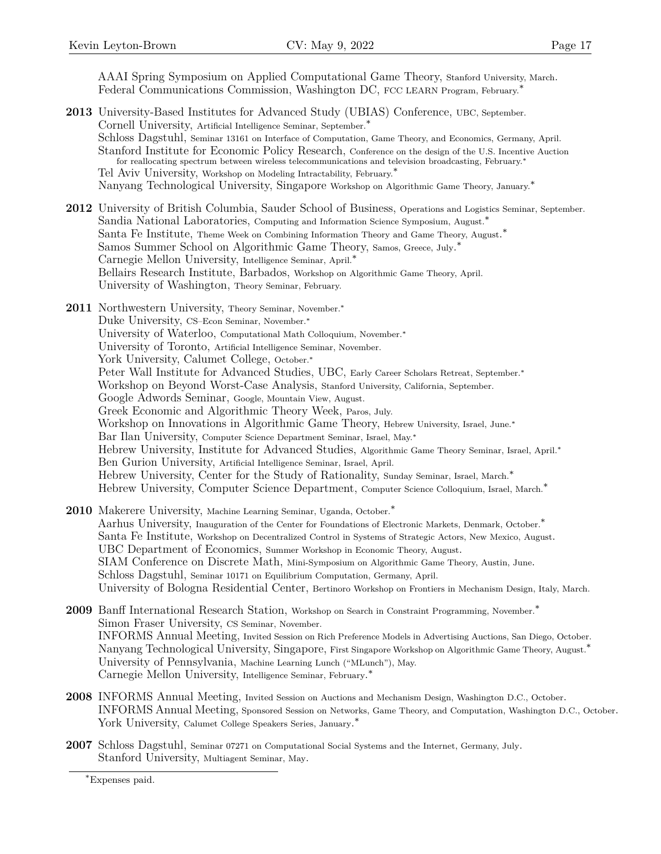AAAI Spring Symposium on Applied Computational Game Theory, Stanford University, March. Federal Communications Commission, Washington DC, FCC LEARN Program, February.[∗](#page-16-0)

- **2013** University-Based Institutes for Advanced Study (UBIAS) Conference, UBC, September. Cornell University, Artificial Intelligence Seminar, September.∗ Schloss Dagstuhl, Seminar 13161 on Interface of Computation, Game Theory, and Economics, Germany, April. Stanford Institute for Economic Policy Research, Conference on the design of the U.S. Incentive Auction for reallocating spectrum between wireless telecommunications and television broadcasting, February.∗ Tel Aviv University, Workshop on Modeling Intractability, February.<sup>\*</sup> Nanyang Technological University, Singapore Workshop on Algorithmic Game Theory, January.∗
- **2012** University of British Columbia, Sauder School of Business, Operations and Logistics Seminar, September. Sandia National Laboratories, Computing and Information Science Symposium, August.<sup>∗</sup> Santa Fe Institute, Theme Week on Combining Information Theory and Game Theory, August. ∗ Samos Summer School on Algorithmic Game Theory, Samos, Greece, July.<sup>\*</sup> Carnegie Mellon University, Intelligence Seminar, April.∗ Bellairs Research Institute, Barbados, Workshop on Algorithmic Game Theory, April. University of Washington, Theory Seminar, February.
- **2011** Northwestern University, Theory Seminar, November.∗ Duke University, CS–Econ Seminar, November.∗ University of Waterloo, Computational Math Colloquium, November.∗ University of Toronto, Artificial Intelligence Seminar, November. York University, Calumet College, October.∗ Peter Wall Institute for Advanced Studies, UBC, Early Career Scholars Retreat, September.<sup>∗</sup> Workshop on Beyond Worst-Case Analysis, Stanford University, California, September. Google Adwords Seminar, Google, Mountain View, August. Greek Economic and Algorithmic Theory Week, Paros, July. Workshop on Innovations in Algorithmic Game Theory, Hebrew University, Israel, June.∗ Bar Ilan University, Computer Science Department Seminar, Israel, May.∗ Hebrew University, Institute for Advanced Studies, Algorithmic Game Theory Seminar, Israel, April.∗ Ben Gurion University, Artificial Intelligence Seminar, Israel, April. Hebrew University, Center for the Study of Rationality, Sunday Seminar, Israel, March.∗ Hebrew University, Computer Science Department, Computer Science Colloquium, Israel, March.∗
- **2010** Makerere University, Machine Learning Seminar, Uganda, October.<sup>∗</sup> Aarhus University, Inauguration of the Center for Foundations of Electronic Markets, Denmark, October.∗ Santa Fe Institute, Workshop on Decentralized Control in Systems of Strategic Actors, New Mexico, August. UBC Department of Economics, Summer Workshop in Economic Theory, August. SIAM Conference on Discrete Math, Mini-Symposium on Algorithmic Game Theory, Austin, June. Schloss Dagstuhl, Seminar 10171 on Equilibrium Computation, Germany, April. University of Bologna Residential Center, Bertinoro Workshop on Frontiers in Mechanism Design, Italy, March.
- **2009** Banff International Research Station, Workshop on Search in Constraint Programming, November.∗ Simon Fraser University, CS Seminar, November. INFORMS Annual Meeting, Invited Session on Rich Preference Models in Advertising Auctions, San Diego, October. Nanyang Technological University, Singapore, First Singapore Workshop on Algorithmic Game Theory, August.∗ University of Pennsylvania, Machine Learning Lunch ("MLunch"), May. Carnegie Mellon University, Intelligence Seminar, February.<sup>\*</sup>
- **2008** INFORMS Annual Meeting, Invited Session on Auctions and Mechanism Design, Washington D.C., October. INFORMS Annual Meeting, Sponsored Session on Networks, Game Theory, and Computation, Washington D.C., October. York University, Calumet College Speakers Series, January.<sup>\*</sup>
- **2007** Schloss Dagstuhl, Seminar 07271 on Computational Social Systems and the Internet, Germany, July. Stanford University, Multiagent Seminar, May.

<span id="page-16-0"></span><sup>∗</sup>Expenses paid.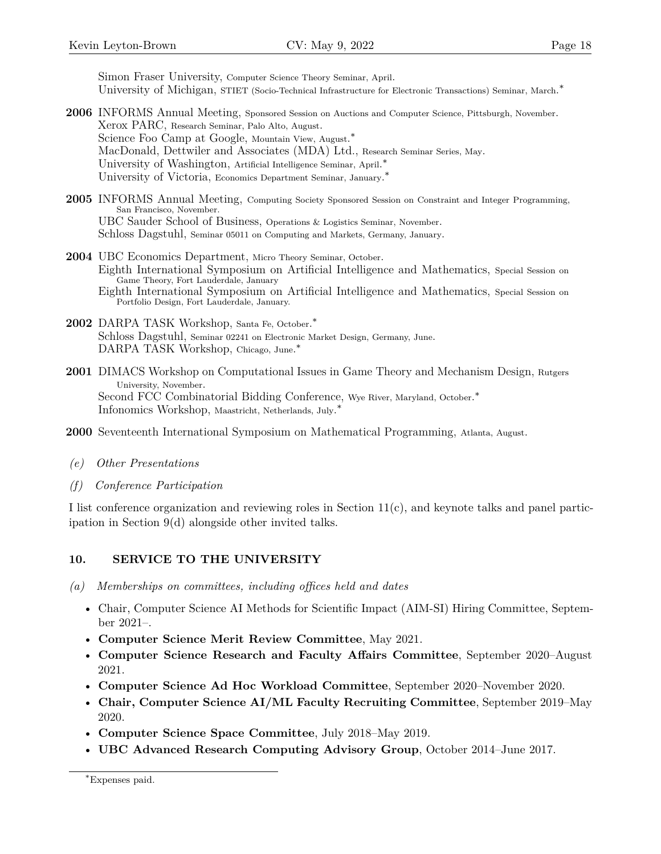Simon Fraser University, Computer Science Theory Seminar, April. University of Michigan, STIET (Socio-Technical Infrastructure for Electronic Transactions) Seminar, March.<sup>\*</sup>

- **2006** INFORMS Annual Meeting, Sponsored Session on Auctions and Computer Science, Pittsburgh, November. Xerox PARC, Research Seminar, Palo Alto, August. Science Foo Camp at Google, Mountain View, August. ∗ MacDonald, Dettwiler and Associates (MDA) Ltd., Research Seminar Series, May. University of Washington, Artificial Intelligence Seminar, April.<sup>\*</sup> University of Victoria, Economics Department Seminar, January.<sup>\*</sup>
- 2005 INFORMS Annual Meeting, Computing Society Sponsored Session on Constraint and Integer Programming, San Francisco, November. UBC Sauder School of Business, Operations & Logistics Seminar, November. Schloss Dagstuhl, Seminar 05011 on Computing and Markets, Germany, January.
- **2004** UBC Economics Department, Micro Theory Seminar, October. Eighth International Symposium on Artificial Intelligence and Mathematics, Special Session on Game Theory, Fort Lauderdale, January Eighth International Symposium on Artificial Intelligence and Mathematics, Special Session on Portfolio Design, Fort Lauderdale, January.
- 2002 DARPA TASK Workshop, Santa Fe, October.<sup>\*</sup> Schloss Dagstuhl, Seminar 02241 on Electronic Market Design, Germany, June. DARPA TASK Workshop, Chicago, June.<sup>\*</sup>
- **2001** DIMACS Workshop on Computational Issues in Game Theory and Mechanism Design, Rutgers University, November. Second FCC Combinatorial Bidding Conference, Wye River, Maryland, October.<sup>\*</sup> Infonomics Workshop, Maastricht, Netherlands, July. ∗
- **2000** Seventeenth International Symposium on Mathematical Programming, Atlanta, August.
- *(e) Other Presentations*
- *(f) Conference Participation*

I list conference organization and reviewing roles in Section 11(c), and keynote talks and panel participation in Section [9\(d\)](#page-12-2) alongside other invited talks.

# **10. SERVICE TO THE UNIVERSITY**

- *(a) Memberships on committees, including offices held and dates*
	- Chair, Computer Science AI Methods for Scientific Impact (AIM-SI) Hiring Committee, September 2021–.
	- **Computer Science Merit Review Committee**, May 2021.
	- **Computer Science Research and Faculty Affairs Committee**, September 2020–August 2021.
	- **Computer Science Ad Hoc Workload Committee**, September 2020–November 2020.
	- **Chair, Computer Science AI/ML Faculty Recruiting Committee**, September 2019–May 2020.
	- **Computer Science Space Committee**, July 2018–May 2019.
	- **UBC Advanced Research Computing Advisory Group**, October 2014–June 2017.

<span id="page-17-0"></span><sup>∗</sup>Expenses paid.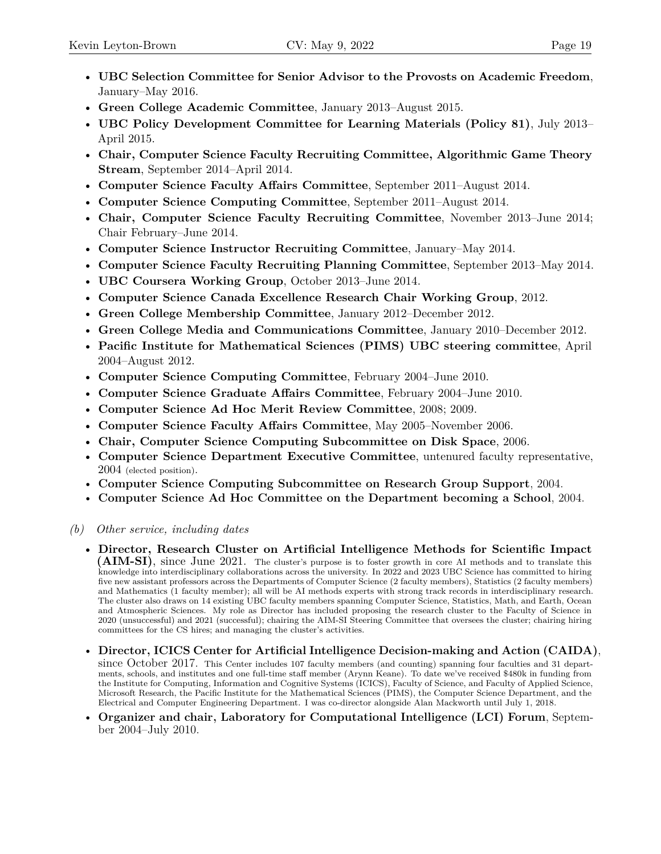- **UBC Selection Committee for Senior Advisor to the Provosts on Academic Freedom**, January–May 2016.
- **Green College Academic Committee**, January 2013–August 2015.
- **UBC Policy Development Committee for Learning Materials (Policy 81)**, July 2013– April 2015.
- **Chair, Computer Science Faculty Recruiting Committee, Algorithmic Game Theory Stream**, September 2014–April 2014.
- **Computer Science Faculty Affairs Committee**, September 2011–August 2014.
- **Computer Science Computing Committee**, September 2011–August 2014.
- **Chair, Computer Science Faculty Recruiting Committee**, November 2013–June 2014; Chair February–June 2014.
- **Computer Science Instructor Recruiting Committee**, January–May 2014.
- **Computer Science Faculty Recruiting Planning Committee**, September 2013–May 2014.
- **UBC Coursera Working Group**, October 2013–June 2014.
- **Computer Science Canada Excellence Research Chair Working Group**, 2012.
- **Green College Membership Committee**, January 2012–December 2012.
- **Green College Media and Communications Committee**, January 2010–December 2012.
- **Pacific Institute for Mathematical Sciences (PIMS) UBC steering committee**, April 2004–August 2012.
- **Computer Science Computing Committee**, February 2004–June 2010.
- **Computer Science Graduate Affairs Committee**, February 2004–June 2010.
- **Computer Science Ad Hoc Merit Review Committee**, 2008; 2009.
- **Computer Science Faculty Affairs Committee**, May 2005–November 2006.
- **Chair, Computer Science Computing Subcommittee on Disk Space**, 2006.
- **Computer Science Department Executive Committee**, untenured faculty representative, 2004 (elected position).
- **Computer Science Computing Subcommittee on Research Group Support**, 2004.
- **Computer Science Ad Hoc Committee on the Department becoming a School**, 2004.

### *(b) Other service, including dates*

- **Director, Research Cluster on Artificial Intelligence Methods for Scientific Impact (AIM-SI)**, since June 2021. The cluster's purpose is to foster growth in core AI methods and to translate this knowledge into interdisciplinary collaborations across the university. In 2022 and 2023 UBC Science has committed to hiring five new assistant professors across the Departments of Computer Science (2 faculty members), Statistics (2 faculty members) and Mathematics (1 faculty member); all will be AI methods experts with strong track records in interdisciplinary research. The cluster also draws on 14 existing UBC faculty members spanning Computer Science, Statistics, Math, and Earth, Ocean and Atmospheric Sciences. My role as Director has included proposing the research cluster to the Faculty of Science in 2020 (unsuccessful) and 2021 (successful); chairing the AIM-SI Steering Committee that oversees the cluster; chairing hiring committees for the CS hires; and managing the cluster's activities.
- **Director, ICICS Center for Artificial Intelligence Decision-making and Action (CAIDA)**, since October 2017. This Center includes 107 faculty members (and counting) spanning four faculties and 31 departments, schools, and institutes and one full-time staff member (Arynn Keane). To date we've received \$480k in funding from the Institute for Computing, Information and Cognitive Systems (ICICS), Faculty of Science, and Faculty of Applied Science, Microsoft Research, the Pacific Institute for the Mathematical Sciences (PIMS), the Computer Science Department, and the Electrical and Computer Engineering Department. I was co-director alongside Alan Mackworth until July 1, 2018.
- **Organizer and chair, Laboratory for Computational Intelligence (LCI) Forum**, September 2004–July 2010.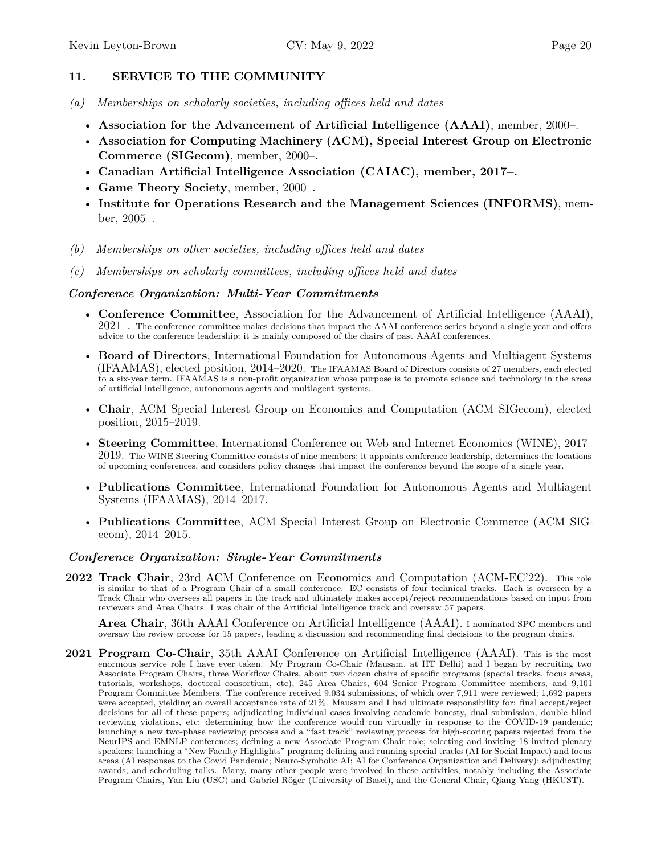# **11. SERVICE TO THE COMMUNITY**

- *(a) Memberships on scholarly societies, including offices held and dates*
	- **Association for the Advancement of Artificial Intelligence (AAAI)**, member, 2000–.
	- **Association for Computing Machinery (ACM), Special Interest Group on Electronic Commerce (SIGecom)**, member, 2000–.
	- **Canadian Artificial Intelligence Association (CAIAC), member, 2017–.**
	- **Game Theory Society**, member, 2000–.
	- **Institute for Operations Research and the Management Sciences (INFORMS)**, member, 2005–.
- *(b) Memberships on other societies, including offices held and dates*
- *(c) Memberships on scholarly committees, including offices held and dates*

#### *Conference Organization: Multi-Year Commitments*

- **Conference Committee**, Association for the Advancement of Artificial Intelligence (AAAI),  $2021-$ . The conference committee makes decisions that impact the AAAI conference series beyond a single year and offers advice to the conference leadership; it is mainly composed of the chairs of past AAAI conferences.
- **Board of Directors**, International Foundation for Autonomous Agents and Multiagent Systems (IFAAMAS), elected position, 2014–2020. The IFAAMAS Board of Directors consists of 27 members, each elected to a six-year term. IFAAMAS is a non-profit organization whose purpose is to promote science and technology in the areas of artificial intelligence, autonomous agents and multiagent systems.
- **Chair**, ACM Special Interest Group on Economics and Computation (ACM SIGecom), elected position, 2015–2019.
- **Steering Committee**, International Conference on Web and Internet Economics (WINE), 2017– 2019. The WINE Steering Committee consists of nine members; it appoints conference leadership, determines the locations of upcoming conferences, and considers policy changes that impact the conference beyond the scope of a single year.
- **Publications Committee**, International Foundation for Autonomous Agents and Multiagent Systems (IFAAMAS), 2014–2017.
- **Publications Committee**, ACM Special Interest Group on Electronic Commerce (ACM SIGecom), 2014–2015.

### *Conference Organization: Single-Year Commitments*

**2022 Track Chair**, 23rd ACM Conference on Economics and Computation (ACM-EC'22). This role is similar to that of a Program Chair of a small conference. EC consists of four technical tracks. Each is overseen by a Track Chair who oversees all papers in the track and ultimately makes accept/reject recommendations based on input from reviewers and Area Chairs. I was chair of the Artificial Intelligence track and oversaw 57 papers.

**Area Chair**, 36th AAAI Conference on Artificial Intelligence (AAAI). I nominated SPC members and oversaw the review process for 15 papers, leading a discussion and recommending final decisions to the program chairs.

**2021 Program Co-Chair**, 35th AAAI Conference on Artificial Intelligence (AAAI). This is the most enormous service role I have ever taken. My Program Co-Chair (Mausam, at IIT Delhi) and I began by recruiting two Associate Program Chairs, three Workflow Chairs, about two dozen chairs of specific programs (special tracks, focus areas, tutorials, workshops, doctoral consortium, etc), 245 Area Chairs, 604 Senior Program Committee members, and 9,101 Program Committee Members. The conference received 9,034 submissions, of which over 7,911 were reviewed; 1,692 papers were accepted, yielding an overall acceptance rate of 21%. Mausam and I had ultimate responsibility for: final accept/reject decisions for all of these papers; adjudicating individual cases involving academic honesty, dual submission, double blind reviewing violations, etc; determining how the conference would run virtually in response to the COVID-19 pandemic; launching a new two-phase reviewing process and a "fast track" reviewing process for high-scoring papers rejected from the NeurIPS and EMNLP conferences; defining a new Associate Program Chair role; selecting and inviting 18 invited plenary speakers; launching a "New Faculty Highlights" program; defining and running special tracks (AI for Social Impact) and focus areas (AI responses to the Covid Pandemic; Neuro-Symbolic AI; AI for Conference Organization and Delivery); adjudicating awards; and scheduling talks. Many, many other people were involved in these activities, notably including the Associate Program Chairs, Yan Liu (USC) and Gabriel Röger (University of Basel), and the General Chair, Qiang Yang (HKUST).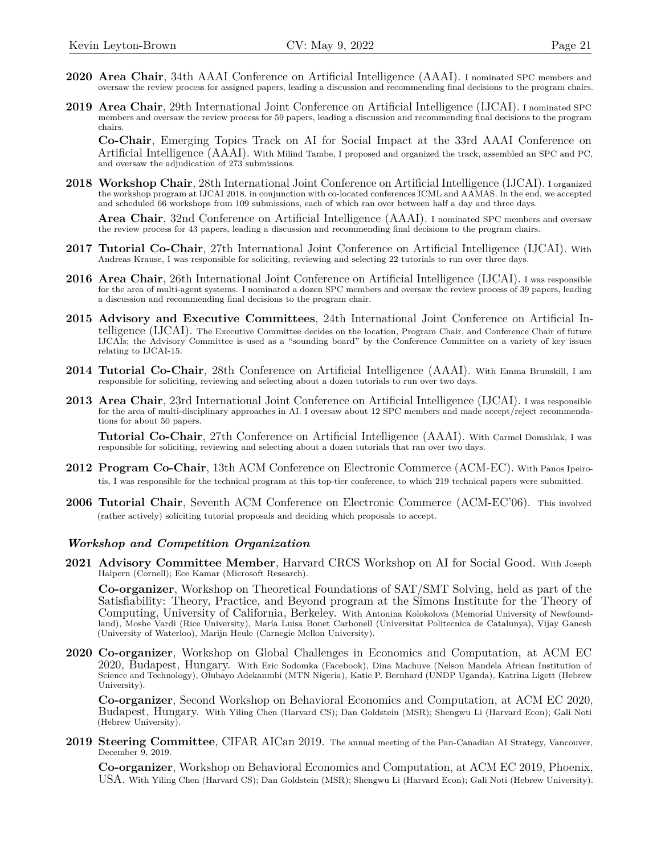- **2020 Area Chair**, 34th AAAI Conference on Artificial Intelligence (AAAI). I nominated SPC members and oversaw the review process for assigned papers, leading a discussion and recommending final decisions to the program chairs.
- **2019 Area Chair**, 29th International Joint Conference on Artificial Intelligence (IJCAI). I nominated SPC members and oversaw the review process for 59 papers, leading a discussion and recommending final decisions to the program chairs.

**Co-Chair**, Emerging Topics Track on AI for Social Impact at the 33rd AAAI Conference on Artificial Intelligence (AAAI). With Milind Tambe, I proposed and organized the track, assembled an SPC and PC, and oversaw the adjudication of  $273$  submissions.

**2018 Workshop Chair**, 28th International Joint Conference on Artificial Intelligence (IJCAI). I organized the workshop program at IJCAI 2018, in conjunction with co-located conferences ICML and AAMAS. In the end, we accepted and scheduled 66 workshops from 109 submissions, each of which ran over between half a day and three days.

**Area Chair**, 32nd Conference on Artificial Intelligence (AAAI). I nominated SPC members and oversaw the review process for 43 papers, leading a discussion and recommending final decisions to the program chairs.

- **2017 Tutorial Co-Chair**, 27th International Joint Conference on Artificial Intelligence (IJCAI). With Andreas Krause, I was responsible for soliciting, reviewing and selecting 22 tutorials to run over three days.
- **2016 Area Chair**, 26th International Joint Conference on Artificial Intelligence (IJCAI). I was responsible for the area of multi-agent systems. I nominated a dozen SPC members and oversaw the review process of 39 papers, leading a discussion and recommending final decisions to the program chair.
- **2015 Advisory and Executive Committees**, 24th International Joint Conference on Artificial Intelligence (IJCAI). The Executive Committee decides on the location, Program Chair, and Conference Chair of future IJCAIs; the Advisory Committee is used as a "sounding board" by the Conference Committee on a variety of key issues relating to IJCAI-15.
- **2014 Tutorial Co-Chair**, 28th Conference on Artificial Intelligence (AAAI). With Emma Brunskill, I am responsible for soliciting, reviewing and selecting about a dozen tutorials to run over two days.
- **2013 Area Chair**, 23rd International Joint Conference on Artificial Intelligence (IJCAI). I was responsible for the area of multi-disciplinary approaches in AI. I oversaw about 12 SPC members and made accept/reject recommendations for about 50 papers.

**Tutorial Co-Chair**, 27th Conference on Artificial Intelligence (AAAI). With Carmel Domshlak, I was responsible for soliciting, reviewing and selecting about a dozen tutorials that ran over two days.

- **2012 Program Co-Chair**, 13th ACM Conference on Electronic Commerce (ACM-EC). With Panos Ipeirotis, I was responsible for the technical program at this top-tier conference, to which 219 technical papers were submitted.
- **2006 Tutorial Chair**, Seventh ACM Conference on Electronic Commerce (ACM-EC'06). This involved (rather actively) soliciting tutorial proposals and deciding which proposals to accept.

#### *Workshop and Competition Organization*

**2021 Advisory Committee Member**, Harvard CRCS Workshop on AI for Social Good. With Joseph Halpern (Cornell); Ece Kamar (Microsoft Research).

**Co-organizer**, Workshop on Theoretical Foundations of SAT/SMT Solving, held as part of the Satisfiability: Theory, Practice, and Beyond program at the Simons Institute for the Theory of Computing, University of California, Berkeley. With Antonina Kolokolova (Memorial University of Newfoundland), Moshe Vardi (Rice University), María Luisa Bonet Carbonell (Universitat Politecnica de Catalunya), Vijay Ganesh (University of Waterloo), Marijn Heule (Carnegie Mellon University).

**2020 Co-organizer**, Workshop on Global Challenges in Economics and Computation, at ACM EC 2020, Budapest, Hungary. With Eric Sodomka (Facebook), Dina Machuve (Nelson Mandela African Institution of Science and Technology), Olubayo Adekanmbi (MTN Nigeria), Katie P. Bernhard (UNDP Uganda), Katrina Ligett (Hebrew University).

**Co-organizer**, Second Workshop on Behavioral Economics and Computation, at ACM EC 2020, Budapest, Hungary. With Yiling Chen (Harvard CS); Dan Goldstein (MSR); Shengwu Li (Harvard Econ); Gali Noti (Hebrew University).

**2019 Steering Committee**, CIFAR AICan 2019. The annual meeting of the Pan-Canadian AI Strategy, Vancouver, December 9, 2019.

**Co-organizer**, Workshop on Behavioral Economics and Computation, at ACM EC 2019, Phoenix, USA. With Yiling Chen (Harvard CS); Dan Goldstein (MSR); Shengwu Li (Harvard Econ); Gali Noti (Hebrew University).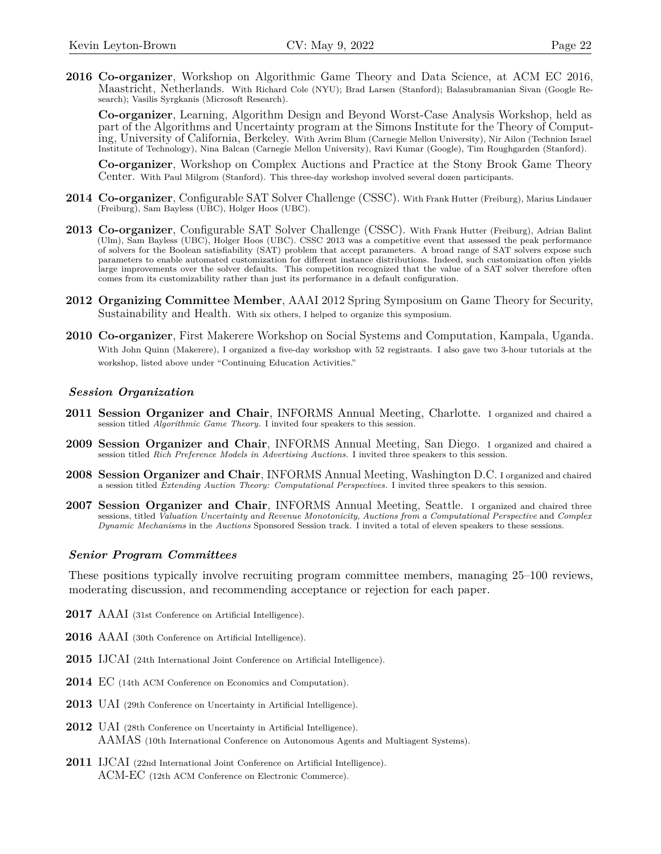**2016 Co-organizer**, Workshop on Algorithmic Game Theory and Data Science, at ACM EC 2016, Maastricht, Netherlands. With Richard Cole (NYU); Brad Larsen (Stanford); Balasubramanian Sivan (Google Research); Vasilis Syrgkanis (Microsoft Research).

**Co-organizer**, Learning, Algorithm Design and Beyond Worst-Case Analysis Workshop, held as part of the Algorithms and Uncertainty program at the Simons Institute for the Theory of Computing, University of California, Berkeley. With Avrim Blum (Carnegie Mellon University), Nir Ailon (Technion Israel Institute of Technology), Nina Balcan (Carnegie Mellon University), Ravi Kumar (Google), Tim Roughgarden (Stanford).

**Co-organizer**, Workshop on Complex Auctions and Practice at the Stony Brook Game Theory Center. With Paul Milgrom (Stanford). This three-day workshop involved several dozen participants.

- **2014 Co-organizer**, Configurable SAT Solver Challenge (CSSC). With Frank Hutter (Freiburg), Marius Lindauer (Freiburg), Sam Bayless (UBC), Holger Hoos (UBC).
- **2013 Co-organizer**, Configurable SAT Solver Challenge (CSSC). With Frank Hutter (Freiburg), Adrian Balint (Ulm), Sam Bayless (UBC), Holger Hoos (UBC). CSSC 2013 was a competitive event that assessed the peak performance of solvers for the Boolean satisfiability (SAT) problem that accept parameters. A broad range of SAT solvers expose such parameters to enable automated customization for different instance distributions. Indeed, such customization often yields large improvements over the solver defaults. This competition recognized that the value of a SAT solver therefore often comes from its customizability rather than just its performance in a default configuration.
- **2012 Organizing Committee Member**, AAAI 2012 Spring Symposium on Game Theory for Security, Sustainability and Health. With six others, I helped to organize this symposium.
- **2010 Co-organizer**, First Makerere Workshop on Social Systems and Computation, Kampala, Uganda. With John Quinn (Makerere), I organized a five-day workshop with 52 registrants. I also gave two 3-hour tutorials at the workshop, listed above under "Continuing Education Activities."

#### *Session Organization*

- **2011 Session Organizer and Chair**, INFORMS Annual Meeting, Charlotte. I organized and chaired a session titled *Algorithmic Game Theory.* I invited four speakers to this session.
- **2009 Session Organizer and Chair**, INFORMS Annual Meeting, San Diego. I organized and chaired a session titled *Rich Preference Models in Advertising Auctions.* I invited three speakers to this session.
- **2008 Session Organizer and Chair**, INFORMS Annual Meeting, Washington D.C. I organized and chaired a session titled *Extending Auction Theory: Computational Perspectives.* I invited three speakers to this session.
- **2007 Session Organizer and Chair**, INFORMS Annual Meeting, Seattle. I organized and chaired three sessions, titled *Valuation Uncertainty and Revenue Monotonicity*, *Auctions from a Computational Perspective* and *Complex Dynamic Mechanisms* in the *Auctions* Sponsored Session track. I invited a total of eleven speakers to these sessions.

#### *Senior Program Committees*

These positions typically involve recruiting program committee members, managing 25–100 reviews, moderating discussion, and recommending acceptance or rejection for each paper.

- **2017** AAAI (31st Conference on Artificial Intelligence).
- **2016** AAAI (30th Conference on Artificial Intelligence).
- **2015** IJCAI (24th International Joint Conference on Artificial Intelligence).
- **2014** EC (14th ACM Conference on Economics and Computation).
- **2013** UAI (29th Conference on Uncertainty in Artificial Intelligence).
- **2012** UAI (28th Conference on Uncertainty in Artificial Intelligence). AAMAS (10th International Conference on Autonomous Agents and Multiagent Systems).
- **2011** IJCAI (22nd International Joint Conference on Artificial Intelligence). ACM-EC (12th ACM Conference on Electronic Commerce).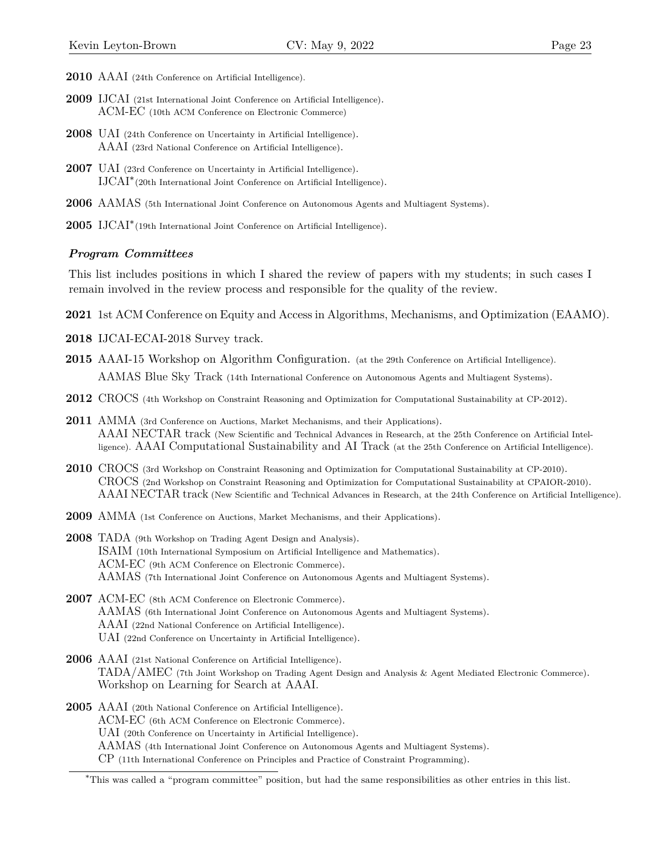- **2010** AAAI (24th Conference on Artificial Intelligence).
- **2009** IJCAI (21st International Joint Conference on Artificial Intelligence). ACM-EC (10th ACM Conference on Electronic Commerce)
- **2008** UAI (24th Conference on Uncertainty in Artificial Intelligence). AAAI (23rd National Conference on Artificial Intelligence).
- **2007** UAI (23rd Conference on Uncertainty in Artificial Intelligence). IJCAI[∗](#page-22-0) (20th International Joint Conference on Artificial Intelligence).
- **2006** AAMAS (5th International Joint Conference on Autonomous Agents and Multiagent Systems).
- **2005** IJCAI∗ (19th International Joint Conference on Artificial Intelligence).

#### *Program Committees*

This list includes positions in which I shared the review of papers with my students; in such cases I remain involved in the review process and responsible for the quality of the review.

- **2021** 1st ACM Conference on Equity and Access in Algorithms, Mechanisms, and Optimization (EAAMO).
- **2018** IJCAI-ECAI-2018 Survey track.
- **2015** AAAI-15 Workshop on Algorithm Configuration. (at the 29th Conference on Artificial Intelligence). AAMAS Blue Sky Track (14th International Conference on Autonomous Agents and Multiagent Systems).
- **2012** CROCS (4th Workshop on Constraint Reasoning and Optimization for Computational Sustainability at CP-2012).
- **2011** AMMA (3rd Conference on Auctions, Market Mechanisms, and their Applications). AAAI NECTAR track (New Scientific and Technical Advances in Research, at the 25th Conference on Artificial Intelligence). AAAI Computational Sustainability and AI Track (at the 25th Conference on Artificial Intelligence).
- **2010** CROCS (3rd Workshop on Constraint Reasoning and Optimization for Computational Sustainability at CP-2010). CROCS (2nd Workshop on Constraint Reasoning and Optimization for Computational Sustainability at CPAIOR-2010). AAAI NECTAR track (New Scientific and Technical Advances in Research, at the 24th Conference on Artificial Intelligence).
- **2009** AMMA (1st Conference on Auctions, Market Mechanisms, and their Applications).
- **2008** TADA (9th Workshop on Trading Agent Design and Analysis). ISAIM (10th International Symposium on Artificial Intelligence and Mathematics). ACM-EC (9th ACM Conference on Electronic Commerce). AAMAS (7th International Joint Conference on Autonomous Agents and Multiagent Systems).
- **2007** ACM-EC (8th ACM Conference on Electronic Commerce). AAMAS (6th International Joint Conference on Autonomous Agents and Multiagent Systems). AAAI (22nd National Conference on Artificial Intelligence). UAI (22nd Conference on Uncertainty in Artificial Intelligence).
- **2006** AAAI (21st National Conference on Artificial Intelligence). TADA/AMEC (7th Joint Workshop on Trading Agent Design and Analysis & Agent Mediated Electronic Commerce). Workshop on Learning for Search at AAAI.
- **2005** AAAI (20th National Conference on Artificial Intelligence). ACM-EC (6th ACM Conference on Electronic Commerce). UAI (20th Conference on Uncertainty in Artificial Intelligence). AAMAS (4th International Joint Conference on Autonomous Agents and Multiagent Systems). CP (11th International Conference on Principles and Practice of Constraint Programming).

<span id="page-22-0"></span><sup>∗</sup>This was called a "program committee" position, but had the same responsibilities as other entries in this list.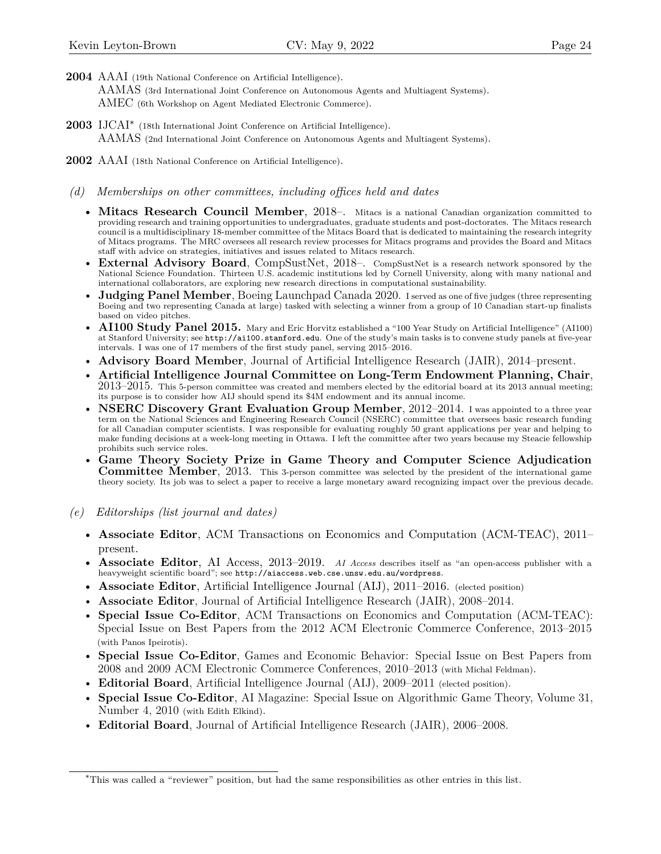- **2004** AAAI (19th National Conference on Artificial Intelligence). AAMAS (3rd International Joint Conference on Autonomous Agents and Multiagent Systems). AMEC (6th Workshop on Agent Mediated Electronic Commerce).
- **2003** IJCAI[∗](#page-23-0) (18th International Joint Conference on Artificial Intelligence). AAMAS (2nd International Joint Conference on Autonomous Agents and Multiagent Systems).
- **2002** AAAI (18th National Conference on Artificial Intelligence).
- *(d) Memberships on other committees, including offices held and dates*
	- **Mitacs Research Council Member**, 2018–. Mitacs is a national Canadian organization committed to providing research and training opportunities to undergraduates, graduate students and post-doctorates. The Mitacs research council is a multidisciplinary 18-member committee of the Mitacs Board that is dedicated to maintaining the research integrity of Mitacs programs. The MRC oversees all research review processes for Mitacs programs and provides the Board and Mitacs staff with advice on strategies, initiatives and issues related to Mitacs research.
	- **External Advisory Board**, CompSustNet, 2018–. CompSustNet is a research network sponsored by the National Science Foundation. Thirteen U.S. academic institutions led by Cornell University, along with many national and international collaborators, are exploring new research directions in computational sustainability.
	- **Judging Panel Member**, Boeing Launchpad Canada 2020. I served as one of five judges (three representing Boeing and two representing Canada at large) tasked with selecting a winner from a group of 10 Canadian start-up finalists based on video pitches.
	- **AI100 Study Panel 2015.** Mary and Eric Horvitz established a "100 Year Study on Artificial Intelligence" (AI100) at Stanford University; see <http://ai100.stanford.edu>. One of the study's main tasks is to convene study panels at five-year intervals. I was one of 17 members of the first study panel, serving 2015–2016.
	- **Advisory Board Member**, Journal of Artificial Intelligence Research (JAIR), 2014–present.
	- **Artificial Intelligence Journal Committee on Long-Term Endowment Planning, Chair**,  $2013-2015$ . This 5-person committee was created and members elected by the editorial board at its 2013 annual meeting; its purpose is to consider how AIJ should spend its \$4M endowment and its annual income.
	- **NSERC Discovery Grant Evaluation Group Member**, 2012–2014. I was appointed to a three year term on the National Sciences and Engineering Research Council (NSERC) committee that oversees basic research funding for all Canadian computer scientists. I was responsible for evaluating roughly 50 grant applications per year and helping to make funding decisions at a week-long meeting in Ottawa. I left the committee after two years because my Steacie fellowship prohibits such service roles.
	- **Game Theory Society Prize in Game Theory and Computer Science Adjudication Committee Member**, 2013. This 3-person committee was selected by the president of the international game theory society. Its job was to select a paper to receive a large monetary award recognizing impact over the previous decade.
- *(e) Editorships (list journal and dates)*
	- **Associate Editor**, ACM Transactions on Economics and Computation (ACM-TEAC), 2011– present.
	- **Associate Editor**, AI Access, 2013–2019. *AI Access* describes itself as "an open-access publisher with a heavyweight scientific board"; see <http://aiaccess.web.cse.unsw.edu.au/wordpress>.
	- **Associate Editor**, Artificial Intelligence Journal (AIJ), 2011–2016. (elected position)
	- **Associate Editor**, Journal of Artificial Intelligence Research (JAIR), 2008–2014.
	- **Special Issue Co-Editor**, ACM Transactions on Economics and Computation (ACM-TEAC): Special Issue on Best Papers from the 2012 ACM Electronic Commerce Conference, 2013–2015 (with Panos Ipeirotis).
	- **Special Issue Co-Editor**, Games and Economic Behavior: Special Issue on Best Papers from 2008 and 2009 ACM Electronic Commerce Conferences, 2010–2013 (with Michal Feldman).
	- **Editorial Board**, Artificial Intelligence Journal (AIJ), 2009–2011 (elected position).
	- **Special Issue Co-Editor**, AI Magazine: Special Issue on Algorithmic Game Theory, Volume 31, Number 4, 2010 (with Edith Elkind).
	- **Editorial Board**, Journal of Artificial Intelligence Research (JAIR), 2006–2008.

<span id="page-23-0"></span><sup>∗</sup>This was called a "reviewer" position, but had the same responsibilities as other entries in this list.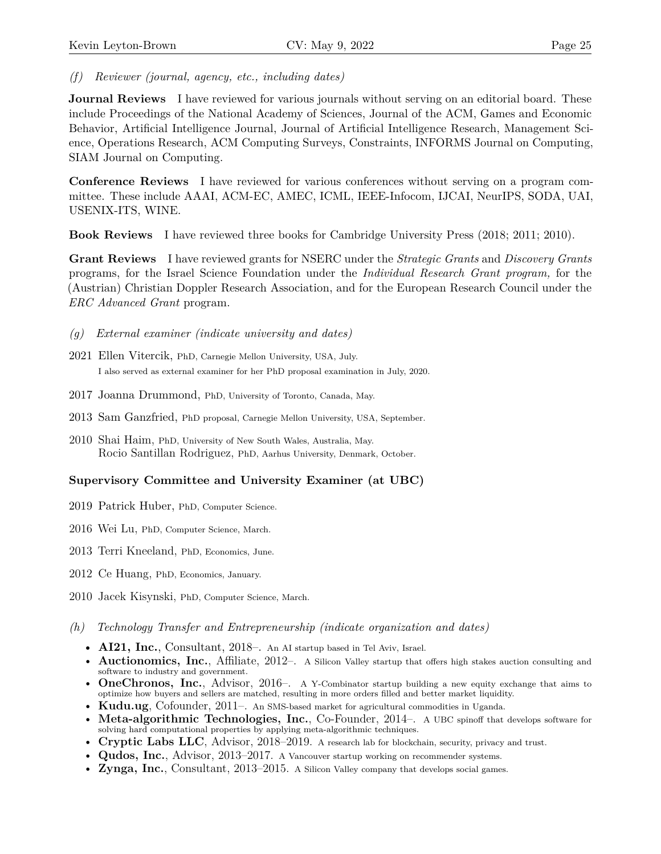*(f) Reviewer (journal, agency, etc., including dates)*

**Journal Reviews** I have reviewed for various journals without serving on an editorial board. These include Proceedings of the National Academy of Sciences, Journal of the ACM, Games and Economic Behavior, Artificial Intelligence Journal, Journal of Artificial Intelligence Research, Management Science, Operations Research, ACM Computing Surveys, Constraints, INFORMS Journal on Computing, SIAM Journal on Computing.

**Conference Reviews** I have reviewed for various conferences without serving on a program committee. These include AAAI, ACM-EC, AMEC, ICML, IEEE-Infocom, IJCAI, NeurIPS, SODA, UAI, USENIX-ITS, WINE.

**Book Reviews** I have reviewed three books for Cambridge University Press (2018; 2011; 2010).

**Grant Reviews** I have reviewed grants for NSERC under the *Strategic Grants* and *Discovery Grants* programs, for the Israel Science Foundation under the *Individual Research Grant program,* for the (Austrian) Christian Doppler Research Association, and for the European Research Council under the *ERC Advanced Grant* program.

- *(g) External examiner (indicate university and dates)*
- 2021 Ellen Vitercik, PhD, Carnegie Mellon University, USA, July. I also served as external examiner for her PhD proposal examination in July, 2020.
- 2017 Joanna Drummond, PhD, University of Toronto, Canada, May.
- 2013 Sam Ganzfried, PhD proposal, Carnegie Mellon University, USA, September.
- 2010 Shai Haim, PhD, University of New South Wales, Australia, May. Rocio Santillan Rodriguez, PhD, Aarhus University, Denmark, October.

# **Supervisory Committee and University Examiner (at UBC)**

- 2019 Patrick Huber, PhD, Computer Science.
- 2016 Wei Lu, PhD, Computer Science, March.
- 2013 Terri Kneeland, PhD, Economics, June.
- 2012 Ce Huang, PhD, Economics, January.
- 2010 Jacek Kisynski, PhD, Computer Science, March.
- *(h) Technology Transfer and Entrepreneurship (indicate organization and dates)*
	- **AI21, Inc.**, Consultant, 2018–. An AI startup based in Tel Aviv, Israel.
	- **Auctionomics, Inc.**, Affiliate, 2012–. A Silicon Valley startup that offers high stakes auction consulting and software to industry and government.
	- **OneChronos, Inc.**, Advisor, 2016–. A Y-Combinator startup building a new equity exchange that aims to optimize how buyers and sellers are matched, resulting in more orders filled and better market liquidity.
	- **Kudu.ug**, Cofounder, 2011–. An SMS-based market for agricultural commodities in Uganda.
	- **Meta-algorithmic Technologies, Inc.**, Co-Founder, 2014–. A UBC spinoff that develops software for solving hard computational properties by applying meta-algorithmic techniques.
	- **Cryptic Labs LLC**, Advisor, 2018–2019. A research lab for blockchain, security, privacy and trust.
	- **Qudos, Inc.**, Advisor, 2013–2017. A Vancouver startup working on recommender systems.
	- **Zynga, Inc.**, Consultant, 2013–2015. A Silicon Valley company that develops social games.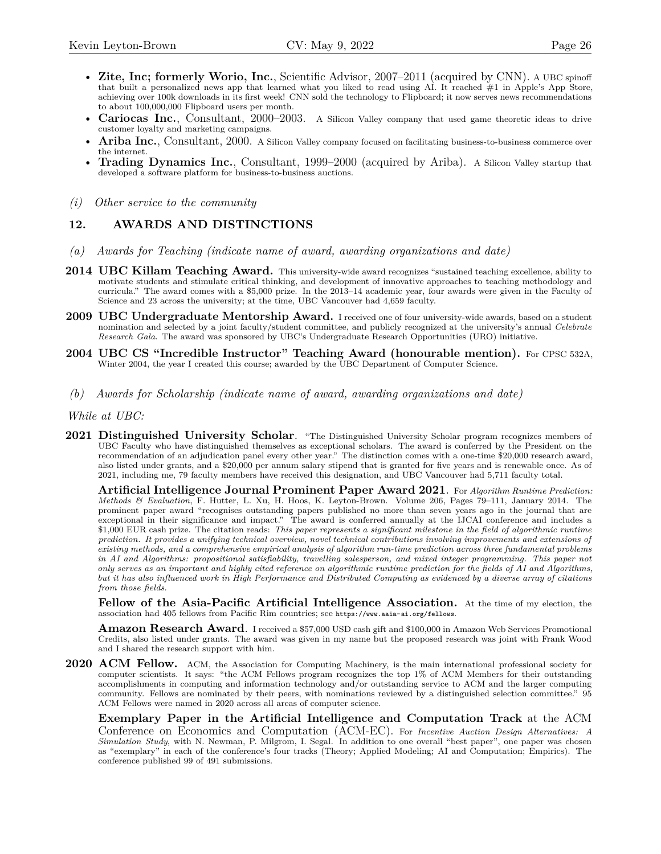- **Zite, Inc; formerly Worio, Inc.**, Scientific Advisor, 2007–2011 (acquired by CNN). A UBC spinoff that built a personalized news app that learned what you liked to read using AI. It reached #1 in Apple's App Store, achieving over 100k downloads in its first week! CNN sold the technology to Flipboard; it now serves news recommendations to about 100,000,000 Flipboard users per month.
- **Cariocas Inc.**, Consultant, 2000–2003. A Silicon Valley company that used game theoretic ideas to drive customer loyalty and marketing campaigns.
- Ariba Inc., Consultant, 2000. A Silicon Valley company focused on facilitating business-to-business commerce over the internet.
- **Trading Dynamics Inc.**, Consultant, 1999–2000 (acquired by Ariba). A Silicon Valley startup that developed a software platform for business-to-business auctions.
- *(i) Other service to the community*

#### **12. AWARDS AND DISTINCTIONS**

- *(a) Awards for Teaching (indicate name of award, awarding organizations and date)*
- **2014 UBC Killam Teaching Award.** This university-wide award recognizes "sustained teaching excellence, ability to motivate students and stimulate critical thinking, and development of innovative approaches to teaching methodology and curricula." The award comes with a \$5,000 prize. In the 2013–14 academic year, four awards were given in the Faculty of Science and 23 across the university; at the time, UBC Vancouver had 4,659 faculty.
- **2009 UBC Undergraduate Mentorship Award.** I received one of four university-wide awards, based on a student nomination and selected by a joint faculty/student committee, and publicly recognized at the university's annual *Celebrate Research Gala*. The award was sponsored by UBC's Undergraduate Research Opportunities (URO) initiative.
- **2004 UBC CS "Incredible Instructor" Teaching Award (honourable mention).** For CPSC 532A, Winter 2004, the year I created this course; awarded by the UBC Department of Computer Science.
- *(b) Awards for Scholarship (indicate name of award, awarding organizations and date)*

*While at UBC:*

**2021 Distinguished University Scholar**. "The Distinguished University Scholar program recognizes members of UBC Faculty who have distinguished themselves as exceptional scholars. The award is conferred by the President on the recommendation of an adjudication panel every other year." The distinction comes with a one-time \$20,000 research award, also listed under grants, and a \$20,000 per annum salary stipend that is granted for five years and is renewable once. As of 2021, including me, 79 faculty members have received this designation, and UBC Vancouver had 5,711 faculty total.

**Artificial Intelligence Journal Prominent Paper Award 2021**. For *Algorithm Runtime Prediction: Methods & Evaluation*, F. Hutter, L. Xu, H. Hoos, K. Leyton-Brown. Volume 206, Pages 79–111, January 2014. The prominent paper award "recognises outstanding papers published no more than seven years ago in the journal that are exceptional in their significance and impact." The award is conferred annually at the IJCAI conference and includes a \$1,000 EUR cash prize. The citation reads: *This paper represents a significant milestone in the field of algorithmic runtime prediction. It provides a unifying technical overview, novel technical contributions involving improvements and extensions of existing methods, and a comprehensive empirical analysis of algorithm run-time prediction across three fundamental problems in AI and Algorithms: propositional satisfiability, travelling salesperson, and mixed integer programming. This paper not only serves as an important and highly cited reference on algorithmic runtime prediction for the fields of AI and Algorithms, but it has also influenced work in High Performance and Distributed Computing as evidenced by a diverse array of citations from those fields.*

**Fellow of the Asia-Pacific Artificial Intelligence Association.** At the time of my election, the association had 405 fellows from Pacific Rim countries; see <https://www.aaia-ai.org/fellows>.

**Amazon Research Award**. I received a \$57,000 USD cash gift and \$100,000 in Amazon Web Services Promotional Credits, also listed under grants. The award was given in my name but the proposed research was joint with Frank Wood and I shared the research support with him.

**2020 ACM Fellow.** ACM, the Association for Computing Machinery, is the main international professional society for computer scientists. It says: "the ACM Fellows program recognizes the top 1% of ACM Members for their outstanding accomplishments in computing and information technology and/or outstanding service to ACM and the larger computing community. Fellows are nominated by their peers, with nominations reviewed by a distinguished selection committee." 95 ACM Fellows were named in 2020 across all areas of computer science.

**Exemplary Paper in the Artificial Intelligence and Computation Track** at the ACM Conference on Economics and Computation (ACM-EC). For *Incentive Auction Design Alternatives: A Simulation Study*, with N. Newman, P. Milgrom, I. Segal. In addition to one overall "best paper", one paper was chosen as "exemplary" in each of the conference's four tracks (Theory; Applied Modeling; AI and Computation; Empirics). The conference published 99 of 491 submissions.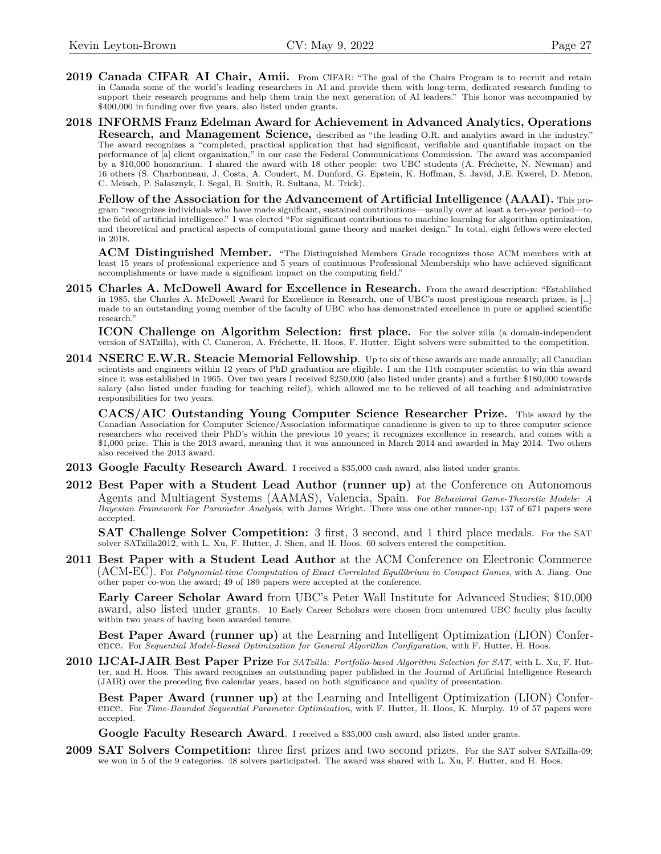- 2019 **Canada CIFAR AI Chair, Amii.** From CIFAR: "The goal of the Chairs Program is to recruit and retain in Canada some of the world's leading researchers in AI and provide them with long-term, dedicated research funding to support their research programs and help them train the next generation of AI leaders." This honor was accompanied by \$400,000 in funding over five years, also listed under grants.
- **2018 INFORMS Franz Edelman Award for Achievement in Advanced Analytics, Operations Research, and Management Science,** described as "the leading O.R. and analytics award in the industry." The award recognizes a "completed, practical application that had significant, verifiable and quantifiable impact on the performance of [a] client organization," in our case the Federal Communications Commission. The award was accompanied by a \$10,000 honorarium. I shared the award with 18 other people: two UBC students (A. Fréchette, N. Newman) and 16 others (S. Charbonneau, J. Costa, A. Coudert, M. Dunford, G. Epstein, K. Hoffman, S. Javid, J.E. Kwerel, D. Menon, C. Meisch, P. Salasznyk, I. Segal, B. Smith, R. Sultana, M. Trick).

**Fellow of the Association for the Advancement of Artificial Intelligence (AAAI).** This program "recognizes individuals who have made significant, sustained contributions—usually over at least a ten-year period—to the field of artificial intelligence." I was elected "For significant contributions to machine learning for algorithm optimization, and theoretical and practical aspects of computational game theory and market design." In total, eight fellows were elected in 2018.

**ACM Distinguished Member.** "The Distinguished Members Grade recognizes those ACM members with at least 15 years of professional experience and 5 years of continuous Professional Membership who have achieved significant accomplishments or have made a significant impact on the computing field."

**2015 Charles A. McDowell Award for Excellence in Research.** From the award description: "Established in 1985, the Charles A. McDowell Award for Excellence in Research, one of UBC's most prestigious research prizes, is […] made to an outstanding young member of the faculty of UBC who has demonstrated excellence in pure or applied scientific research."

**ICON Challenge on Algorithm Selection: first place.** For the solver zilla (a domain-independent version of SATzilla), with C. Cameron, A. Fréchette, H. Hoos, F. Hutter. Eight solvers were submitted to the competition.

**2014 NSERC E.W.R. Steacie Memorial Fellowship**. Up to six of these awards are made annually; all Canadian scientists and engineers within 12 years of PhD graduation are eligible. I am the 11th computer scientist to win this award since it was established in 1965. Over two years I received \$250,000 (also listed under grants) and a further \$180,000 towards salary (also listed under funding for teaching relief), which allowed me to be relieved of all teaching and administrative responsibilities for two years.

**CACS/AIC Outstanding Young Computer Science Researcher Prize.** This award by the Canadian Association for Computer Science/Association informatique canadienne is given to up to three computer science researchers who received their PhD's within the previous 10 years; it recognizes excellence in research, and comes with a \$1,000 prize. This is the 2013 award, meaning that it was announced in March 2014 and awarded in May 2014. Two others also received the 2013 award.

- **2013 Google Faculty Research Award**. I received a \$35,000 cash award, also listed under grants.
- **2012 Best Paper with a Student Lead Author (runner up)** at the Conference on Autonomous Agents and Multiagent Systems (AAMAS), Valencia, Spain. For *Behavioral Game-Theoretic Models: A Bayesian Framework For Parameter Analysis*, with James Wright. There was one other runner-up; 137 of 671 papers were accepted.

**SAT Challenge Solver Competition:** 3 first, 3 second, and 1 third place medals. For the SAT solver SATzilla2012, with L. Xu, F. Hutter, J. Shen, and H. Hoos. 60 solvers entered the competition.

**2011 Best Paper with a Student Lead Author** at the ACM Conference on Electronic Commerce (ACM-EC). For *Polynomial-time Computation of Exact Correlated Equilibrium in Compact Games*, with A. Jiang. One other paper co-won the award; 49 of 189 papers were accepted at the conference.

**Early Career Scholar Award** from UBC's Peter Wall Institute for Advanced Studies; \$10,000 award, also listed under grants. 10 Early Career Scholars were chosen from untenured UBC faculty plus faculty within two years of having been awarded tenure.

**Best Paper Award (runner up)** at the Learning and Intelligent Optimization (LION) Conference. For *Sequential Model-Based Optimization for General Algorithm Configuration*, with F. Hutter, H. Hoos.

**2010 IJCAI-JAIR Best Paper Prize** For *SATzilla: Portfolio-based Algorithm Selection for SAT*, with L. Xu, F. Hutter, and H. Hoos. This award recognizes an outstanding paper published in the Journal of Artificial Intelligence Research (JAIR) over the preceding five calendar years, based on both significance and quality of presentation.

**Best Paper Award (runner up)** at the Learning and Intelligent Optimization (LION) Conference. For *Time-Bounded Sequential Parameter Optimization*, with F. Hutter, H. Hoos, K. Murphy. 19 of 57 papers were accepted.

**Google Faculty Research Award**. I received a \$35,000 cash award, also listed under grants.

**2009 SAT Solvers Competition:** three first prizes and two second prizes. For the SAT solver SATzilla-09; we won in 5 of the 9 categories. 48 solvers participated. The award was shared with L. Xu, F. Hutter, and H. Hoos.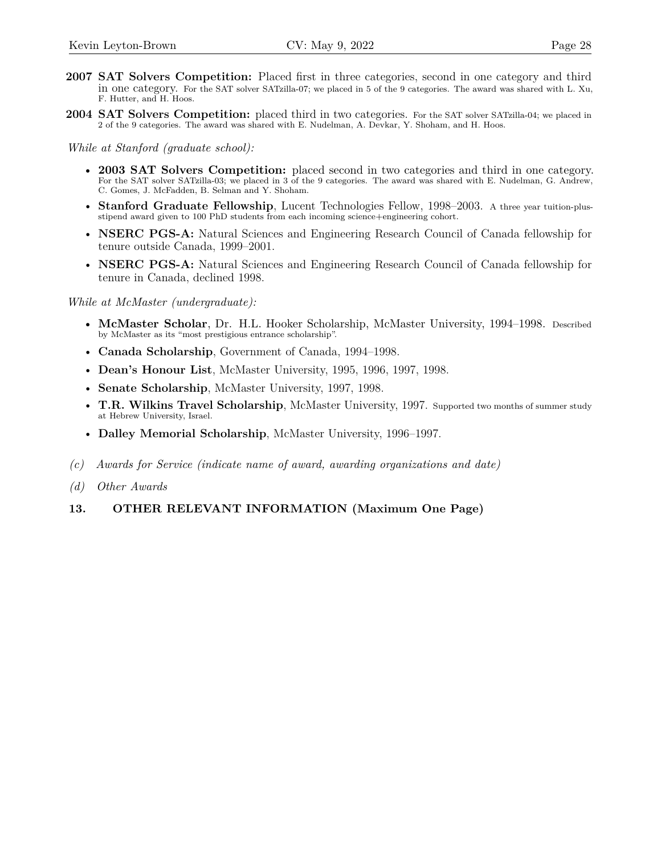- **2007 SAT Solvers Competition:** Placed first in three categories, second in one category and third in one category. For the SAT solver SATzilla-07; we placed in 5 of the 9 categories. The award was shared with L. Xu, F. Hutter, and H. Hoos.
- **2004 SAT Solvers Competition:** placed third in two categories. For the SAT solver SATzilla-04; we placed in 2 of the 9 categories. The award was shared with E. Nudelman, A. Devkar, Y. Shoham, and H. Hoos.

*While at Stanford (graduate school):*

- **2003 SAT Solvers Competition:** placed second in two categories and third in one category. For the SAT solver SATzilla-03; we placed in 3 of the 9 categories. The award was shared with E. Nudelman, G. Andrew, C. Gomes, J. McFadden, B. Selman and Y. Shoham.
- **Stanford Graduate Fellowship**, Lucent Technologies Fellow, 1998–2003. A three year tuition-plusstipend award given to 100 PhD students from each incoming science+engineering cohort.
- **NSERC PGS-A:** Natural Sciences and Engineering Research Council of Canada fellowship for tenure outside Canada, 1999–2001.
- **NSERC PGS-A:** Natural Sciences and Engineering Research Council of Canada fellowship for tenure in Canada, declined 1998.

*While at McMaster (undergraduate):*

- **McMaster Scholar**, Dr. H.L. Hooker Scholarship, McMaster University, 1994–1998. Described by McMaster as its "most prestigious entrance scholarship".
- **Canada Scholarship**, Government of Canada, 1994–1998.
- **Dean's Honour List**, McMaster University, 1995, 1996, 1997, 1998.
- **Senate Scholarship**, McMaster University, 1997, 1998.
- **T.R. Wilkins Travel Scholarship**, McMaster University, 1997. Supported two months of summer study at Hebrew University, Israel.
- **Dalley Memorial Scholarship**, McMaster University, 1996–1997.
- *(c) Awards for Service (indicate name of award, awarding organizations and date)*
- *(d) Other Awards*

# **13. OTHER RELEVANT INFORMATION (Maximum One Page)**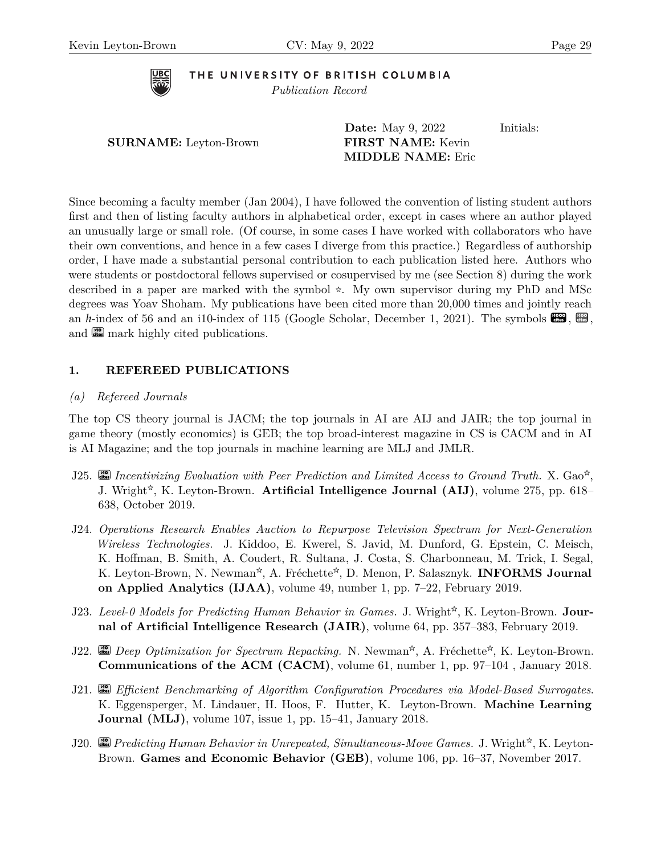

THE UNIVERSITY OF BRITISH COLUMBIA *Publication Record*

|                              | <b>Date:</b> May 9, 2022 | Initials: |
|------------------------------|--------------------------|-----------|
| <b>SURNAME:</b> Leyton-Brown | <b>FIRST NAME:</b> Kevin |           |
|                              | <b>MIDDLE NAME:</b> Eric |           |

Since becoming a faculty member (Jan 2004), I have followed the convention of listing student authors first and then of listing faculty authors in alphabetical order, except in cases where an author played an unusually large or small role. (Of course, in some cases I have worked with collaborators who have their own conventions, and hence in a few cases I diverge from this practice.) Regardless of authorship order, I have made a substantial personal contribution to each publication listed here. Authors who were students or postdoctoral fellows supervised or cosupervised by me (see Section 8) during the work described in a paper are marked with the symbol  $\star$ . My own supervisor during my PhD and MSc degrees was Yoav Shoham. My publications have been cited more than 20,000 times and jointly reach an *h*-index of 56 and an i10-index of 115 (Google Scholar, December 1, 2021). The symbols  $\mathbb{R}$ ,  $\mathbb{R}$ , and **com** mark highly cited publications.

# **1. REFEREED PUBLICATIONS**

### <span id="page-28-0"></span>*(a) Refereed Journals*

The top CS theory journal is JACM; the top journals in AI are AIJ and JAIR; the top journal in game theory (mostly economics) is GEB; the top broad-interest magazine in CS is CACM and in AI is AI Magazine; and the top journals in machine learning are MLJ and JMLR.

- J25.  $\Box$  Incentivizing Evaluation with Peer Prediction and Limited Access to Ground Truth. X. Gao<sup>\*</sup>, J. Wright<sup>\*</sup>, K. Leyton-Brown. **Artificial Intelligence Journal (AIJ)**, volume 275, pp. 618– 638, October 2019.
- J24. *Operations Research Enables Auction to Repurpose Television Spectrum for Next-Generation Wireless Technologies.* J. Kiddoo, E. Kwerel, S. Javid, M. Dunford, G. Epstein, C. Meisch, K. Hoffman, B. Smith, A. Coudert, R. Sultana, J. Costa, S. Charbonneau, M. Trick, I. Segal, K. Leyton-Brown, N. Newman<sup>☆</sup>, A. Fréchette<sup>☆</sup>, D. Menon, P. Salasznyk. **INFORMS Journal on Applied Analytics (IJAA)**, volume 49, number 1, pp. 7–22, February 2019.
- J23. Level-0 Models for Predicting Human Behavior in Games. J. Wright<sup>\*</sup>, K. Leyton-Brown. **Journal of Artificial Intelligence Research (JAIR)**, volume 64, pp. 357–383, February 2019.
- J22. **cites** Deep Optimization for Spectrum Repacking. N. Newman<sup>\*</sup>, A. Fréchette<sup>\*</sup>, K. Leyton-Brown. **Communications of the ACM (CACM)**, volume 61, number 1, pp. 97–104 , January 2018.
- J21. **cites >10** *Efficient Benchmarking of Algorithm Configuration Procedures via Model-Based Surrogates*. K. Eggensperger, M. Lindauer, H. Hoos, F. Hutter, K. Leyton-Brown. **Machine Learning Journal (MLJ)**, volume 107, issue 1, pp. 15–41, January 2018.
- J20. *Predicting Human Behavior in Unrepeated, Simultaneous-Move Games.* J. Wright<sup>☆</sup>, K. Leyton-Brown. **Games and Economic Behavior (GEB)**, volume 106, pp. 16–37, November 2017.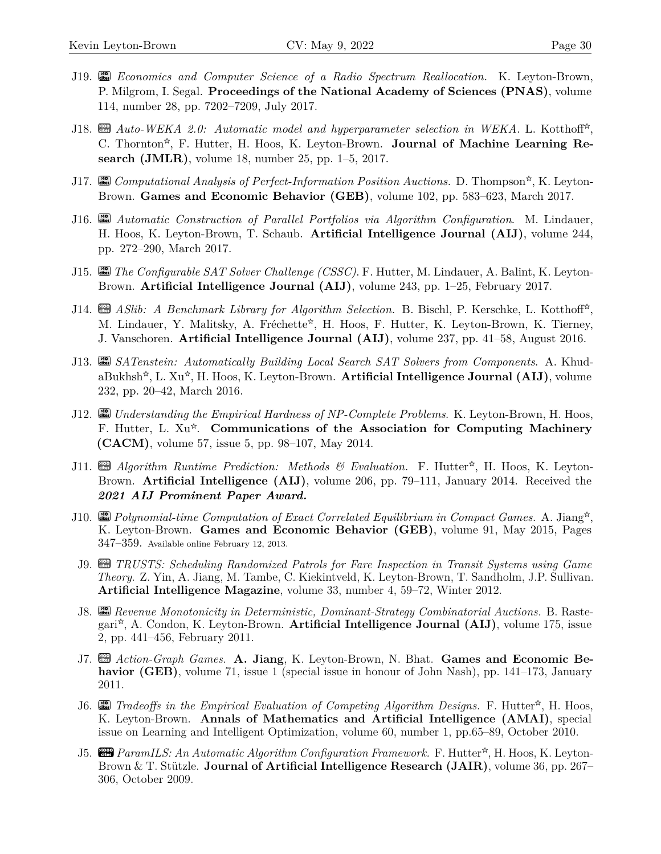- J19. **cites >10** *Economics and Computer Science of a Radio Spectrum Reallocation.* K. Leyton-Brown, P. Milgrom, I. Segal. **Proceedings of the National Academy of Sciences (PNAS)**, volume 114, number 28, pp. 7202–7209, July 2017.
- J18. **cm** *Auto-WEKA 2.0: Automatic model and hyperparameter selection in WEKA.* L. Kotthoff<sup>\*</sup>, C. Thornton<sup>\*</sup>, F. Hutter, H. Hoos, K. Leyton-Brown. **Journal of Machine Learning Research (JMLR)**, volume 18, number 25, pp. 1–5, 2017.
- J17. **city** *Computational Analysis of Perfect-Information Position Auctions.* D. Thompson<sup>\*</sup>, K. Leyton-Brown. **Games and Economic Behavior (GEB)**, volume 102, pp. 583–623, March 2017.
- J16. **cites >10** *Automatic Construction of Parallel Portfolios via Algorithm Configuration*. M. Lindauer, H. Hoos, K. Leyton-Brown, T. Schaub. **Artificial Intelligence Journal (AIJ)**, volume 244, pp. 272–290, March 2017.
- J15. **cites >10** *The Configurable SAT Solver Challenge (CSSC)*. F. Hutter, M. Lindauer, A. Balint, K. Leyton-Brown. **Artificial Intelligence Journal (AIJ)**, volume 243, pp. 1–25, February 2017.
- J14. **cm** *ASlib: A Benchmark Library for Algorithm Selection.* B. Bischl, P. Kerschke, L. Kotthoff<sup>\*</sup>, M. Lindauer, Y. Malitsky, A. Fréchette<sup>☆</sup>, H. Hoos, F. Hutter, K. Leyton-Brown, K. Tierney, J. Vanschoren. **Artificial Intelligence Journal (AIJ)**, volume 237, pp. 41–58, August 2016.
- J13. **cites >10** *SATenstein: Automatically Building Local Search SAT Solvers from Components*. A. KhudaBukhsh<sup>\*</sup>, L. Xu<sup>\*</sup>, H. Hoos, K. Leyton-Brown. **Artificial Intelligence Journal (AIJ)**, volume 232, pp. 20–42, March 2016.
- J12. **Formal Empirical Hardness of NP**-Complete Problems. K. Leyton-Brown, H. Hoos, F. Hutter, L. Xu<sup>\*</sup>. Communications of the Association for Computing Machinery **(CACM)**, volume 57, issue 5, pp. 98–107, May 2014.
- J11. **cm** Algorithm Runtime Prediction: Methods & Evaluation. F. Hutter<sup>\*</sup>, H. Hoos, K. Leyton-Brown. **Artificial Intelligence (AIJ)**, volume 206, pp. 79–111, January 2014. Received the *2021 AIJ Prominent Paper Award.*
- J10.  $\Box$  Polynomial-time Computation of Exact Correlated Equilibrium in Compact Games. A. Jiang<sup>\*</sup>, K. Leyton-Brown. **Games and Economic Behavior (GEB)**, volume 91, May 2015, Pages 347–359. Available online February 12, 2013.
- J9. **cites >100** *TRUSTS: Scheduling Randomized Patrols for Fare Inspection in Transit Systems using Game Theory*. Z. Yin, A. Jiang, M. Tambe, C. Kiekintveld, K. Leyton-Brown, T. Sandholm, J.P. Sullivan. **Artificial Intelligence Magazine**, volume 33, number 4, 59–72, Winter 2012.
- J8. **cites >10** *Revenue Monotonicity in Deterministic, Dominant-Strategy Combinatorial Auctions.* B. Rastegari<sup>\*</sup>, A. Condon, K. Leyton-Brown. **Artificial Intelligence Journal (AIJ)**, volume 175, issue 2, pp. 441–456, February 2011.
- J7. **and** *Action-Graph Games*. A. Jiang, K. Leyton-Brown, N. Bhat. Games and Economic Be**havior (GEB)**, volume 71, issue 1 (special issue in honour of John Nash), pp. 141–173, January 2011.
- J6. **cm** Tradeoffs in the Empirical Evaluation of Competing Algorithm Designs. F. Hutter<sup>☆</sup>, H. Hoos, K. Leyton-Brown. **Annals of Mathematics and Artificial Intelligence (AMAI)**, special issue on Learning and Intelligent Optimization, volume 60, number 1, pp.65–89, October 2010.
- **15. <sup>c</sup>as** *ParamILS: An Automatic Algorithm Configuration Framework.* F. Hutter<sup>☆</sup>, H. Hoos, K. Leyton-Brown & T. Stützle. **Journal of Artificial Intelligence Research (JAIR)**, volume 36, pp. 267– 306, October 2009.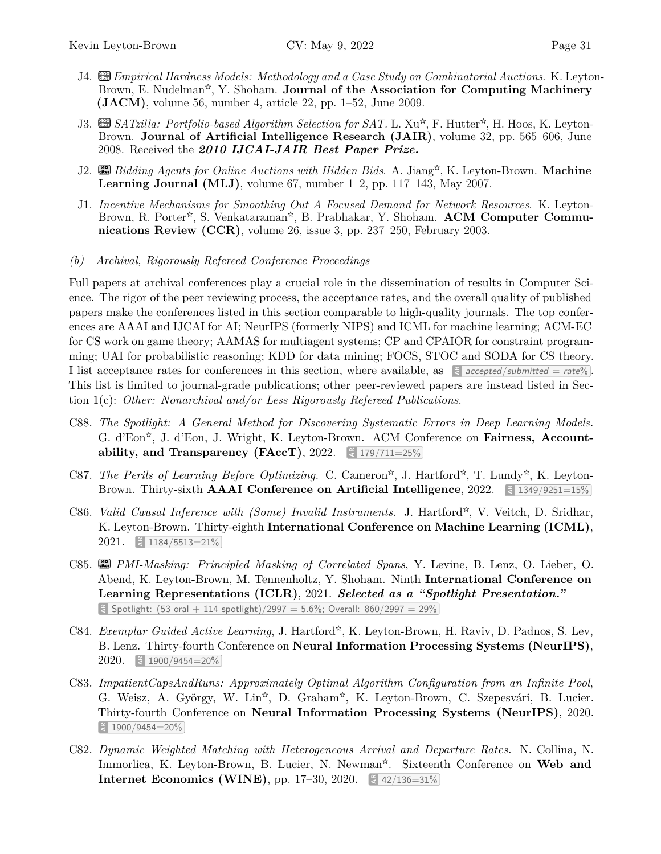- **14. cm** *Empirical Hardness Models: Methodology and a Case Study on Combinatorial Auctions.* K. Leyton-Brown, E. Nudelman<sup>\*</sup>, Y. Shoham. **Journal of the Association for Computing Machinery (JACM)**, volume 56, number 4, article 22, pp. 1–52, June 2009.
- J3. <sup>■</sup>SATzilla: Portfolio-based Algorithm Selection for SAT. L. Xu<sup>\*</sup>, F. Hutter<sup>\*</sup>, H. Hoos, K. Leyton-Brown. **Journal of Artificial Intelligence Research (JAIR)**, volume 32, pp. 565–606, June 2008. Received the *2010 IJCAI-JAIR Best Paper Prize.*
- J2. **cites >10** *Bidding Agents for Online Auctions with Hidden Bids*. A. Jiang X ☆X , K. Leyton-Brown. **Machine Learning Journal (MLJ)**, volume 67, number 1–2, pp. 117–143, May 2007.
- J1. *Incentive Mechanisms for Smoothing Out A Focused Demand for Network Resources*. K. Leyton-Brown, R. Porter<sup>\*</sup>, S. Venkataraman<sup>\*</sup>, B. Prabhakar, Y. Shoham. **ACM Computer Communications Review (CCR)**, volume 26, issue 3, pp. 237–250, February 2003.
- <span id="page-30-0"></span>*(b) Archival, Rigorously Refereed Conference Proceedings*

Full papers at archival conferences play a crucial role in the dissemination of results in Computer Science. The rigor of the peer reviewing process, the acceptance rates, and the overall quality of published papers make the conferences listed in this section comparable to high-quality journals. The top conferences are AAAI and IJCAI for AI; NeurIPS (formerly NIPS) and ICML for machine learning; ACM-EC for CS work on game theory; AAMAS for multiagent systems; CP and CPAIOR for constraint programming; UAI for probabilistic reasoning; KDD for data mining; FOCS, STOC and SODA for CS theory. I list acceptance rates for conferences in this section, where available, as  $\frac{2}{5}$  accepted/*submitted* = *rate*%. This list is limited to journal-grade publications; other peer-reviewed papers are instead listed in Section 1(c): *Other: Nonarchival and/or Less Rigorously Refereed Publications*.

- C88. *The Spotlight: A General Method for Discovering Systematic Errors in Deep Learning Models.* G. d'Eon<sup>\*</sup>, J. d'Eon, J. Wright, K. Leyton-Brown. ACM Conference on **Fairness, Accountability, and Transparency (FAccT), 2022.**  $\leq 179/711=25\%$
- C87. *The Perils of Learning Before Optimizing.* C. Cameron<sup>\*</sup>, J. Hartford<sup>\*</sup>, T. Lundy<sup>\*</sup>, K. Leyton-Brown. Thirty-sixth **AAAI Conference on Artificial Intelligence**, 2022. **ARE:** 1349/9251=15%
- C86. *Valid Causal Inference with (Some) Invalid Instruments*. J. Hartford<sup>\*</sup>, V. Veitch, D. Sridhar, K. Leyton-Brown. Thirty-eighth **International Conference on Machine Learning (ICML)**, 2021. **AR** 1184/5513=21%
- C85. **cites >10** *PMI-Masking: Principled Masking of Correlated Spans*, Y. Levine, B. Lenz, O. Lieber, O. Abend, K. Leyton-Brown, M. Tennenholtz, Y. Shoham. Ninth **International Conference on Learning Representations (ICLR)**, 2021. *Selected as a "Spotlight Presentation."*  $\epsilon$  Spotlight: (53 oral  $+$  114 spotlight)/2997 = 5.6%; Overall: 860/2997 = 29%
- C84. *Exemplar Guided Active Learning*, J. Hartford<sup>☆</sup>, K. Leyton-Brown, H. Raviv, D. Padnos, S. Lev, B. Lenz. Thirty-fourth Conference on **Neural Information Processing Systems (NeurIPS)**, 2020. **AR** 1900/9454=20%
- G. Weisz, A. György, W. Lin<sup>\*</sup>, D. Graham<sup>\*</sup>, K. Leyton-Brown, C. Szepesvári, B. Lucier. C83. *ImpatientCapsAndRuns: Approximately Optimal Algorithm Configuration from an Infinite Pool*, Thirty-fourth Conference on **Neural Information Processing Systems (NeurIPS)**, 2020. **AR** 1900/9454=20%
- C82. *Dynamic Weighted Matching with Heterogeneous Arrival and Departure Rates.* N. Collina, N. Immorlica, K. Leyton-Brown, B. Lucier, N. Newman<sup>\*</sup>. Sixteenth Conference on Web and **Internet Economics (WINE)**, pp. 17–30, 2020.  $\leq 42/136=31\%$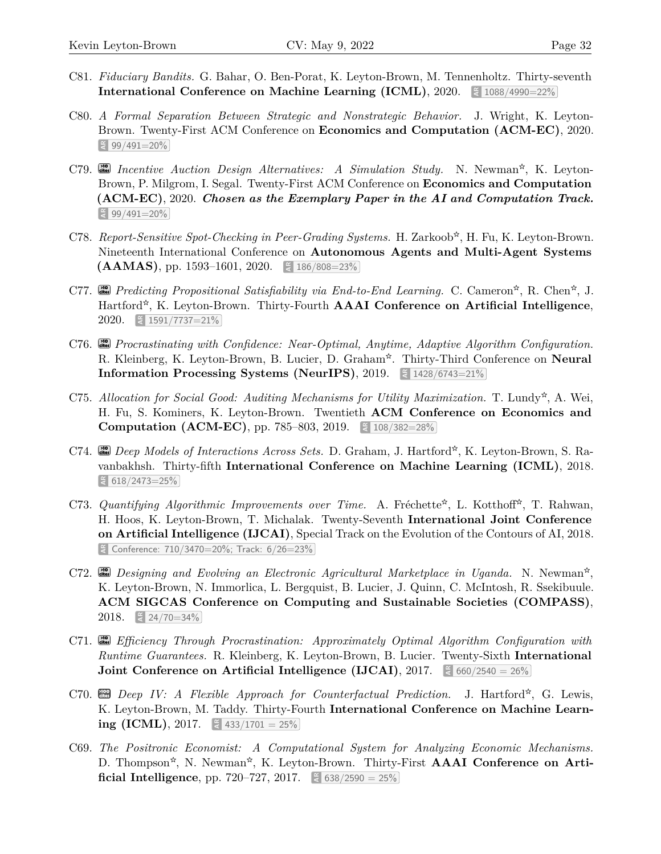- C81. *Fiduciary Bandits.* G. Bahar, O. Ben-Porat, K. Leyton-Brown, M. Tennenholtz. Thirty-seventh **International Conference on Machine Learning (ICML), 2020.**  $\frac{20}{5}$  **1088/4990=22%**
- C80. *A Formal Separation Between Strategic and Nonstrategic Behavior.* J. Wright, K. Leyton-Brown. Twenty-First ACM Conference on **Economics and Computation (ACM-EC)**, 2020. **AR** 99/491=20%
- C79. **cites** Incentive Auction Design Alternatives: A Simulation Study. N. Newman<sup>\*</sup>, K. Leyton-Brown, P. Milgrom, I. Segal. Twenty-First ACM Conference on **Economics and Computation (ACM-EC)**, 2020. *Chosen as the Exemplary Paper in the AI and Computation Track.* **AR** 99/491=20%
- C78. Report-Sensitive Spot-Checking in Peer-Grading Systems. H. Zarkoob<sup>\*</sup>, H. Fu, K. Leyton-Brown. Nineteenth International Conference on **Autonomous Agents and Multi-Agent Systems (AAMAS)**, pp. 1593–1601, 2020.  $\approx 186/808=23\%$
- C77. **cites** Predicting Propositional Satisfiability via End-to-End Learning. C. Cameron<sup>☆</sup>, R. Chen<sup>☆</sup>, J. Hartford<sup>\*</sup>, K. Leyton-Brown. Thirty-Fourth **AAAI Conference on Artificial Intelligence**, 2020. **AR** 1591/7737=21%
- C76. **city** Procrastinating with Confidence: Near-Optimal, Anytime, Adaptive Algorithm Configuration. R. Kleinberg, K. Leyton-Brown, B. Lucier, D. Graham<sup>\*</sup>. Thirty-Third Conference on **Neural Information Processing Systems (NeurIPS), 2019.**  $\leq 1428/6743=21\%$
- C75. Allocation for Social Good: Auditing Mechanisms for Utility Maximization. T. Lundy<sup>\*</sup>, A. Wei, H. Fu, S. Kominers, K. Leyton-Brown. Twentieth **ACM Conference on Economics and Computation (ACM-EC)**, pp. 785-803, 2019.  $\leq 108/382=28\%$
- C74. **cm** Deep Models of Interactions Across Sets. D. Graham, J. Hartford<sup>☆</sup>, K. Leyton-Brown, S. Ravanbakhsh. Thirty-fifth **International Conference on Machine Learning (ICML)**, 2018. **AR** 618/2473=25%
- C73. Quantifying Algorithmic Improvements over Time. A. Fréchette<sup>\*</sup>, L. Kotthoff<sup>\*</sup>, T. Rahwan, H. Hoos, K. Leyton-Brown, T. Michalak. Twenty-Seventh **International Joint Conference on Artificial Intelligence (IJCAI)**, Special Track on the Evolution of the Contours of AI, 2018. **AR** Conference: 710/3470=20%; Track: 6/26=23%
- C72. **ai** *Designing and Evolving an Electronic Agricultural Marketplace in Uganda.* N. Newman<sup>☆</sup>, K. Leyton-Brown, N. Immorlica, L. Bergquist, B. Lucier, J. Quinn, C. McIntosh, R. Ssekibuule. **ACM SIGCAS Conference on Computing and Sustainable Societies (COMPASS)**, 2018. **E** 24/70=34%
- C71. **cites >10** *Efficiency Through Procrastination: Approximately Optimal Algorithm Configuration with Runtime Guarantees.* R. Kleinberg, K. Leyton-Brown, B. Lucier. Twenty-Sixth **International Joint Conference on Artificial Intelligence (IJCAI), 2017.**  $\leq 660/2540 = 26\%$
- C70. **cm** Deep IV: A Flexible Approach for Counterfactual Prediction. J. Hartford<sup>\*</sup>, G. Lewis, K. Leyton-Brown, M. Taddy. Thirty-Fourth **International Conference on Machine Learning (ICML)**, 2017.  $\leq$  433/1701 = 25%
- C69. *The Positronic Economist: A Computational System for Analyzing Economic Mechanisms.* D. Thompson<sup>\*</sup>, N. Newman<sup>\*</sup>, K. Leyton-Brown. Thirty-First **AAAI Conference on Artificial Intelligence**, pp.  $720-727$ ,  $2017$ .  $\leq 638/2590 = 25\%$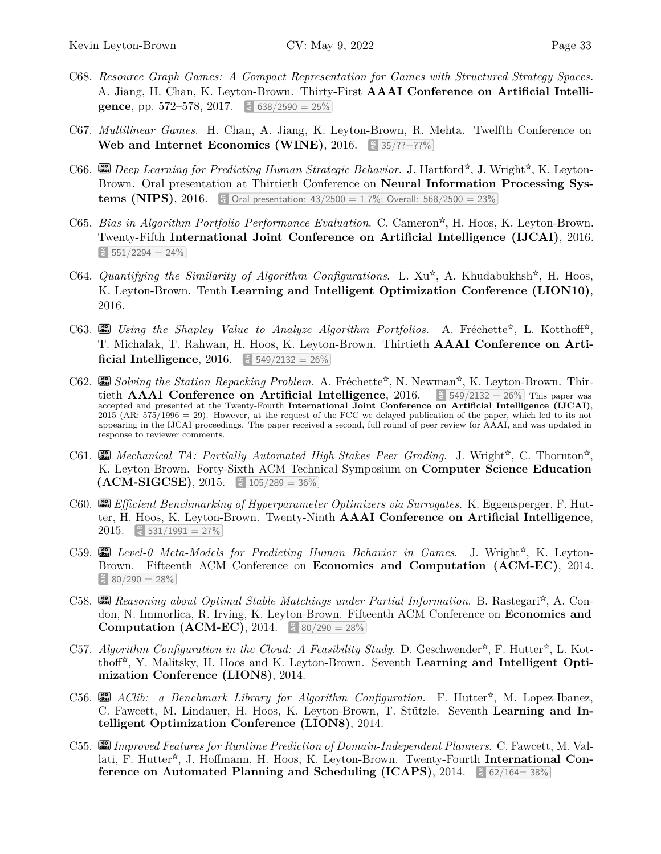- C68. *Resource Graph Games: A Compact Representation for Games with Structured Strategy Spaces.* A. Jiang, H. Chan, K. Leyton-Brown. Thirty-First **AAAI Conference on Artificial Intelligence**, pp. 572–578, 2017.  $\leq$  638/2590 = 25%
- C67. *Multilinear Games*. H. Chan, A. Jiang, K. Leyton-Brown, R. Mehta. Twelfth Conference on **Web and Internet Economics (WINE), 2016.**  $\frac{25}{7}$  35/??=??%
- C66. **cites** Deep Learning for Predicting Human Strategic Behavior. J. Hartford<sup>☆</sup>, J. Wright<sup>☆</sup>, K. Leyton-Brown. Oral presentation at Thirtieth Conference on **Neural Information Processing Systems (NIPS),** 2016.  $\left[\frac{a}{6}\right]$  Oral presentation: 43/2500 = 1.7%; Overall: 568/2500 = 23%
- C65. *Bias in Algorithm Portfolio Performance Evaluation*. C. Cameron<sup>\*</sup>, H. Hoos, K. Leyton-Brown. Twenty-Fifth **International Joint Conference on Artificial Intelligence (IJCAI)**, 2016.  $\frac{25}{1}$  551/2294 = 24%
- C64. *Quantifying the Similarity of Algorithm Configurations*. L.  $Xu^*$ , A. Khudabukhsh<sup>\*</sup>, H. Hoos, K. Leyton-Brown. Tenth **Learning and Intelligent Optimization Conference (LION10)**, 2016.
- C63. **city** Using the Shapley Value to Analyze Algorithm Portfolios. A. Fréchette<sup> $\dot{\alpha}$ </sup>, L. Kotthoff<sup> $\dot{\alpha}$ </sup>, T. Michalak, T. Rahwan, H. Hoos, K. Leyton-Brown. Thirtieth **AAAI Conference on Artificial Intelligence**, 2016.  $\frac{2016}{6}$  549/2132 = 26%
- C62. **cites** Solving the Station Repacking Problem. A. Fréchette<sup>\*</sup>, N. Newman<sup>\*</sup>, K. Leyton-Brown. Thirtieth **AAAI** Conference on Artificial Intelligence, 2016.  $\leq 549/2132 = 26\%$  This paper was accepted and presented at the Twenty-Fourth **International Joint Conference on Artificial Intelligence (IJCAI)**, 2015 (AR: 575/1996 = 29). However, at the request of the FCC we delayed publication of the paper, which led to its not appearing in the IJCAI proceedings. The paper received a second, full round of peer review for AAAI, and was updated in response to reviewer comments.
- C61.  $\Box$  *Mechanical TA: Partially Automated High-Stakes Peer Grading.* J. Wright<sup>\*</sup>, C. Thornton<sup>\*</sup>, K. Leyton-Brown. Forty-Sixth ACM Technical Symposium on **Computer Science Education**  $(ACM-SIGCSE)$ , 2015.  $\leq 105/289 = 36\%$
- C60. **cites** *Efficient Benchmarking of Hyperparameter Optimizers via Surrogates.* K. Eggensperger, F. Hutter, H. Hoos, K. Leyton-Brown. Twenty-Ninth **AAAI Conference on Artificial Intelligence**, 2015.  $\approx 531/1991 = 27\%$
- C59. **cites** Level-0 Meta-Models for Predicting Human Behavior in Games. J. Wright<sup>\*</sup>, K. Leyton-Brown. Fifteenth ACM Conference on **Economics and Computation (ACM-EC)**, 2014.  $\frac{28}{3}$  80/290 = 28%
- C58. **cm** Reasoning about Optimal Stable Matchings under Partial Information. B. Rastegari<sup>☆</sup>, A. Condon, N. Immorlica, R. Irving, K. Leyton-Brown. Fifteenth ACM Conference on **Economics and Computation (ACM-EC), 2014.**  $\leq 80/290 = 28\%$
- C57. Algorithm Configuration in the Cloud: A Feasibility Study. D. Geschwender<sup>\*</sup>, F. Hutter<sup>\*</sup>, L. Kotthoff<sup>\*</sup>, Y. Malitsky, H. Hoos and K. Leyton-Brown. Seventh **Learning and Intelligent Optimization Conference (LION8)**, 2014.
- C56. **city** *AClib: a Benchmark Library for Algorithm Configuration*. F. Hutter<sup>\*</sup>, M. Lopez-Ibanez, C. Fawcett, M. Lindauer, H. Hoos, K. Leyton-Brown, T. Stützle. Seventh **Learning and Intelligent Optimization Conference (LION8)**, 2014.
- C55. **cites >10** *Improved Features for Runtime Prediction of Domain-Independent Planners*. C. Fawcett, M. Vallati, F. Hutter<sup>\*</sup>, J. Hoffmann, H. Hoos, K. Leyton-Brown. Twenty-Fourth **International Conference on Automated Planning and Scheduling (ICAPS), 2014.**  $\frac{2}{3}$  **62/164=38%**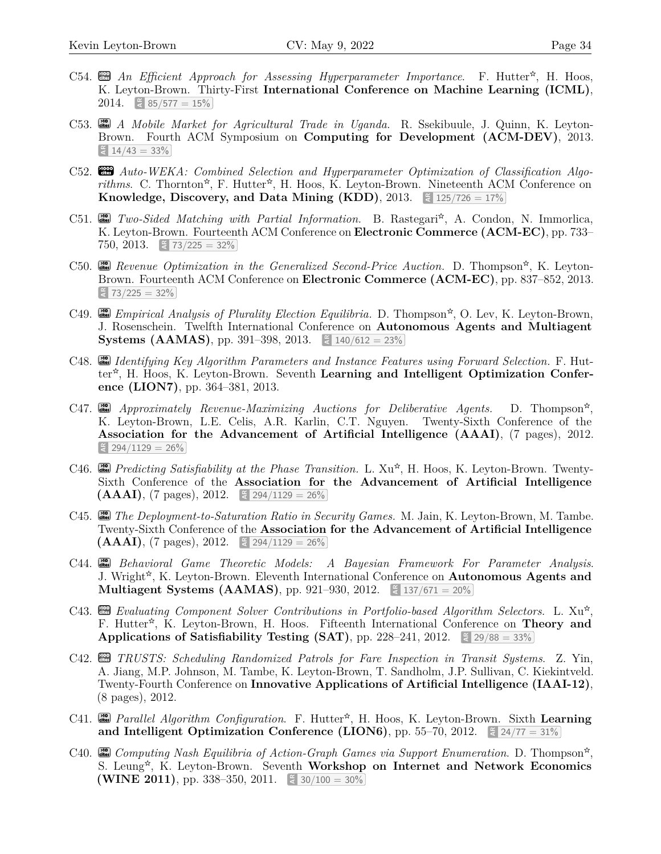- C54.  $\mathbb{E}$  *An Efficient Approach for Assessing Hyperparameter Importance*. F. Hutter<sup>\*</sup>, H. Hoos, K. Leyton-Brown. Thirty-First **International Conference on Machine Learning (ICML)**, 2014.  $\leq 85/577 = 15\%$
- C53. **cites >10** *A Mobile Market for Agricultural Trade in Uganda*. R. Ssekibuule, J. Quinn, K. Leyton-Brown. Fourth ACM Symposium on **Computing for Development (ACM-DEV)**, 2013.  $\frac{2}{3}$  14/43 = 33%
- C52. **cm** Auto-WEKA: Combined Selection and Hyperparameter Optimization of Classification Algorithms. C. Thornton<sup>\*</sup>, F. Hutter<sup>\*</sup>, H. Hoos, K. Leyton-Brown. Nineteenth ACM Conference on **Knowledge, Discovery, and Data Mining (KDD), 2013.**  $\left[\frac{2}{5}\right]$  **125/726 = 17%**
- C51. **cite** *Two-Sided Matching with Partial Information.* B. Rastegari<sup>\*</sup>, A. Condon, N. Immorlica, K. Leyton-Brown. Fourteenth ACM Conference on **Electronic Commerce (ACM-EC)**, pp. 733–  $750, 2013.$   $\lessapprox 73/225 = 32\%$
- C50. **city** Revenue Optimization in the Generalized Second-Price Auction. D. Thompson<sup>\*</sup>, K. Leyton-Brown. Fourteenth ACM Conference on **Electronic Commerce (ACM-EC)**, pp. 837–852, 2013.  $\frac{25}{3}$  73/225 = 32%
- C49. **city** *Empirical Analysis of Plurality Election Equilibria.* D. Thompson<sup>\*</sup>, O. Lev, K. Leyton-Brown, J. Rosenschein. Twelfth International Conference on **Autonomous Agents and Multiagent Systems (AAMAS)**, pp. 391–398, 2013.  $\leq 140/612 = 23\%$
- C48. **cites >10** *Identifying Key Algorithm Parameters and Instance Features using Forward Selection.* F. Hutter<sup>\*</sup>, H. Hoos, K. Leyton-Brown. Seventh Learning and Intelligent Optimization Confer**ence (LION7)**, pp. 364–381, 2013.
- C47.  $\begin{bmatrix} \frac{1}{2} & \frac{1}{2} \\ \frac{1}{2} & \frac{1}{2} \end{bmatrix}$  Approximately Revenue-Maximizing Auctions for Deliberative Agents. D. Thompson<sup>\*</sup>, K. Leyton-Brown, L.E. Celis, A.R. Karlin, C.T. Nguyen. Twenty-Sixth Conference of the **Association for the Advancement of Artificial Intelligence (AAAI)**, (7 pages), 2012.  $\frac{294}{1129} = 26\%$
- C46. **city** Predicting Satisfiability at the Phase Transition. L. Xu<sup>\*</sup>, H. Hoos, K. Leyton-Brown. Twenty-Sixth Conference of the **Association for the Advancement of Artificial Intelligence**  $(AAAI)$ ,  $(7 \text{ pages})$ , 2012.  $\leq 294/1129 = 26\%$
- C45. **city** *The Deployment-to-Saturation Ratio in Security Games.* M. Jain, K. Leyton-Brown, M. Tambe. Twenty-Sixth Conference of the **Association for the Advancement of Artificial Intelligence**  $(AAAI)$ ,  $(7 \text{ pages})$ , 2012.  $\leq 294/1129 = 26\%$
- C44. **cites >10** *Behavioral Game Theoretic Models: A Bayesian Framework For Parameter Analysis*. J. Wright<sup>\*</sup>, K. Leyton-Brown. Eleventh International Conference on **Autonomous Agents and Multiagent Systems (AAMAS)**, pp. 921–930, 2012.  $\leq 137/671 = 20\%$
- C43.  $\Box$  Evaluating Component Solver Contributions in Portfolio-based Algorithm Selectors. L. Xu<sup> $\star$ </sup>, F. Hutter<sup>\*</sup>, K. Leyton-Brown, H. Hoos. Fifteenth International Conference on **Theory and Applications of Satisfiability Testing (SAT), pp. 228–241, 2012.**  $\leq 29/88 = 33\%$
- C42. **cm** TRUSTS: Scheduling Randomized Patrols for Fare Inspection in Transit Systems. Z. Yin, A. Jiang, M.P. Johnson, M. Tambe, K. Leyton-Brown, T. Sandholm, J.P. Sullivan, C. Kiekintveld. Twenty-Fourth Conference on **Innovative Applications of Artificial Intelligence (IAAI-12)**, (8 pages), 2012.
- C41. **cites >10** *Parallel Algorithm Configuration*. F. Hutter X☆X , H. Hoos, K. Leyton-Brown. Sixth **Learning** and Intelligent Optimization Conference (LION6), pp.  $55-70$ ,  $2012$ .  $\leq 24/77 = 31\%$
- C40. **cm** Computing Nash Equilibria of Action-Graph Games via Support Enumeration. D. Thompson<sup>☆</sup>, S. Leung<sup>\*</sup>, K. Leyton-Brown. Seventh Workshop on Internet and Network Economics **(WINE 2011)**, pp. 338–350, 2011.  $\leq 30/100 = 30\%$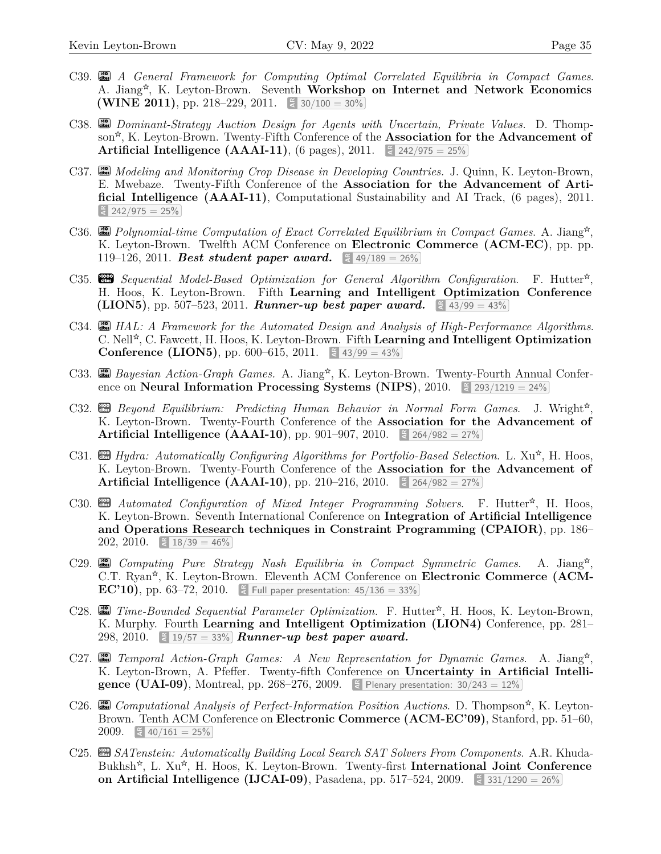- C39. **cites >10** *A General Framework for Computing Optimal Correlated Equilibria in Compact Games*. A. Jiang<sup>\*</sup>, K. Leyton-Brown. Seventh Workshop on Internet and Network Economics **(WINE 2011)**, pp. 218–229, 2011.  $\leq 30/100 = 30\%$
- C38. **cites >10** *Dominant-Strategy Auction Design for Agents with Uncertain, Private Values.* D. Thompson<sup>\*</sup>, K. Leyton-Brown. Twenty-Fifth Conference of the **Association for the Advancement of Artificial Intelligence (AAAI-11),** (6 pages), 2011.  $\leq 242/975 = 25\%$
- C37. **cites >10** *Modeling and Monitoring Crop Disease in Developing Countries.* J. Quinn, K. Leyton-Brown, E. Mwebaze. Twenty-Fifth Conference of the **Association for the Advancement of Artificial Intelligence (AAAI-11)**, Computational Sustainability and AI Track, (6 pages), 2011.  $\frac{242}{975} = 25\%$
- C36. **cital** Polynomial-time Computation of Exact Correlated Equilibrium in Compact Games. A. Jiang<sup>\*</sup>, K. Leyton-Brown. Twelfth ACM Conference on **Electronic Commerce (ACM-EC)**, pp. pp. 119–126, 2011. **Best student paper award.**  $\leq 49/189 = 26\%$
- C35. **Configuration** Sequential Model-Based Optimization for General Algorithm Configuration. F. Hutter<sup>\*</sup>, H. Hoos, K. Leyton-Brown. Fifth **Learning and Intelligent Optimization Conference (LION5)**, pp. 507–523, 2011. **Runner-up best paper award.**  $\leq 43/99 = 43\%$
- C34. **cites >10** *HAL: A Framework for the Automated Design and Analysis of High-Performance Algorithms*. C. Nell<sup>\*</sup>, C. Fawcett, H. Hoos, K. Leyton-Brown. Fifth Learning and Intelligent Optimization **Conference (LION5), pp. 600–615, 2011.**  $\frac{12}{3}$  43/99 = 43%
- C33. **city** *Bayesian Action-Graph Games.* A. Jiang<sup>\*</sup>, K. Leyton-Brown. Twenty-Fourth Annual Conference on **Neural Information Processing Systems (NIPS)**, 2010.  $\leq 293/1219 = 24\%$
- C32. **cm** Beyond Equilibrium: Predicting Human Behavior in Normal Form Games. J. Wright<sup>\*</sup>, K. Leyton-Brown. Twenty-Fourth Conference of the **Association for the Advancement of Artificial Intelligence (AAAI-10), pp. 901–907, 2010.**  $\leq 264/982 = 27\%$
- C31. **and** *Hydra: Automatically Configuring Algorithms for Portfolio-Based Selection*. L. Xu<sup>\*</sup>, H. Hoos, K. Leyton-Brown. Twenty-Fourth Conference of the **Association for the Advancement of Artificial Intelligence (AAAI-10), pp. 210–216, 2010.**  $\leq 264/982 = 27\%$
- C30. **an** *Automated Configuration of Mixed Integer Programming Solvers*. F. Hutter<sup>☆</sup>, H. Hoos, K. Leyton-Brown. Seventh International Conference on **Integration of Artificial Intelligence and Operations Research techniques in Constraint Programming (CPAIOR)**, pp. 186–  $202, 2010.$   $\approx 18/39 = 46\%$
- C29. **cites >10** *Computing Pure Strategy Nash Equilibria in Compact Symmetric Games*. A. Jiang  $\lg^\mathbf{\hat{x}},$ C.T. Ryan<sup>\*</sup>, K. Leyton-Brown. Eleventh ACM Conference on Electronic Commerce (ACM-**EC'10)**, pp. 63–72, 2010.  $\leq$  Full paper presentation: 45/136 = 33%
- C28. **cites** Time-Bounded Sequential Parameter Optimization. F. Hutter<sup>☆</sup>, H. Hoos, K. Leyton-Brown, K. Murphy. Fourth **Learning and Intelligent Optimization (LION4)** Conference, pp. 281– 298, 2010.  $\leq$  19/57 = 33% **Runner-up best paper award.**
- C27. **cital** Temporal Action-Graph Games: A New Representation for Dynamic Games. A. Jiang<sup>\*</sup>, K. Leyton-Brown, A. Pfeffer. Twenty-fifth Conference on **Uncertainty in Artificial Intelligence (UAI-09)**, Montreal, pp. 268-276, 2009.  $\left[\frac{3}{5}\right]$  Plenary presentation: 30/243 = 12%
- C26. **cm** Computational Analysis of Perfect-Information Position Auctions. D. Thompson<sup>\*</sup>, K. Leyton-Brown. Tenth ACM Conference on **Electronic Commerce (ACM-EC'09)**, Stanford, pp. 51–60, 2009.  $\leq 40/161 = 25\%$
- C25. **cm** SATenstein: Automatically Building Local Search SAT Solvers From Components. A.R. Khuda-Bukhsh<sup>\*</sup>, L. Xu<sup>\*</sup>, H. Hoos, K. Leyton-Brown. Twenty-first **International Joint Conference on Artificial Intelligence (IJCAI-09)**, Pasadena, pp. 517–524, 2009.  $\frac{2009}{6}$  331/1290 = 26%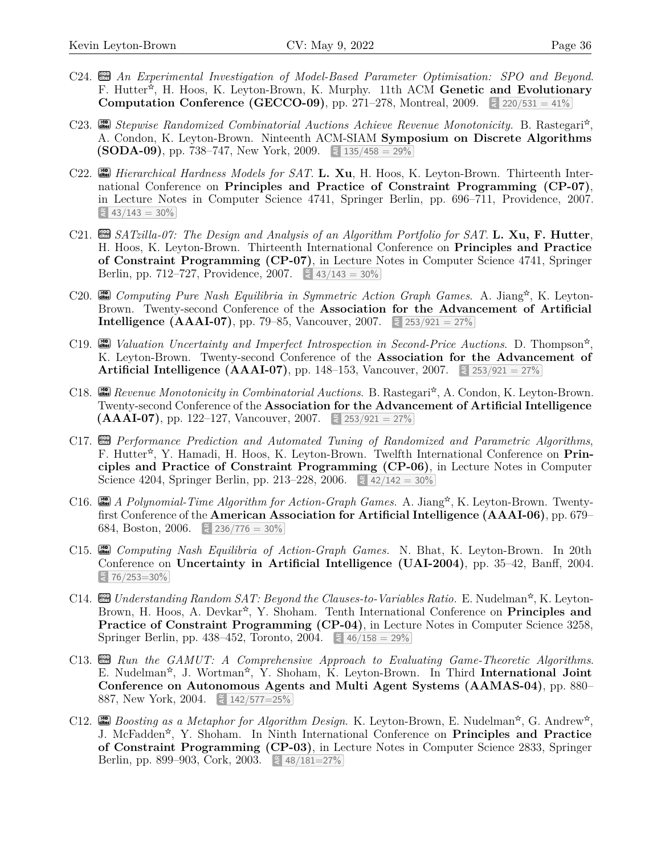- C24. **cm** An Experimental Investigation of Model-Based Parameter Optimisation: SPO and Beyond. F. Hutter<sup>\*</sup>, H. Hoos, K. Leyton-Brown, K. Murphy. 11th ACM Genetic and Evolutionary **Computation Conference (GECCO-09), pp. 271–278, Montreal, 2009.**  $\leq 220/531 = 41\%$
- C23. **city** Stepwise Randomized Combinatorial Auctions Achieve Revenue Monotonicity. B. Rastegari<sup>\*</sup>, A. Condon, K. Leyton-Brown. Ninteenth ACM-SIAM **Symposium on Discrete Algorithms (SODA-09)**, pp. 738–747, New York, 2009.  $\leq 135/458 = 29\%$
- C22. **cites >10** *Hierarchical Hardness Models for SAT*. **L. Xu**, H. Hoos, K. Leyton-Brown. Thirteenth International Conference on **Principles and Practice of Constraint Programming (CP-07)**, in Lecture Notes in Computer Science 4741, Springer Berlin, pp. 696–711, Providence, 2007.  $\frac{2}{3}$  43/143 = 30%
- C21. **c** *SATzilla-07:* The Design and Analysis of an Algorithm Portfolio for SAT. **L. Xu, F. Hutter**, H. Hoos, K. Leyton-Brown. Thirteenth International Conference on **Principles and Practice of Constraint Programming (CP-07)**, in Lecture Notes in Computer Science 4741, Springer Berlin, pp. 712–727, Providence, 2007. **ARE:** 43/143 = 30%
- C20. **cites** Computing Pure Nash Equilibria in Symmetric Action Graph Games. A. Jiang<sup>☆</sup>, K. Leyton-Brown. Twenty-second Conference of the **Association for the Advancement of Artificial Intelligence (AAAI-07)**, pp. 79–85, Vancouver, 2007.  $\leq 253/921 = 27\%$
- C19.  $\begin{bmatrix} \frac{1}{2} & \frac{1}{2} \\ \frac{1}{2} & \frac{1}{2} \end{bmatrix}$  Valuation Uncertainty and Imperfect Introspection in Second-Price Auctions. D. Thompson<sup>\*</sup>, K. Leyton-Brown. Twenty-second Conference of the **Association for the Advancement of Artificial Intelligence (AAAI-07),** pp. 148–153, Vancouver, 2007.  $\frac{12}{3}$  253/921 = 27%
- C18. **city** Revenue Monotonicity in Combinatorial Auctions. B. Rastegari<sup>\*</sup>, A. Condon, K. Leyton-Brown. Twenty-second Conference of the **Association for the Advancement of Artificial Intelligence (AAAI-07)**, pp. 122–127, Vancouver, 2007.  $\leq 253/921 = 27\%$
- C17. **com** Performance Prediction and Automated Tuning of Randomized and Parametric Algorithms, F. Hutter<sup>\*</sup>, Y. Hamadi, H. Hoos, K. Leyton-Brown. Twelfth International Conference on **Principles and Practice of Constraint Programming (CP-06)**, in Lecture Notes in Computer Science 4204, Springer Berlin, pp. 213–228, 2006.  $\leq 42/142 = 30\%$
- C16. **cites** A Polynomial-Time Algorithm for Action-Graph Games. A. Jiang<sup>\*</sup>, K. Leyton-Brown. Twentyfirst Conference of the **American Association for Artificial Intelligence (AAAI-06)**, pp. 679– 684, Boston, 2006.  $\leq 236/776 = 30\%$
- C15. **cites >10** *Computing Nash Equilibria of Action-Graph Games.* N. Bhat, K. Leyton-Brown. In 20th Conference on **Uncertainty in Artificial Intelligence (UAI-2004)**, pp. 35–42, Banff, 2004. **AR** 76/253=30%
- C14. **cm** Understanding Random SAT: Beyond the Clauses-to-Variables Ratio. E. Nudelman<sup>\*</sup>, K. Leyton-Brown, H. Hoos, A. Devkar<sup>\*</sup>, Y. Shoham. Tenth International Conference on **Principles and Practice of Constraint Programming (CP-04)**, in Lecture Notes in Computer Science 3258, Springer Berlin, pp. 438–452, Toronto, 2004.  $\leq 46/158 = 29\%$
- C13. **cm** Run the GAMUT: A Comprehensive Approach to Evaluating Game-Theoretic Algorithms. E. Nudelman<sup>\*</sup>, J. Wortman<sup>\*</sup>, Y. Shoham, K. Leyton-Brown. In Third **International Joint Conference on Autonomous Agents and Multi Agent Systems (AAMAS-04)**, pp. 880– 887, New York, 2004. **ARE 142/577=25%**
- C12. **cm** Boosting as a Metaphor for Algorithm Design. K. Leyton-Brown, E. Nudelman<sup>\*</sup>, G. Andrew<sup>\*</sup>, J. McFadden<sup>\*</sup>, Y. Shoham. In Ninth International Conference on **Principles and Practice of Constraint Programming (CP-03)**, in Lecture Notes in Computer Science 2833, Springer Berlin, pp. 899–903, Cork, 2003.  $\leq 48/181=27\%$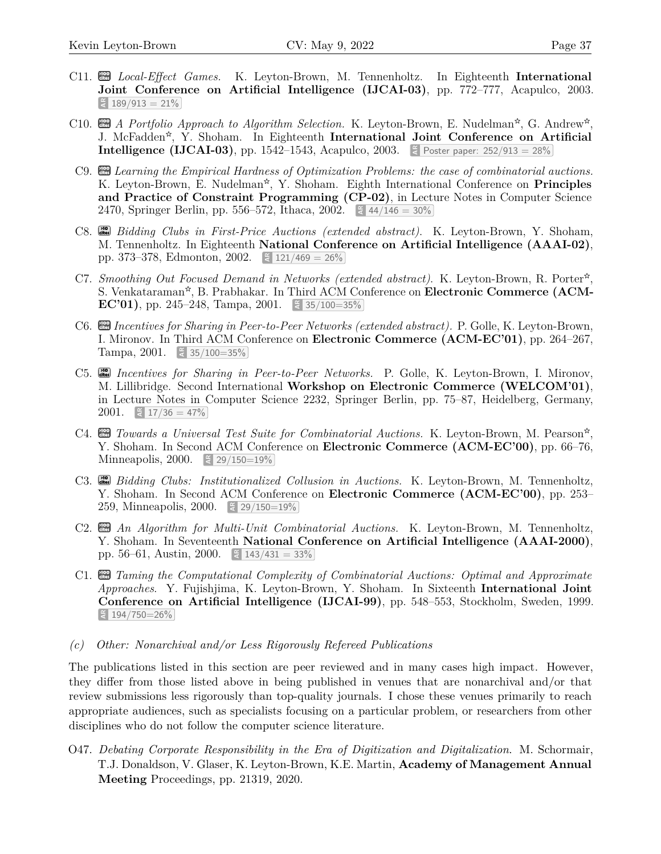- C11. **als** *Local-Effect Games.* K. Leyton-Brown, M. Tennenholtz. In Eighteenth **International Joint Conference on Artificial Intelligence (IJCAI-03)**, pp. 772–777, Acapulco, 2003.  $\frac{2}{3}$  189/913 = 21%
- C10.  $\mathbb{E}$  *A Portfolio Approach to Algorithm Selection.* K. Leyton-Brown, E. Nudelman<sup>\*</sup>, G. Andrew<sup>\*</sup>, J. McFadden<sup>\*</sup>, Y. Shoham. In Eighteenth **International Joint Conference on Artificial Intelligence (IJCAI-03)**, pp. 1542–1543, Acapulco, 2003. E Poster paper: 252/913 = 28%
- C9. **Combinatorial** the Empirical Hardness of Optimization Problems: the case of combinatorial auctions. K. Leyton-Brown, E. Nudelman<sup>\*</sup>, Y. Shoham. Eighth International Conference on **Principles and Practice of Constraint Programming (CP-02)**, in Lecture Notes in Computer Science 2470, Springer Berlin, pp. 556–572, Ithaca, 2002.  $\leq 44/146 = 30\%$
- C8. **cm** *Bidding Clubs in First-Price Auctions (extended abstract)*. K. Leyton-Brown, Y. Shoham, M. Tennenholtz. In Eighteenth **National Conference on Artificial Intelligence (AAAI-02)**, pp. 373–378, Edmonton, 2002. **AR** 121/469 = 26%
- C7. *Smoothing Out Focused Demand in Networks (extended abstract)*. K. Leyton-Brown, R. Porter<sup>☆</sup>, S. Venkataraman<sup>\*</sup>, B. Prabhakar. In Third ACM Conference on **Electronic Commerce (ACM-EC'01**), pp. 245–248, Tampa, 2001. **AREL 35/100=35%**
- C6. **Com** *Incentives for Sharing in Peer-to-Peer Networks (extended abstract).* P. Golle, K. Leyton-Brown, I. Mironov. In Third ACM Conference on **Electronic Commerce (ACM-EC'01)**, pp. 264–267, Tampa, 2001. **ARE:** 35/100=35%
- C5. **cites >10** *Incentives for Sharing in Peer-to-Peer Networks.* P. Golle, K. Leyton-Brown, I. Mironov, M. Lillibridge. Second International **Workshop on Electronic Commerce (WELCOM'01)**, in Lecture Notes in Computer Science 2232, Springer Berlin, pp. 75–87, Heidelberg, Germany, 2001.  $\leq 17/36 = 47\%$
- C4.  $\Box$  Towards a Universal Test Suite for Combinatorial Auctions. K. Leyton-Brown, M. Pearson<sup>\*</sup>, Y. Shoham. In Second ACM Conference on **Electronic Commerce (ACM-EC'00)**, pp. 66–76, Minneapolis, 2000.  $\leq 29/150=19\%$
- C3. **cites >10** *Bidding Clubs: Institutionalized Collusion in Auctions.* K. Leyton-Brown, M. Tennenholtz, Y. Shoham. In Second ACM Conference on **Electronic Commerce (ACM-EC'00)**, pp. 253– 259, Minneapolis, 2000. **AR** 29/150=19%
- C2. **cm** An Algorithm for Multi-Unit Combinatorial Auctions. K. Leyton-Brown, M. Tennenholtz, Y. Shoham. In Seventeenth **National Conference on Artificial Intelligence (AAAI-2000)**, pp. 56–61, Austin, 2000.  $\leq 143/431 = 33\%$
- C1. **cm** Taming the Computational Complexity of Combinatorial Auctions: Optimal and Approximate *Approaches*. Y. Fujishjima, K. Leyton-Brown, Y. Shoham. In Sixteenth **International Joint Conference on Artificial Intelligence (IJCAI-99)**, pp. 548–553, Stockholm, Sweden, 1999. **AR** 194/750=26%
- *(c) Other: Nonarchival and/or Less Rigorously Refereed Publications*

The publications listed in this section are peer reviewed and in many cases high impact. However, they differ from those listed above in being published in venues that are nonarchival and/or that review submissions less rigorously than top-quality journals. I chose these venues primarily to reach appropriate audiences, such as specialists focusing on a particular problem, or researchers from other disciplines who do not follow the computer science literature.

1 O47. *Debating Corporate Responsibility in the Era of Digitization and Digitalization*. M. Schormair, T.J. Donaldson, V. Glaser, K. Leyton-Brown, K.E. Martin, **Academy of Management Annual Meeting** Proceedings, pp. 21319, 2020.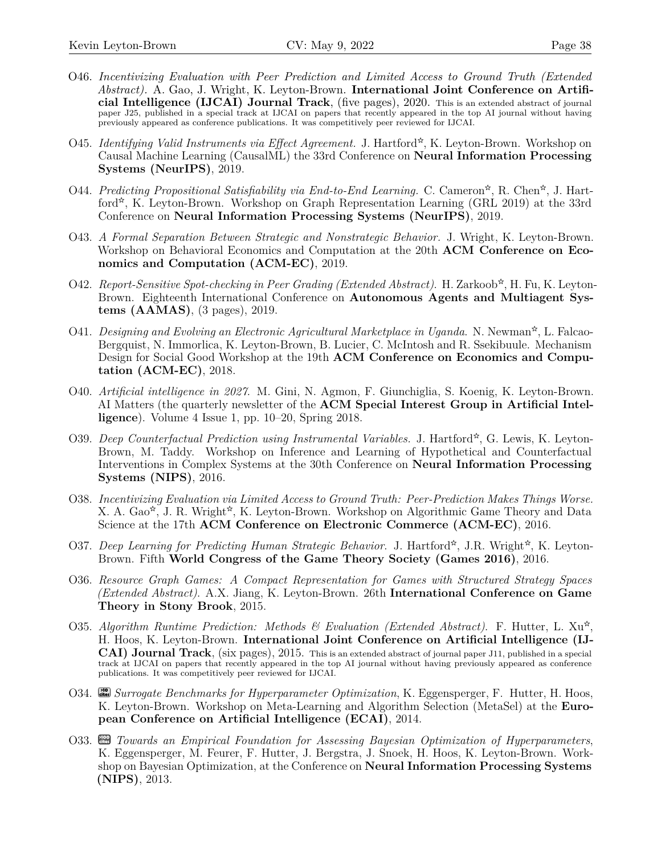- O46. *Incentivizing Evaluation with Peer Prediction and Limited Access to Ground Truth (Extended Abstract).* A. Gao, J. Wright, K. Leyton-Brown. **International Joint Conference on Artificial Intelligence (IJCAI) Journal Track**, (five pages), 2020. This is an extended abstract of journal paper [J25](#page-28-0), published in a special track at IJCAI on papers that recently appeared in the top AI journal without having previously appeared as conference publications. It was competitively peer reviewed for IJCAI.
- O45. *Identifying Valid Instruments via Effect Agreement.* J. Hartford<sup>\*</sup>, K. Leyton-Brown. Workshop on Causal Machine Learning (CausalML) the 33rd Conference on **Neural Information Processing Systems (NeurIPS)**, 2019.
- O44. *Predicting Propositional Satisfiability via End-to-End Learning.* C. Cameron<sup>\*</sup>, R. Chen<sup>\*</sup>, J. Hartford<sup>\*</sup>, K. Leyton-Brown. Workshop on Graph Representation Learning (GRL 2019) at the 33rd Conference on **Neural Information Processing Systems (NeurIPS)**, 2019.
- O43. *A Formal Separation Between Strategic and Nonstrategic Behavior.* J. Wright, K. Leyton-Brown. Workshop on Behavioral Economics and Computation at the 20th **ACM Conference on Economics and Computation (ACM-EC)**, 2019.
- O42. Report-Sensitive Spot-checking in Peer Grading (Extended Abstract). H. Zarkoob<sup>\*</sup>, H. Fu, K. Leyton-Brown. Eighteenth International Conference on **Autonomous Agents and Multiagent Systems (AAMAS)**, (3 pages), 2019.
- O41. Designing and Evolving an Electronic Agricultural Marketplace in Uganda. N. Newman<sup>\*</sup>, L. Falcao-Bergquist, N. Immorlica, K. Leyton-Brown, B. Lucier, C. McIntosh and R. Ssekibuule. Mechanism Design for Social Good Workshop at the 19th **ACM Conference on Economics and Computation (ACM-EC)**, 2018.
- O40. *Artificial intelligence in 2027*. M. Gini, N. Agmon, F. Giunchiglia, S. Koenig, K. Leyton-Brown. AI Matters (the quarterly newsletter of the **ACM Special Interest Group in Artificial Intelligence**). Volume 4 Issue 1, pp. 10–20, Spring 2018.
- O39. *Deep Counterfactual Prediction using Instrumental Variables.* J. Hartford<sup>\*</sup>, G. Lewis, K. Leyton-Brown, M. Taddy. Workshop on Inference and Learning of Hypothetical and Counterfactual Interventions in Complex Systems at the 30th Conference on **Neural Information Processing Systems (NIPS)**, 2016.
- O38. *Incentivizing Evaluation via Limited Access to Ground Truth: Peer-Prediction Makes Things Worse.* X. A. Gao<sup>\*</sup>, J. R. Wright<sup>\*</sup>, K. Leyton-Brown. Workshop on Algorithmic Game Theory and Data Science at the 17th **ACM Conference on Electronic Commerce (ACM-EC)**, 2016.
- O37. *Deep Learning for Predicting Human Strategic Behavior*. J. Hartford<sup>\*</sup>, J.R. Wright<sup>\*</sup>, K. Leyton-Brown. Fifth **World Congress of the Game Theory Society (Games 2016)**, 2016.
- O36. *Resource Graph Games: A Compact Representation for Games with Structured Strategy Spaces (Extended Abstract)*. A.X. Jiang, K. Leyton-Brown. 26th **International Conference on Game Theory in Stony Brook**, 2015.
- O35. Algorithm Runtime Prediction: Methods & Evaluation (Extended Abstract). F. Hutter, L. Xu<sup>\*</sup>, H. Hoos, K. Leyton-Brown. **International Joint Conference on Artificial Intelligence (IJ-CAI) Journal Track**, (six pages), 2015. This is an extended abstract of journal paper [J11,](#page-28-0) published in a special track at IJCAI on papers that recently appeared in the top AI journal without having previously appeared as conference publications. It was competitively peer reviewed for IJCAI.
- O34. **cites >10** *Surrogate Benchmarks for Hyperparameter Optimization*, K. Eggensperger, F. Hutter, H. Hoos, K. Leyton-Brown. Workshop on Meta-Learning and Algorithm Selection (MetaSel) at the **European Conference on Artificial Intelligence (ECAI)**, 2014.
- 1 K. Eggensperger, M. Feurer, F. Hutter, J. Bergstra, J. Snoek, H. Hoos, K. Leyton-Brown. Work-O33. **cm** Towards an Empirical Foundation for Assessing Bayesian Optimization of Hyperparameters, shop on Bayesian Optimization, at the Conference on **Neural Information Processing Systems (NIPS)**, 2013.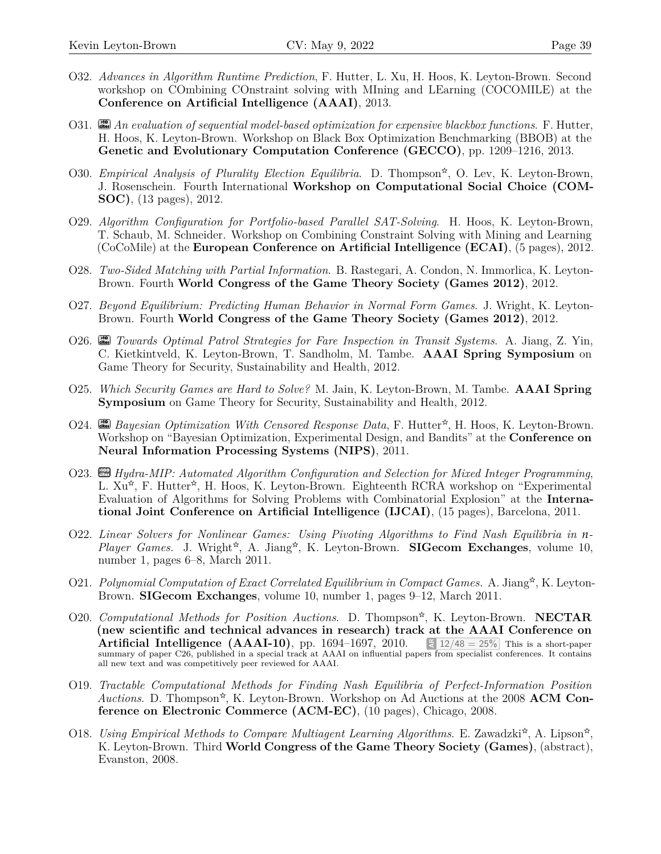- O32. *Advances in Algorithm Runtime Prediction*, F. Hutter, L. Xu, H. Hoos, K. Leyton-Brown. Second workshop on COmbining COnstraint solving with MIning and LEarning (COCOMILE) at the **Conference on Artificial Intelligence (AAAI)**, 2013.
- O31. **cites** An evaluation of sequential model-based optimization for expensive blackbox functions. F. Hutter, H. Hoos, K. Leyton-Brown. Workshop on Black Box Optimization Benchmarking (BBOB) at the **Genetic and Evolutionary Computation Conference (GECCO)**, pp. 1209–1216, 2013.
- O30. *Empirical Analysis of Plurality Election Equilibria*. D. Thompson<sup>\*</sup>, O. Lev, K. Leyton-Brown, J. Rosenschein. Fourth International **Workshop on Computational Social Choice (COM-SOC)**, (13 pages), 2012.
- O29. *Algorithm Configuration for Portfolio-based Parallel SAT-Solving*. H. Hoos, K. Leyton-Brown, T. Schaub, M. Schneider. Workshop on Combining Constraint Solving with Mining and Learning (CoCoMile) at the **European Conference on Artificial Intelligence (ECAI)**, (5 pages), 2012.
- O28. *Two-Sided Matching with Partial Information*. B. Rastegari, A. Condon, N. Immorlica, K. Leyton-Brown. Fourth **World Congress of the Game Theory Society (Games 2012)**, 2012.
- O27. *Beyond Equilibrium: Predicting Human Behavior in Normal Form Games*. J. Wright, K. Leyton-Brown. Fourth **World Congress of the Game Theory Society (Games 2012)**, 2012.
- O26. **cites >10** *Towards Optimal Patrol Strategies for Fare Inspection in Transit Systems*. A. Jiang, Z. Yin, C. Kietkintveld, K. Leyton-Brown, T. Sandholm, M. Tambe. **AAAI Spring Symposium** on Game Theory for Security, Sustainability and Health, 2012.
- O25. *Which Security Games are Hard to Solve?* M. Jain, K. Leyton-Brown, M. Tambe. **AAAI Spring Symposium** on Game Theory for Security, Sustainability and Health, 2012.
- O24. **cites** Bayesian Optimization With Censored Response Data, F. Hutter<sup>\*</sup>, H. Hoos, K. Leyton-Brown. Workshop on "Bayesian Optimization, Experimental Design, and Bandits" at the **Conference on Neural Information Processing Systems (NIPS)**, 2011.
- O23. **Example** *Hydra-MIP: Automated Algorithm Configuration and Selection for Mixed Integer Programming***,** L.  $Xu^*$ , F. Hutter<sup>\*</sup>, H. Hoos, K. Leyton-Brown. Eighteenth RCRA workshop on "Experimental Evaluation of Algorithms for Solving Problems with Combinatorial Explosion" at the **International Joint Conference on Artificial Intelligence (IJCAI)**, (15 pages), Barcelona, 2011.
- O22. *Linear Solvers for Nonlinear Games: Using Pivoting Algorithms to Find Nash Equilibria in n-*Player Games. J. Wright<sup>\*</sup>, A. Jiang<sup>\*</sup>, K. Leyton-Brown. **SIGecom Exchanges**, volume 10, number 1, pages 6–8, March 2011.
- O21. Polynomial Computation of Exact Correlated Equilibrium in Compact Games. A. Jiang<sup>\*</sup>, K. Leyton-Brown. **SIGecom Exchanges**, volume 10, number 1, pages 9–12, March 2011.
- O20. *Computational Methods for Position Auctions*. D. Thompson<sup>\*</sup>, K. Leyton-Brown. **NECTAR (new scientific and technical advances in research) track at the AAAI Conference on Artificial Intelligence (AAAI-10)**, pp. 1694–1697, 2010.  $\lesssim 12/48 = 25\%$  This is a short-paper summary of paper [C26,](#page-30-0) published in a special track at AAAI on influential papers from specialist conferences. It contains all new text and was competitively peer reviewed for AAAI.
- O19. *Tractable Computational Methods for Finding Nash Equilibria of Perfect-Information Position* Auctions. D. Thompson<sup>\*</sup>, K. Leyton-Brown. Workshop on Ad Auctions at the 2008 **ACM Conference on Electronic Commerce (ACM-EC)**, (10 pages), Chicago, 2008.
- O18. *Using Empirical Methods to Compare Multiagent Learning Algorithms*. E. Zawadzki<sup>\*</sup>, A. Lipson<sup>\*</sup>, K. Leyton-Brown. Third **World Congress of the Game Theory Society (Games)**, (abstract), Evanston, 2008.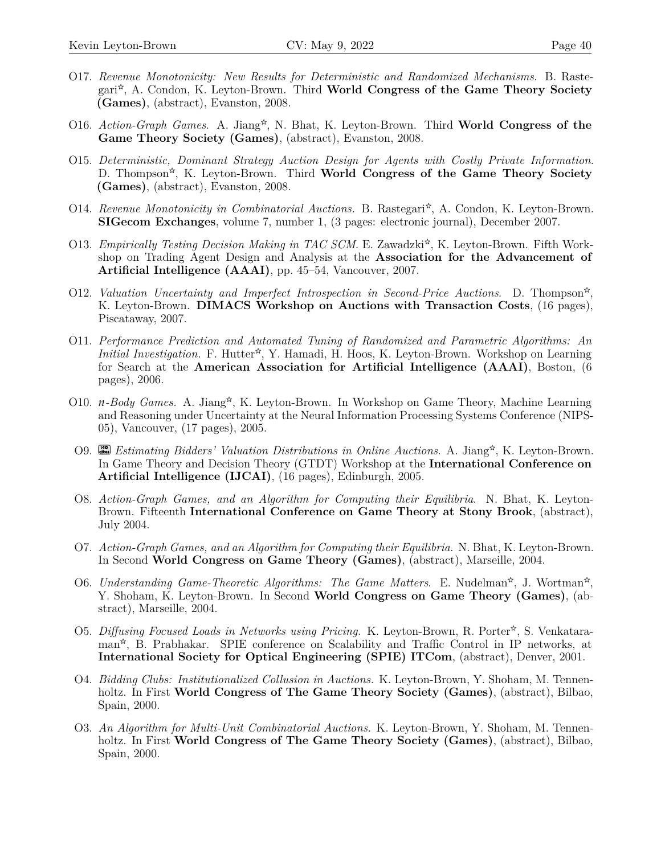- O17. *Revenue Monotonicity: New Results for Deterministic and Randomized Mechanisms*. B. Rastegari<sup>\*</sup>, A. Condon, K. Leyton-Brown. Third **World Congress of the Game Theory Society (Games)**, (abstract), Evanston, 2008.
- O16. Action-Graph Games. A. Jiang<sup>\*</sup>, N. Bhat, K. Leyton-Brown. Third **World Congress of the Game Theory Society (Games)**, (abstract), Evanston, 2008.
- O15. *Deterministic, Dominant Strategy Auction Design for Agents with Costly Private Information*. D. Thompson<sup>\*</sup>, K. Leyton-Brown. Third **World Congress of the Game Theory Society (Games)**, (abstract), Evanston, 2008.
- O14. Revenue Monotonicity in Combinatorial Auctions. B. Rastegari<sup>\*</sup>, A. Condon, K. Leyton-Brown. **SIGecom Exchanges**, volume 7, number 1, (3 pages: electronic journal), December 2007.
- O13. *Empirically Testing Decision Making in TAC SCM*. E. Zawadzki<sup>☆</sup>, K. Leyton-Brown. Fifth Workshop on Trading Agent Design and Analysis at the **Association for the Advancement of Artificial Intelligence (AAAI)**, pp. 45–54, Vancouver, 2007.
- O12. *Valuation Uncertainty and Imperfect Introspection in Second-Price Auctions.* D. Thompson<sup>\*</sup>, K. Leyton-Brown. **DIMACS Workshop on Auctions with Transaction Costs**, (16 pages), Piscataway, 2007.
- O11. *Performance Prediction and Automated Tuning of Randomized and Parametric Algorithms: An* Initial Investigation. F. Hutter<sup>\*</sup>, Y. Hamadi, H. Hoos, K. Leyton-Brown. Workshop on Learning for Search at the **American Association for Artificial Intelligence (AAAI)**, Boston, (6 pages), 2006.
- O10. *n-Body Games.* A. Jiang<sup>\*</sup>, K. Leyton-Brown. In Workshop on Game Theory, Machine Learning and Reasoning under Uncertainty at the Neural Information Processing Systems Conference (NIPS-05), Vancouver, (17 pages), 2005.
- O9. **cites** *Estimating Bidders' Valuation Distributions in Online Auctions*. A. Jiang<sup>\*</sup>, K. Leyton-Brown. In Game Theory and Decision Theory (GTDT) Workshop at the **International Conference on Artificial Intelligence (IJCAI)**, (16 pages), Edinburgh, 2005.
- O8. *Action-Graph Games, and an Algorithm for Computing their Equilibria*. N. Bhat, K. Leyton-Brown. Fifteenth **International Conference on Game Theory at Stony Brook**, (abstract), July 2004.
- O7. *Action-Graph Games, and an Algorithm for Computing their Equilibria*. N. Bhat, K. Leyton-Brown. In Second **World Congress on Game Theory (Games)**, (abstract), Marseille, 2004.
- O6. *Understanding Game-Theoretic Algorithms: The Game Matters*. E. Nudelman<sup>☆</sup>, J. Wortman<sup>☆</sup>, Y. Shoham, K. Leyton-Brown. In Second **World Congress on Game Theory (Games)**, (abstract), Marseille, 2004.
- O5. *Diffusing Focused Loads in Networks using Pricing*. K. Leyton-Brown, R. Porter<sup>☆</sup>, S. Venkataraman<sup>\*</sup>, B. Prabhakar. SPIE conference on Scalability and Traffic Control in IP networks, at **International Society for Optical Engineering (SPIE) ITCom**, (abstract), Denver, 2001.
- O4. *Bidding Clubs: Institutionalized Collusion in Auctions.* K. Leyton-Brown, Y. Shoham, M. Tennenholtz. In First **World Congress of The Game Theory Society (Games)**, (abstract), Bilbao, Spain, 2000.
- 1 holtz. In First **World Congress of The Game Theory Society (Games)**, (abstract), Bilbao, O3. *An Algorithm for Multi-Unit Combinatorial Auctions.* K. Leyton-Brown, Y. Shoham, M. Tennen-Spain, 2000.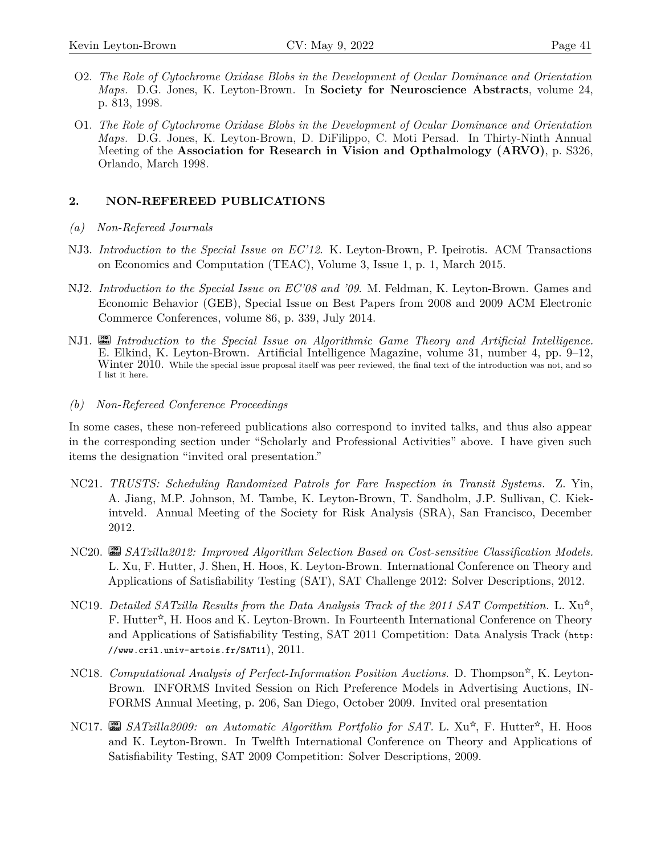- O2. *The Role of Cytochrome Oxidase Blobs in the Development of Ocular Dominance and Orientation Maps.* D.G. Jones, K. Leyton-Brown. In **Society for Neuroscience Abstracts**, volume 24, p. 813, 1998.
- O1. *The Role of Cytochrome Oxidase Blobs in the Development of Ocular Dominance and Orientation Maps.* D.G. Jones, K. Leyton-Brown, D. DiFilippo, C. Moti Persad. In Thirty-Ninth Annual Meeting of the **Association for Research in Vision and Opthalmology (ARVO)**, p. S326, Orlando, March 1998.

## **2. NON-REFEREED PUBLICATIONS**

- *(a) Non-Refereed Journals*
- NJ3. *Introduction to the Special Issue on EC'12*. K. Leyton-Brown, P. Ipeirotis. ACM Transactions on Economics and Computation (TEAC), Volume 3, Issue 1, p. 1, March 2015.
- NJ2. *Introduction to the Special Issue on EC'08 and '09*. M. Feldman, K. Leyton-Brown. Games and Economic Behavior (GEB), Special Issue on Best Papers from 2008 and 2009 ACM Electronic Commerce Conferences, volume 86, p. 339, July 2014.
- NJ1. **cites** Introduction to the Special Issue on Algorithmic Game Theory and Artificial Intelligence. E. Elkind, K. Leyton-Brown. Artificial Intelligence Magazine, volume 31, number 4, pp. 9–12, Winter 2010. While the special issue proposal itself was peer reviewed, the final text of the introduction was not, and so I list it here.
- *(b) Non-Refereed Conference Proceedings*

In some cases, these non-refereed publications also correspond to invited talks, and thus also appear in the corresponding section under "Scholarly and Professional Activities" above. I have given such items the designation "invited oral presentation."

- NC21. *TRUSTS: Scheduling Randomized Patrols for Fare Inspection in Transit Systems.* Z. Yin, A. Jiang, M.P. Johnson, M. Tambe, K. Leyton-Brown, T. Sandholm, J.P. Sullivan, C. Kiekintveld. Annual Meeting of the Society for Risk Analysis (SRA), San Francisco, December 2012.
- NC20. **cites >10** *SATzilla2012: Improved Algorithm Selection Based on Cost-sensitive Classification Models.* L. Xu, F. Hutter, J. Shen, H. Hoos, K. Leyton-Brown. International Conference on Theory and Applications of Satisfiability Testing (SAT), SAT Challenge 2012: Solver Descriptions, 2012.
- NC19. *Detailed SATzilla Results from the Data Analysis Track of the 2011 SAT Competition.* L.  $Xu^{\star}$ , F. Hutter<sup>\*</sup>, H. Hoos and K. Leyton-Brown. In Fourteenth International Conference on Theory and Applications of Satisfiability Testing, SAT 2011 Competition: Data Analysis Track ([http:](http://www.cril.univ-artois.fr/SAT11) [//www.cril.univ-artois.fr/SAT11](http://www.cril.univ-artois.fr/SAT11)),  $2011$ .
- NC18. *Computational Analysis of Perfect-Information Position Auctions.* D. Thompson<sup>☆</sup>, K. Leyton-Brown. INFORMS Invited Session on Rich Preference Models in Advertising Auctions, IN-FORMS Annual Meeting, p. 206, San Diego, October 2009. Invited oral presentation
- NC17. **as** *SATzilla2009:* an *Automatic Algorithm Portfolio for SAT*. L. Xu<sup>☆</sup>, F. Hutter<sup>☆</sup>, H. Hoos and K. Leyton-Brown. In Twelfth International Conference on Theory and Applications of Satisfiability Testing, SAT 2009 Competition: Solver Descriptions, 2009.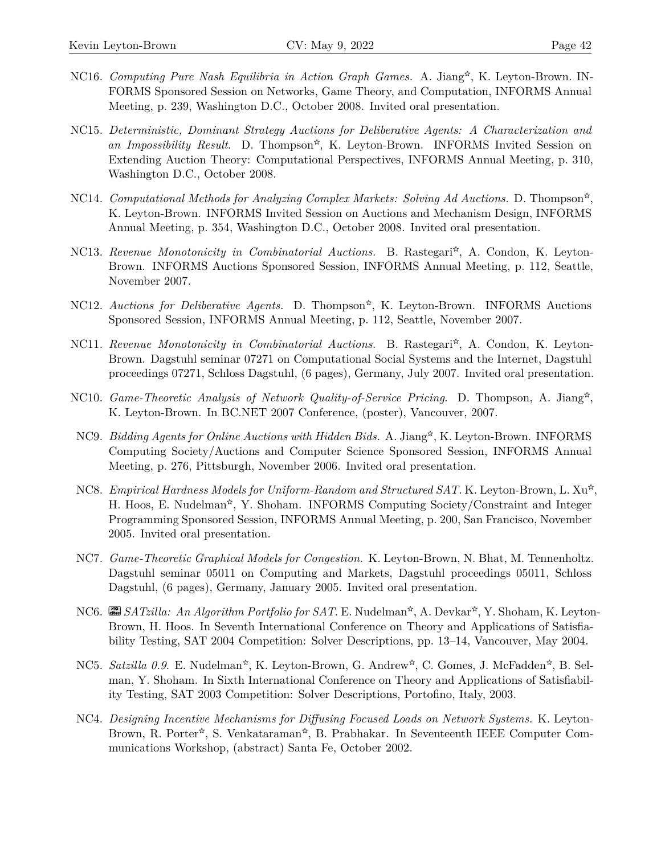- NC16. *Computing Pure Nash Equilibria in Action Graph Games.* A. Jiang<sup>\*</sup>, K. Leyton-Brown. IN-FORMS Sponsored Session on Networks, Game Theory, and Computation, INFORMS Annual Meeting, p. 239, Washington D.C., October 2008. Invited oral presentation.
- NC15. *Deterministic, Dominant Strategy Auctions for Deliberative Agents: A Characterization and* an Impossibility Result. D. Thompson<sup>\*</sup>, K. Leyton-Brown. INFORMS Invited Session on Extending Auction Theory: Computational Perspectives, INFORMS Annual Meeting, p. 310, Washington D.C., October 2008.
- NC14. *Computational Methods for Analyzing Complex Markets: Solving Ad Auctions.* D. Thompson<sup>☆</sup>, K. Leyton-Brown. INFORMS Invited Session on Auctions and Mechanism Design, INFORMS Annual Meeting, p. 354, Washington D.C., October 2008. Invited oral presentation.
- NC13. Revenue Monotonicity in Combinatorial Auctions. B. Rastegari<sup>\*</sup>, A. Condon, K. Leyton-Brown. INFORMS Auctions Sponsored Session, INFORMS Annual Meeting, p. 112, Seattle, November 2007.
- NC12. Auctions for Deliberative Agents. D. Thompson<sup>\*</sup>, K. Leyton-Brown. INFORMS Auctions Sponsored Session, INFORMS Annual Meeting, p. 112, Seattle, November 2007.
- NC11. Revenue Monotonicity in Combinatorial Auctions. B. Rastegari<sup>\*</sup>, A. Condon, K. Leyton-Brown. Dagstuhl seminar 07271 on Computational Social Systems and the Internet, Dagstuhl proceedings 07271, Schloss Dagstuhl, (6 pages), Germany, July 2007. Invited oral presentation.
- NC10. *Game-Theoretic Analysis of Network Quality-of-Service Pricing*. D. Thompson, A. Jiang<sup>\*</sup>, K. Leyton-Brown. In BC.NET 2007 Conference, (poster), Vancouver, 2007.
- NC9. *Bidding Agents for Online Auctions with Hidden Bids.* A. Jiang\*, K. Leyton-Brown. INFORMS Computing Society/Auctions and Computer Science Sponsored Session, INFORMS Annual Meeting, p. 276, Pittsburgh, November 2006. Invited oral presentation.
- NC8. *Empirical Hardness Models for Uniform-Random and Structured SAT.* K. Leyton-Brown, L. Xu<sup>☆</sup>, H. Hoos, E. Nudelman<sup>\*</sup>, Y. Shoham. INFORMS Computing Society/Constraint and Integer Programming Sponsored Session, INFORMS Annual Meeting, p. 200, San Francisco, November 2005. Invited oral presentation.
- NC7. *Game-Theoretic Graphical Models for Congestion.* K. Leyton-Brown, N. Bhat, M. Tennenholtz. Dagstuhl seminar 05011 on Computing and Markets, Dagstuhl proceedings 05011, Schloss Dagstuhl, (6 pages), Germany, January 2005. Invited oral presentation.
- NC6. **an** *SATzilla: An Algorithm Portfolio for SAT*. E. Nudelman<sup>☆</sup>, A. Devkar<sup>☆</sup>, Y. Shoham, K. Leyton-Brown, H. Hoos. In Seventh International Conference on Theory and Applications of Satisfiability Testing, SAT 2004 Competition: Solver Descriptions, pp. 13–14, Vancouver, May 2004.
- NC5. *Satzilla 0.9*. E. Nudelman<sup>\*</sup>, K. Leyton-Brown, G. Andrew<sup>\*</sup>, C. Gomes, J. McFadden<sup>\*</sup>, B. Selman, Y. Shoham. In Sixth International Conference on Theory and Applications of Satisfiability Testing, SAT 2003 Competition: Solver Descriptions, Portofino, Italy, 2003.
- NC4. *Designing Incentive Mechanisms for Diffusing Focused Loads on Network Systems.* K. Leyton-Brown, R. Porter\*, S. Venkataraman\*, B. Prabhakar. In Seventeenth IEEE Computer Communications Workshop, (abstract) Santa Fe, October 2002.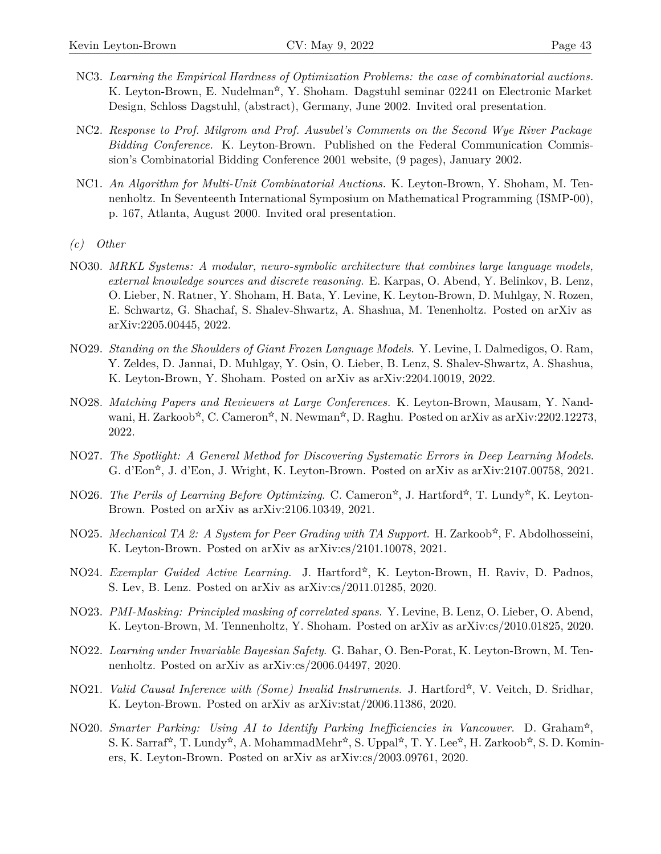- NC3. *Learning the Empirical Hardness of Optimization Problems: the case of combinatorial auctions.* K. Leyton-Brown, E. Nudelman<sup>\*</sup>, Y. Shoham. Dagstuhl seminar 02241 on Electronic Market Design, Schloss Dagstuhl, (abstract), Germany, June 2002. Invited oral presentation.
- NC2. *Response to Prof. Milgrom and Prof. Ausubel's Comments on the Second Wye River Package Bidding Conference.* K. Leyton-Brown. Published on the Federal Communication Commission's Combinatorial Bidding Conference 2001 website, (9 pages), January 2002.
- NC1. *An Algorithm for Multi-Unit Combinatorial Auctions.* K. Leyton-Brown, Y. Shoham, M. Tennenholtz. In Seventeenth International Symposium on Mathematical Programming (ISMP-00), p. 167, Atlanta, August 2000. Invited oral presentation.
- *(c) Other*
- NO30. *MRKL Systems: A modular, neuro-symbolic architecture that combines large language models, external knowledge sources and discrete reasoning.* E. Karpas, O. Abend, Y. Belinkov, B. Lenz, O. Lieber, N. Ratner, Y. Shoham, H. Bata, Y. Levine, K. Leyton-Brown, D. Muhlgay, N. Rozen, E. Schwartz, G. Shachaf, S. Shalev-Shwartz, A. Shashua, M. Tenenholtz. Posted on arXiv as [arXiv:2205.00445](https://arxiv.org/abs/2205.00445), 2022.
- NO29. *Standing on the Shoulders of Giant Frozen Language Models*. Y. Levine, I. Dalmedigos, O. Ram, Y. Zeldes, D. Jannai, D. Muhlgay, Y. Osin, O. Lieber, B. Lenz, S. Shalev-Shwartz, A. Shashua, K. Leyton-Brown, Y. Shoham. Posted on arXiv as [arXiv:2204.10019,](https://arxiv.org/abs/2204.10019) 2022.
- NO28. *Matching Papers and Reviewers at Large Conferences.* K. Leyton-Brown, Mausam, Y. Nandwani, H. Zarkoob\*, C. Cameron\*, N. Newman\*, D. Raghu. Posted on arXiv as [arXiv:2202.12273](https://arxiv.org/abs/2202.12273), 2022.
- NO27. *The Spotlight: A General Method for Discovering Systematic Errors in Deep Learning Models*. G. d'Eon<sup>\*</sup>, J. d'Eon, J. Wright, K. Leyton-Brown. Posted on arXiv as [arXiv:2107.00758](https://arxiv.org/abs/2107.00758), 2021.
- NO26. *The Perils of Learning Before Optimizing*. C. Cameron<sup>\*</sup>, J. Hartford<sup>\*</sup>, T. Lundy<sup>\*</sup>, K. Leyton-Brown. Posted on arXiv as [arXiv:2106.10349,](https://arxiv.org/abs/2106.10349) 2021.
- NO25. *Mechanical TA 2: A System for Peer Grading with TA Support.* H. Zarkoob<sup>☆</sup>, F. Abdolhosseini, K. Leyton-Brown. Posted on arXiv as [arXiv:cs/2101.10078,](https://arxiv.org/abs/2101.10078) 2021.
- NO24. *Exemplar Guided Active Learning.* J. Hartford<sup>\*</sup>, K. Leyton-Brown, H. Raviv, D. Padnos, S. Lev, B. Lenz. Posted on arXiv as [arXiv:cs/2011.01285](https://arxiv.org/abs/2011.01285), 2020.
- NO23. *PMI-Masking: Principled masking of correlated spans.* Y. Levine, B. Lenz, O. Lieber, O. Abend, K. Leyton-Brown, M. Tennenholtz, Y. Shoham. Posted on arXiv as [arXiv:cs/2010.01825](https://arxiv.org/abs/2010.01825), 2020.
- NO22. *Learning under Invariable Bayesian Safety*. G. Bahar, O. Ben-Porat, K. Leyton-Brown, M. Tennenholtz. Posted on arXiv as [arXiv:cs/2006.04497](https://arxiv.org/abs/2006.04497), 2020.
- K. Leyton-Brown. Posted on arXiv as [arXiv:stat/2006.11386,](https://arxiv.org/abs/2006.11386) 2020. NO21. *Valid Causal Inference with (Some) Invalid Instruments*. J. Hartford<sup>\*</sup>, V. Veitch, D. Sridhar,
- NO20. *Smarter Parking: Using AI to Identify Parking Inefficiencies in Vancouver*. D. Graham<sup>☆</sup>, S. K. Sarraf\*, T. Lundy\*, A. MohammadMehr\*, S. Uppal\*, T. Y. Lee\*, H. Zarkoob\*, S. D. Kominers, K. Leyton-Brown. Posted on arXiv as [arXiv:cs/2003.09761,](https://arxiv.org/abs/2003.09761) 2020.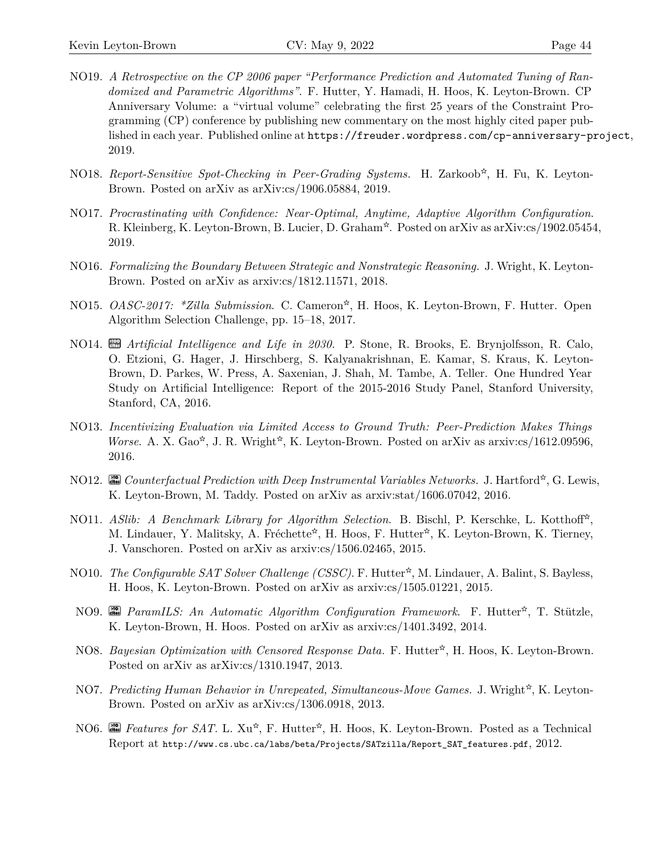- NO19. *A Retrospective on the CP 2006 paper "Performance Prediction and Automated Tuning of Randomized and Parametric Algorithms"*. F. Hutter, Y. Hamadi, H. Hoos, K. Leyton-Brown. CP Anniversary Volume: a "virtual volume" celebrating the first 25 years of the Constraint Programming (CP) conference by publishing new commentary on the most highly cited paper published in each year. Published online at <https://freuder.wordpress.com/cp-anniversary-project>, 2019.
- NO18. Report-Sensitive Spot-Checking in Peer-Grading Systems. H. Zarkoob<sup>☆</sup>, H. Fu, K. Leyton-Brown. Posted on arXiv as [arXiv:cs/1906.05884,](https://arxiv.org/abs/1906.05884) 2019.
- NO17. *Procrastinating with Confidence: Near-Optimal, Anytime, Adaptive Algorithm Configuration*. R. Kleinberg, K. Leyton-Brown, B. Lucier, D. Graham<sup>\*</sup>. Posted on arXiv as [arXiv:cs/1902.05454](https://arxiv.org/abs/1902.05454), 2019.
- NO16. *Formalizing the Boundary Between Strategic and Nonstrategic Reasoning.* J. Wright, K. Leyton-Brown. Posted on arXiv as [arxiv:cs/1812.11571](https://arxiv.org/abs/1812.11571), 2018.
- NO15. *OASC-2017:* \*Zilla Submission. C. Cameron<sup>\*</sup>, H. Hoos, K. Leyton-Brown, F. Hutter. Open Algorithm Selection Challenge, pp. 15–18, 2017.
- NO14. **cm** *Artificial Intelligence and Life in 2030*. P. Stone, R. Brooks, E. Brynjolfsson, R. Calo, O. Etzioni, G. Hager, J. Hirschberg, S. Kalyanakrishnan, E. Kamar, S. Kraus, K. Leyton-Brown, D. Parkes, W. Press, A. Saxenian, J. Shah, M. Tambe, A. Teller. One Hundred Year Study on Artificial Intelligence: Report of the 2015-2016 Study Panel, Stanford University, Stanford, CA, 2016.
- NO13. *Incentivizing Evaluation via Limited Access to Ground Truth: Peer-Prediction Makes Things Worse.* A. X. Gao<sup>\*</sup>, J. R. Wright<sup>\*</sup>, K. Leyton-Brown. Posted on arXiv as [arxiv:cs/1612.09596,](http://arxiv.org/abs/1612.09596) 2016.
- NO12. <sup>2</sup> *Counterfactual Prediction with Deep Instrumental Variables Networks.* J. Hartford<sup>☆</sup>, G. Lewis, K. Leyton-Brown, M. Taddy. Posted on arXiv as [arxiv:stat/1606.07042,](http://arxiv.org/abs/1606.07042) 2016.
- NO11. *ASlib: A Benchmark Library for Algorithm Selection*. B. Bischl, P. Kerschke, L. Kotthoff<sup>☆</sup>, M. Lindauer, Y. Malitsky, A. Fréchette<sup>\*</sup>, H. Hoos, F. Hutter<sup>\*</sup>, K. Leyton-Brown, K. Tierney, J. Vanschoren. Posted on arXiv as [arxiv:cs/1506.02465](http://arxiv.org/abs/1506.02465), 2015.
- NO10. *The Configurable SAT Solver Challenge (CSSC)*. F. Hutter<sup>\*</sup>, M. Lindauer, A. Balint, S. Bayless, H. Hoos, K. Leyton-Brown. Posted on arXiv as [arxiv:cs/1505.01221](http://arxiv.org/abs/1505.01221), 2015.
- NO9. **cm** *ParamILS: An Automatic Algorithm Configuration Framework*. F. Hutter<sup>☆</sup>, T. Stützle, K. Leyton-Brown, H. Hoos. Posted on arXiv as [arxiv:cs/1401.3492,](https://arxiv.org/abs/1401.3492) 2014.
- NO8. *Bayesian Optimization with Censored Response Data.* F. Hutter<sup>\*</sup>, H. Hoos, K. Leyton-Brown. Posted on arXiv as [arXiv:cs/1310.1947](http://arxiv.org/abs/1310.1947), 2013.
- NO7. *Predicting Human Behavior in Unrepeated, Simultaneous-Move Games.* J. Wright<sup>☆</sup>, K. Leyton-Brown. Posted on arXiv as [arXiv:cs/1306.0918](http://arxiv.org/abs/1306.0918), 2013.
- NO6. **cm** Features for SAT. L. Xu<sup>\*</sup>, F. Hutter<sup>\*</sup>, H. Hoos, K. Leyton-Brown. Posted as a Technical Report at [http://www.cs.ubc.ca/labs/beta/Projects/SATzilla/Report\\_SAT\\_features.pdf](http://www.cs.ubc.ca/labs/beta/Projects/SATzilla/Report_SAT_features.pdf), 2012.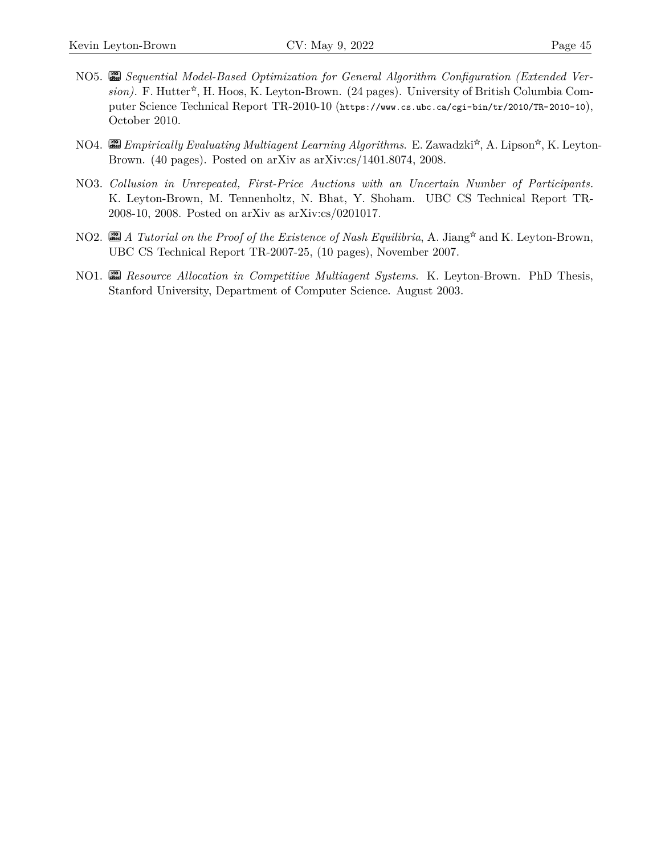- NO5. **cites >10** *Sequential Model-Based Optimization for General Algorithm Configuration (Extended Ver*sion). F. Hutter<sup>\*</sup>, H. Hoos, K. Leyton-Brown. (24 pages). University of British Columbia Computer Science Technical Report TR-2010-10 (<https://www.cs.ubc.ca/cgi-bin/tr/2010/TR-2010-10>), October 2010.
- NO4. <sup>[20</sup>] *Empirically Evaluating Multiagent Learning Algorithms*. E. Zawadzki<sup>☆</sup>, A. Lipson<sup>☆</sup>, K. Leyton-Brown. (40 pages). Posted on arXiv as [arXiv:cs/1401.8074](http://arxiv.org/abs/1401.8074), 2008.
- NO3. *Collusion in Unrepeated, First-Price Auctions with an Uncertain Number of Participants.* K. Leyton-Brown, M. Tennenholtz, N. Bhat, Y. Shoham. UBC CS Technical Report TR-2008-10, 2008. Posted on arXiv as [arXiv:cs/0201017](http://arxiv.org/abs/0201017).
- NO2. **cm** *A Tutorial on the Proof of the Existence of Nash Equilibria*, A. Jiang\* and K. Leyton-Brown, UBC CS Technical Report TR-2007-25, (10 pages), November 2007.
- NO1. **cites >10** *Resource Allocation in Competitive Multiagent Systems*. K. Leyton-Brown. PhD Thesis, Stanford University, Department of Computer Science. August 2003.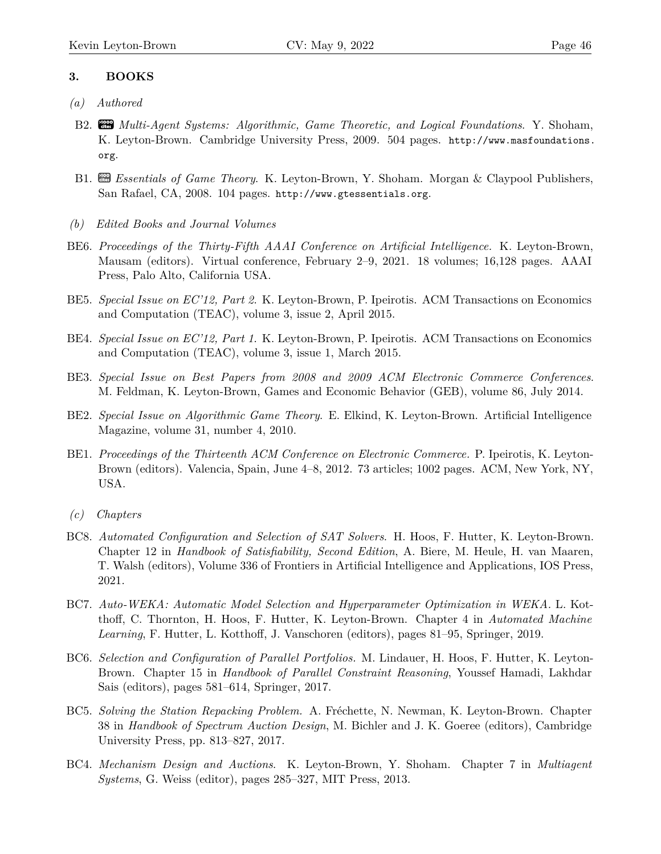## **3. BOOKS**

- *(a) Authored*
- B2. **cites >1000** *Multi-Agent Systems: Algorithmic, Game Theoretic, and Logical Foundations*. Y. Shoham, K. Leyton-Brown. Cambridge University Press, 2009. 504 pages. [http://www.masfoundations.](http://www.masfoundations.org) [org](http://www.masfoundations.org).
- B1. **Exsentials of Game Theory.** K. Leyton-Brown, Y. Shoham. Morgan & Claypool Publishers, San Rafael, CA, 2008. 104 pages. <http://www.gtessentials.org>.
- *(b) Edited Books and Journal Volumes*
- BE6. *Proceedings of the Thirty-Fifth AAAI Conference on Artificial Intelligence.* K. Leyton-Brown, Mausam (editors). Virtual conference, February 2–9, 2021. 18 volumes; 16,128 pages. AAAI Press, Palo Alto, California USA.
- BE5. *Special Issue on EC'12, Part 2*. K. Leyton-Brown, P. Ipeirotis. ACM Transactions on Economics and Computation (TEAC), volume 3, issue 2, April 2015.
- BE4. *Special Issue on EC'12, Part 1*. K. Leyton-Brown, P. Ipeirotis. ACM Transactions on Economics and Computation (TEAC), volume 3, issue 1, March 2015.
- BE3. *Special Issue on Best Papers from 2008 and 2009 ACM Electronic Commerce Conferences*. M. Feldman, K. Leyton-Brown, Games and Economic Behavior (GEB), volume 86, July 2014.
- BE2. *Special Issue on Algorithmic Game Theory*. E. Elkind, K. Leyton-Brown. Artificial Intelligence Magazine, volume 31, number 4, 2010.
- BE1. *Proceedings of the Thirteenth ACM Conference on Electronic Commerce.* P. Ipeirotis, K. Leyton-Brown (editors). Valencia, Spain, June 4–8, 2012. 73 articles; 1002 pages. ACM, New York, NY, USA.
- *(c) Chapters*
- BC8. *Automated Configuration and Selection of SAT Solvers*. H. Hoos, F. Hutter, K. Leyton-Brown. Chapter 12 in *Handbook of Satisfiability, Second Edition*, A. Biere, M. Heule, H. van Maaren, T. Walsh (editors), Volume 336 of Frontiers in Artificial Intelligence and Applications, IOS Press, 2021.
- BC7. *Auto-WEKA: Automatic Model Selection and Hyperparameter Optimization in WEKA.* L. Kotthoff, C. Thornton, H. Hoos, F. Hutter, K. Leyton-Brown. Chapter 4 in *Automated Machine Learning*, F. Hutter, L. Kotthoff, J. Vanschoren (editors), pages 81–95, Springer, 2019.
- BC6. *Selection and Configuration of Parallel Portfolios.* M. Lindauer, H. Hoos, F. Hutter, K. Leyton-Brown. Chapter 15 in *Handbook of Parallel Constraint Reasoning*, Youssef Hamadi, Lakhdar Sais (editors), pages 581–614, Springer, 2017.
- BC5. *Solving the Station Repacking Problem.* A. Fréchette, N. Newman, K. Leyton-Brown. Chapter 38 in *Handbook of Spectrum Auction Design*, M. Bichler and J. K. Goeree (editors), Cambridge University Press, pp. 813–827, 2017.
- BC4. *Mechanism Design and Auctions*. K. Leyton-Brown, Y. Shoham. Chapter 7 in *Multiagent Systems*, G. Weiss (editor), pages 285–327, MIT Press, 2013.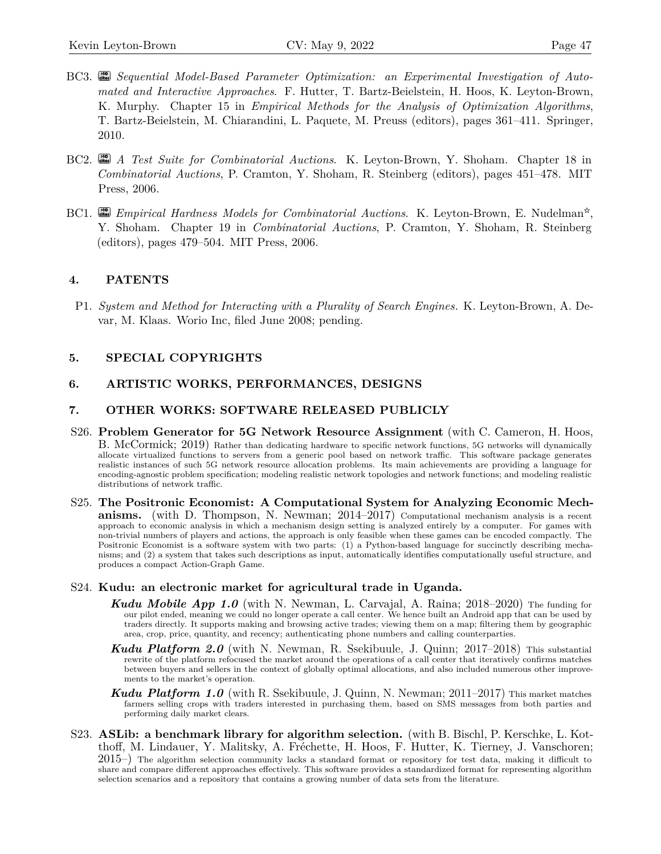- BC3. **cites** Sequential Model-Based Parameter Optimization: an Experimental Investigation of Auto*mated and Interactive Approaches*. F. Hutter, T. Bartz-Beielstein, H. Hoos, K. Leyton-Brown, K. Murphy. Chapter 15 in *Empirical Methods for the Analysis of Optimization Algorithms*, T. Bartz-Beielstein, M. Chiarandini, L. Paquete, M. Preuss (editors), pages 361–411. Springer, 2010.
- BC2. **cites >10** *A Test Suite for Combinatorial Auctions*. K. Leyton-Brown, Y. Shoham. Chapter 18 in *Combinatorial Auctions*, P. Cramton, Y. Shoham, R. Steinberg (editors), pages 451–478. MIT Press, 2006.
- BC1. **combinatorial** *Auctions*. K. Leyton-Brown, E. Nudelman<sup>☆</sup>, Y. Shoham. Chapter 19 in *Combinatorial Auctions*, P. Cramton, Y. Shoham, R. Steinberg (editors), pages 479–504. MIT Press, 2006.

#### **4. PATENTS**

P1. *System and Method for Interacting with a Plurality of Search Engines.* K. Leyton-Brown, A. Devar, M. Klaas. Worio Inc, filed June 2008; pending.

### **5. SPECIAL COPYRIGHTS**

#### **6. ARTISTIC WORKS, PERFORMANCES, DESIGNS**

#### **7. OTHER WORKS: SOFTWARE RELEASED PUBLICLY**

- S26. **Problem Generator for 5G Network Resource Assignment** (with C. Cameron, H. Hoos, B. McCormick; 2019) Rather than dedicating hardware to specific network functions, 5G networks will dynamically allocate virtualized functions to servers from a generic pool based on network traffic. This software package generates realistic instances of such 5G network resource allocation problems. Its main achievements are providing a language for encoding-agnostic problem specification; modeling realistic network topologies and network functions; and modeling realistic distributions of network traffic.
- S25. **The Positronic Economist: A Computational System for Analyzing Economic Mechanisms.** (with D. Thompson, N. Newman; 2014–2017) Computational mechanism analysis is a recent approach to economic analysis in which a mechanism design setting is analyzed entirely by a computer. For games with non-trivial numbers of players and actions, the approach is only feasible when these games can be encoded compactly. The Positronic Economist is a software system with two parts: (1) a Python-based language for succinctly describing mechanisms; and (2) a system that takes such descriptions as input, automatically identifies computationally useful structure, and produces a compact Action-Graph Game.

#### S24. **Kudu: an electronic market for agricultural trade in Uganda.**

- **Kudu Mobile App 1.0** (with N. Newman, L. Carvajal, A. Raina; 2018–2020) The funding for our pilot ended, meaning we could no longer operate a call center. We hence built an Android app that can be used by traders directly. It supports making and browsing active trades; viewing them on a map; filtering them by geographic area, crop, price, quantity, and recency; authenticating phone numbers and calling counterparties.
- *Kudu Platform 2.0* (with N. Newman, R. Ssekibuule, J. Quinn; 2017–2018) This substantial rewrite of the platform refocused the market around the operations of a call center that iteratively confirms matches between buyers and sellers in the context of globally optimal allocations, and also included numerous other improvements to the market's operation.
- *Kudu Platform 1.0* (with R. Ssekibuule, J. Quinn, N. Newman; 2011–2017) This market matches farmers selling crops with traders interested in purchasing them, based on SMS messages from both parties and performing daily market clears.
- S23. **ASLib: a benchmark library for algorithm selection.** (with B. Bischl, P. Kerschke, L. Kotthoff, M. Lindauer, Y. Malitsky, A. Fréchette, H. Hoos, F. Hutter, K. Tierney, J. Vanschoren;  $2015$ –) The algorithm selection community lacks a standard format or repository for test data, making it difficult to share and compare different approaches effectively. This software provides a standardized format for representing algorithm selection scenarios and a repository that contains a growing number of data sets from the literature.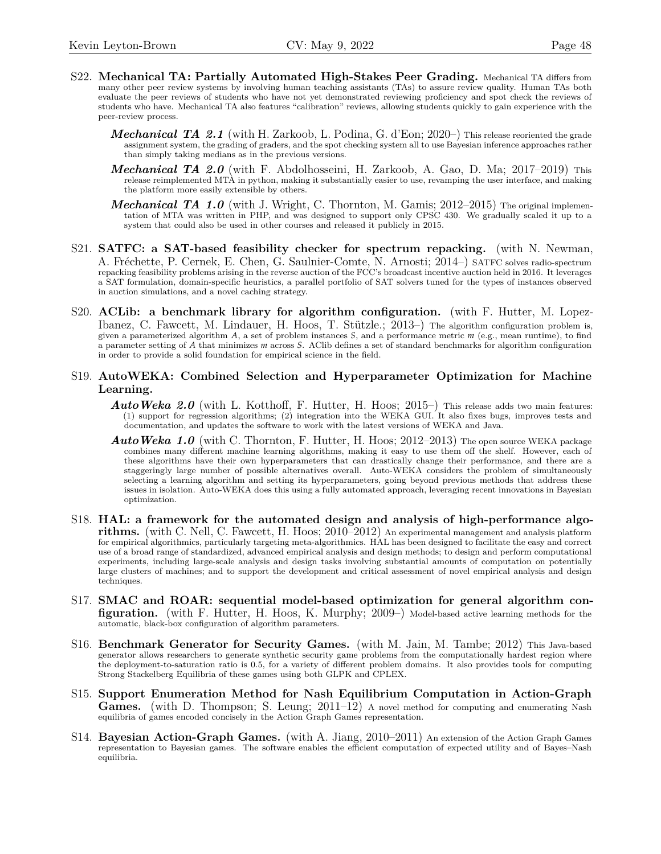- S22. **Mechanical TA: Partially Automated High-Stakes Peer Grading.** Mechanical TA differs from many other peer review systems by involving human teaching assistants (TAs) to assure review quality. Human TAs both evaluate the peer reviews of students who have not yet demonstrated reviewing proficiency and spot check the reviews of students who have. Mechanical TA also features "calibration" reviews, allowing students quickly to gain experience with the peer-review process.
	- *Mechanical TA 2.1* (with H. Zarkoob, L. Podina, G. d'Eon; 2020–) This release reoriented the grade assignment system, the grading of graders, and the spot checking system all to use Bayesian inference approaches rather than simply taking medians as in the previous versions.
	- *Mechanical TA 2.0* (with F. Abdolhosseini, H. Zarkoob, A. Gao, D. Ma; 2017–2019) This release reimplemented MTA in python, making it substantially easier to use, revamping the user interface, and making the platform more easily extensible by others.
	- *Mechanical TA 1.0* (with J. Wright, C. Thornton, M. Gamis; 2012–2015) The original implementation of MTA was written in PHP, and was designed to support only CPSC 430. We gradually scaled it up to a system that could also be used in other courses and released it publicly in 2015.
- S21. **SATFC: a SAT-based feasibility checker for spectrum repacking.** (with N. Newman, A. Fréchette, P. Cernek, E. Chen, G. Saulnier-Comte, N. Arnosti; 2014–) SATFC solves radio-spectrum repacking feasibility problems arising in the reverse auction of the FCC's broadcast incentive auction held in 2016. It leverages a SAT formulation, domain-specific heuristics, a parallel portfolio of SAT solvers tuned for the types of instances observed in auction simulations, and a novel caching strategy.
- S20. **ACLib: a benchmark library for algorithm configuration.** (with F. Hutter, M. Lopez-Ibanez, C. Fawcett, M. Lindauer, H. Hoos, T. Stützle.; 2013–) The algorithm configuration problem is, given a parameterized algorithm *A*, a set of problem instances *S*, and a performance metric *m* (e.g., mean runtime), to find a parameter setting of *A* that minimizes *m* across *S*. AClib defines a set of standard benchmarks for algorithm configuration in order to provide a solid foundation for empirical science in the field.
- S19. **AutoWEKA: Combined Selection and Hyperparameter Optimization for Machine Learning.**
	- AutoWeka 2.0 (with L. Kotthoff, F. Hutter, H. Hoos; 2015–) This release adds two main features: (1) support for regression algorithms; (2) integration into the WEKA GUI. It also fixes bugs, improves tests and documentation, and updates the software to work with the latest versions of WEKA and Java.
	- *AutoWeka 1.0* (with C. Thornton, F. Hutter, H. Hoos; 2012–2013) The open source WEKA package combines many different machine learning algorithms, making it easy to use them off the shelf. However, each of these algorithms have their own hyperparameters that can drastically change their performance, and there are a staggeringly large number of possible alternatives overall. Auto-WEKA considers the problem of simultaneously selecting a learning algorithm and setting its hyperparameters, going beyond previous methods that address these issues in isolation. Auto-WEKA does this using a fully automated approach, leveraging recent innovations in Bayesian optimization.
- S18. **HAL: a framework for the automated design and analysis of high-performance algorithms.** (with C. Nell, C. Fawcett, H. Hoos; 2010–2012) An experimental management and analysis platform for empirical algorithmics, particularly targeting meta-algorithmics. HAL has been designed to facilitate the easy and correct use of a broad range of standardized, advanced empirical analysis and design methods; to design and perform computational experiments, including large-scale analysis and design tasks involving substantial amounts of computation on potentially large clusters of machines; and to support the development and critical assessment of novel empirical analysis and design techniques.
- S17. **SMAC and ROAR: sequential model-based optimization for general algorithm configuration.** (with F. Hutter, H. Hoos, K. Murphy; 2009–) Model-based active learning methods for the automatic, black-box configuration of algorithm parameters.
- S16. **Benchmark Generator for Security Games.** (with M. Jain, M. Tambe; 2012) This Java-based generator allows researchers to generate synthetic security game problems from the computationally hardest region where the deployment-to-saturation ratio is 0.5, for a variety of different problem domains. It also provides tools for computing Strong Stackelberg Equilibria of these games using both GLPK and CPLEX.
- S15. **Support Enumeration Method for Nash Equilibrium Computation in Action-Graph** Games. (with D. Thompson; S. Leung; 2011–12) A novel method for computing and enumerating Nash equilibria of games encoded concisely in the Action Graph Games representation.
- S14. **Bayesian Action-Graph Games.** (with A. Jiang, 2010–2011) An extension of the Action Graph Games representation to Bayesian games. The software enables the efficient computation of expected utility and of Bayes–Nash equilibria.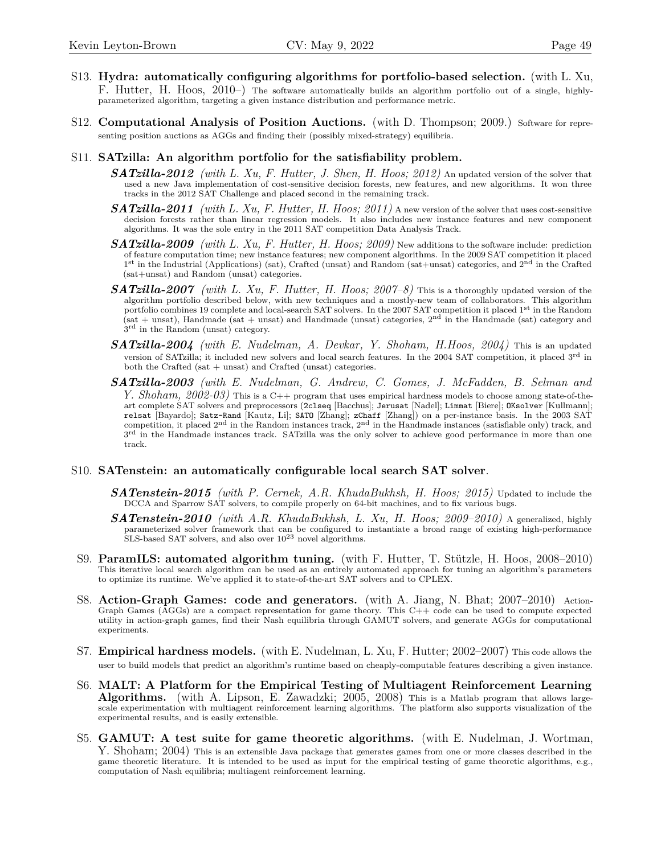- S13. **Hydra: automatically configuring algorithms for portfolio-based selection.** (with L. Xu, F. Hutter, H. Hoos, 2010–) The software automatically builds an algorithm portfolio out of a single, highlyparameterized algorithm, targeting a given instance distribution and performance metric.
- S12. **Computational Analysis of Position Auctions.** (with D. Thompson; 2009.) Software for representing position auctions as AGGs and finding their (possibly mixed-strategy) equilibria.
- S11. **SATzilla: An algorithm portfolio for the satisfiability problem.**
	- *SATzilla-2012 (with L. Xu, F. Hutter, J. Shen, H. Hoos; 2012)* An updated version of the solver that used a new Java implementation of cost-sensitive decision forests, new features, and new algorithms. It won three tracks in the 2012 SAT Challenge and placed second in the remaining track.
	- *SATzilla-2011 (with L. Xu, F. Hutter, H. Hoos; 2011)* A new version of the solver that uses cost-sensitive decision forests rather than linear regression models. It also includes new instance features and new component algorithms. It was the sole entry in the 2011 SAT competition Data Analysis Track.
	- *SATzilla-2009 (with L. Xu, F. Hutter, H. Hoos; 2009)* New additions to the software include: prediction of feature computation time; new instance features; new component algorithms. In the 2009 SAT competition it placed <sup>1st</sup> in the Industrial (Applications) (sat), Crafted (unsat) and Random (sat+unsat) categories, and 2<sup>nd</sup> in the Crafted (sat+unsat) and Random (unsat) categories.
	- *SATzilla-2007 (with L. Xu, F. Hutter, H. Hoos; 2007–8)* This is a thoroughly updated version of the algorithm portfolio described below, with new techniques and a mostly-new team of collaborators. This algorithm portfolio combines 19 complete and local-search SAT solvers. In the 2007 SAT competition it placed 1<sup>st</sup> in the Random (sat + unsat), Handmade (sat + unsat) and Handmade (unsat) categories, 2nd in the Handmade (sat) category and  $3^{\text{rd}}$  in the Random (unsat) category.
	- *SATzilla-2004 (with E. Nudelman, A. Devkar, Y. Shoham, H.Hoos, 2004)* This is an updated version of SATzilla; it included new solvers and local search features. In the 2004 SAT competition, it placed 3rd in both the Crafted (sat + unsat) and Crafted (unsat) categories.
	- *SATzilla-2003 (with E. Nudelman, G. Andrew, C. Gomes, J. McFadden, B. Selman and Y. Shoham, 2002-03)* This is a C++ program that uses empirical hardness models to choose among state-of-theart complete SAT solvers and preprocessors (2clseq [Bacchus]; Jerusat [Nadel]; Limmat [Biere]; OKsolver [Kullmann]; relsat [Bayardo]; Satz-Rand [Kautz, Li]; SATO [Zhang]; zChaff [Zhang]) on a per-instance basis. In the 2003 SAT competition, it placed  $2<sup>nd</sup>$  in the Random instances track,  $2<sup>nd</sup>$  in the Handmade instances (satisfiable only) track, and  $3^{rd}$  in the Handmade instances track. SATzilla was the only solver to achieve good performance in more than one track.

#### S10. **SATenstein: an automatically configurable local search SAT solver**.

- *SATenstein-2015 (with P. Cernek, A.R. KhudaBukhsh, H. Hoos; 2015)* Updated to include the DCCA and Sparrow SAT solvers, to compile properly on 64-bit machines, and to fix various bugs.
- *SATenstein-2010 (with A.R. KhudaBukhsh, L. Xu, H. Hoos; 2009–2010)* A generalized, highly parameterized solver framework that can be configured to instantiate a broad range of existing high-performance  $SLS$ -based SAT solvers, and also over  $10^{23}$  novel algorithms.
- S9. **ParamILS: automated algorithm tuning.** (with F. Hutter, T. Stützle, H. Hoos, 2008–2010) This iterative local search algorithm can be used as an entirely automated approach for tuning an algorithm's parameters to optimize its runtime. We've applied it to state-of-the-art SAT solvers and to CPLEX.
- S8. **Action-Graph Games: code and generators.** (with A. Jiang, N. Bhat; 2007–2010) Action-Graph Games (AGGs) are a compact representation for game theory. This C++ code can be used to compute expected utility in action-graph games, find their Nash equilibria through GAMUT solvers, and generate AGGs for computational experiments.
- S7. **Empirical hardness models.** (with E. Nudelman, L. Xu, F. Hutter; 2002–2007) This code allows the user to build models that predict an algorithm's runtime based on cheaply-computable features describing a given instance.
- S6. **MALT: A Platform for the Empirical Testing of Multiagent Reinforcement Learning Algorithms.** (with A. Lipson, E. Zawadzki; 2005, 2008) This is a Matlab program that allows largescale experimentation with multiagent reinforcement learning algorithms. The platform also supports visualization of the experimental results, and is easily extensible.
- S5. **GAMUT: A test suite for game theoretic algorithms.** (with E. Nudelman, J. Wortman, Y. Shoham; 2004) This is an extensible Java package that generates games from one or more classes described in the game theoretic literature. It is intended to be used as input for the empirical testing of game theoretic algorithms, e.g., computation of Nash equilibria; multiagent reinforcement learning.